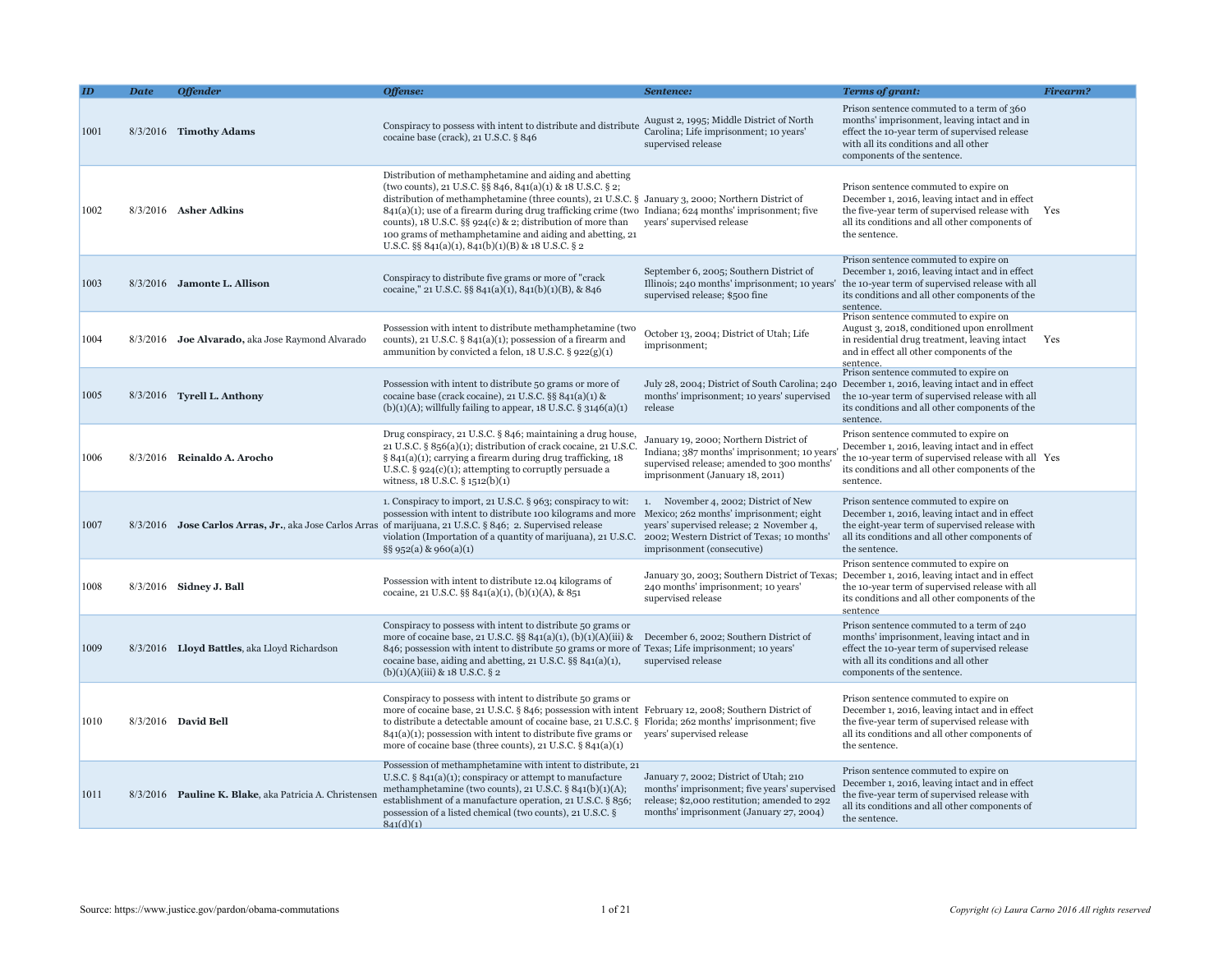| ID   | <b>Date</b> | <b>Offender</b>                                        | Offense:                                                                                                                                                                                                                                                                                                                                                                                                                                                                                                                    | Sentence:                                                                                                                                                                                                | Terms of grant:                                                                                                                                                                                                                                          | <b>Firearm?</b> |
|------|-------------|--------------------------------------------------------|-----------------------------------------------------------------------------------------------------------------------------------------------------------------------------------------------------------------------------------------------------------------------------------------------------------------------------------------------------------------------------------------------------------------------------------------------------------------------------------------------------------------------------|----------------------------------------------------------------------------------------------------------------------------------------------------------------------------------------------------------|----------------------------------------------------------------------------------------------------------------------------------------------------------------------------------------------------------------------------------------------------------|-----------------|
| 1001 |             | 8/3/2016 Timothy Adams                                 | Conspiracy to possess with intent to distribute and distribute<br>cocaine base (crack), 21 U.S.C. § 846                                                                                                                                                                                                                                                                                                                                                                                                                     | August 2, 1995; Middle District of North<br>Carolina; Life imprisonment; 10 years'<br>supervised release                                                                                                 | Prison sentence commuted to a term of 360<br>months' imprisonment, leaving intact and in<br>effect the 10-year term of supervised release<br>with all its conditions and all other<br>components of the sentence.                                        |                 |
| 1002 |             | $8/3/2016$ Asher Adkins                                | Distribution of methamphetamine and aiding and abetting<br>(two counts), 21 U.S.C. §§ 846, 841(a)(1) & 18 U.S.C. § 2;<br>distribution of methamphetamine (three counts), 21 U.S.C. § January 3, 2000; Northern District of<br>$841(a)(1)$ ; use of a firearm during drug trafficking crime (two Indiana; 624 months' imprisonment; five<br>counts), 18 U.S.C. §§ 924(c) & 2; distribution of more than<br>100 grams of methamphetamine and aiding and abetting, 21<br>U.S.C. $\S$ § 841(a)(1), 841(b)(1)(B) & 18 U.S.C. § 2 | years' supervised release                                                                                                                                                                                | Prison sentence commuted to expire on<br>December 1, 2016, leaving intact and in effect<br>the five-year term of supervised release with<br>all its conditions and all other components of<br>the sentence.                                              | Yes             |
| 1003 |             | 8/3/2016 Jamonte L. Allison                            | Conspiracy to distribute five grams or more of "crack"<br>cocaine," 21 U.S.C. §§ 841(a)(1), 841(b)(1)(B), & 846                                                                                                                                                                                                                                                                                                                                                                                                             | September 6, 2005; Southern District of<br>supervised release; \$500 fine                                                                                                                                | Prison sentence commuted to expire on<br>December 1, 2016, leaving intact and in effect<br>Illinois; 240 months' imprisonment; 10 years' the 10-year term of supervised release with all<br>its conditions and all other components of the<br>sentence.  |                 |
| 1004 |             | 8/3/2016 Joe Alvarado, aka Jose Raymond Alvarado       | Possession with intent to distribute methamphetamine (two<br>counts), 21 U.S.C. $\S$ 841(a)(1); possession of a firearm and<br>ammunition by convicted a felon, $18$ U.S.C. § $922(g)(1)$                                                                                                                                                                                                                                                                                                                                   | October 13, 2004; District of Utah; Life<br>imprisonment;                                                                                                                                                | Prison sentence commuted to expire on<br>August 3, 2018, conditioned upon enrollment<br>in residential drug treatment, leaving intact<br>and in effect all other components of the<br>sentence.                                                          | Yes             |
| 1005 |             | 8/3/2016 Tyrell L. Anthony                             | Possession with intent to distribute 50 grams or more of<br>cocaine base (crack cocaine), 21 U.S.C. §§ $841(a)(1)$ &<br>$(b)(1)(A)$ ; willfully failing to appear, 18 U.S.C. § 3146(a)(1)                                                                                                                                                                                                                                                                                                                                   | months' imprisonment; 10 years' supervised<br>release                                                                                                                                                    | Prison sentence commuted to expire on<br>July 28, 2004; District of South Carolina; 240 December 1, 2016, leaving intact and in effect<br>the 10-year term of supervised release with all<br>its conditions and all other components of the<br>sentence. |                 |
| 1006 |             | 8/3/2016 Reinaldo A. Arocho                            | Drug conspiracy, 21 U.S.C. § 846; maintaining a drug house,<br>21 U.S.C. § 856(a)(1); distribution of crack cocaine, 21 U.S.C.<br>§ 841(a)(1); carrying a firearm during drug trafficking, 18<br>U.S.C. $\S$ 924(c)(1); attempting to corruptly persuade a<br>witness, 18 U.S.C. § 1512(b)(1)                                                                                                                                                                                                                               | January 19, 2000; Northern District of<br>Indiana; 387 months' imprisonment; 10 years<br>supervised release; amended to 300 months'<br>imprisonment (January 18, 2011)                                   | Prison sentence commuted to expire on<br>December 1, 2016, leaving intact and in effect<br>the 10-year term of supervised release with all Yes<br>its conditions and all other components of the<br>sentence.                                            |                 |
| 1007 |             |                                                        | 1. Conspiracy to import, 21 U.S.C. § 963; conspiracy to wit:<br>possession with intent to distribute 100 kilograms and more<br>8/3/2016 Jose Carlos Arras, Jr., aka Jose Carlos Arras of marijuana, 21 U.S.C. § 846; 2. Supervised release<br>violation (Importation of a quantity of marijuana), 21 U.S.C.<br>$\S$ § 952(a) & 960(a)(1)                                                                                                                                                                                    | 1. November 4, 2002; District of New<br>Mexico; 262 months' imprisonment; eight<br>years' supervised release; 2 November 4,<br>2002; Western District of Texas; 10 months'<br>imprisonment (consecutive) | Prison sentence commuted to expire on<br>December 1, 2016, leaving intact and in effect<br>the eight-year term of supervised release with<br>all its conditions and all other components of<br>the sentence.                                             |                 |
| 1008 |             | 8/3/2016 Sidney J. Ball                                | Possession with intent to distribute 12.04 kilograms of<br>cocaine, 21 U.S.C. §§ 841(a)(1), (b)(1)(A), & 851                                                                                                                                                                                                                                                                                                                                                                                                                | 240 months' imprisonment; 10 years'<br>supervised release                                                                                                                                                | Prison sentence commuted to expire on<br>January 30, 2003; Southern District of Texas; December 1, 2016, leaving intact and in effect<br>the 10-year term of supervised release with all<br>its conditions and all other components of the<br>sentence   |                 |
| 1009 |             | 8/3/2016 Lloyd Battles, aka Lloyd Richardson           | Conspiracy to possess with intent to distribute 50 grams or<br>more of cocaine base, 21 U.S.C. §§ 841(a)(1), (b)(1)(A)(iii) & December 6, 2002; Southern District of<br>846; possession with intent to distribute 50 grams or more of Texas; Life imprisonment; 10 years'<br>cocaine base, aiding and abetting, 21 U.S.C. §§ 841(a)(1),<br>$(b)(1)(A)(iii)$ & 18 U.S.C. § 2                                                                                                                                                 | supervised release                                                                                                                                                                                       | Prison sentence commuted to a term of 240<br>months' imprisonment, leaving intact and in<br>effect the 10-year term of supervised release<br>with all its conditions and all other<br>components of the sentence.                                        |                 |
| 1010 |             | 8/3/2016 David Bell                                    | Conspiracy to possess with intent to distribute 50 grams or<br>more of cocaine base, 21 U.S.C. § 846; possession with intent February 12, 2008; Southern District of<br>to distribute a detectable amount of cocaine base, 21 U.S.C. § Florida; 262 months' imprisonment; five<br>$841(a)(1)$ ; possession with intent to distribute five grams or years' supervised release<br>more of cocaine base (three counts), 21 U.S.C. § 841(a)(1)                                                                                  |                                                                                                                                                                                                          | Prison sentence commuted to expire on<br>December 1, 2016, leaving intact and in effect<br>the five-year term of supervised release with<br>all its conditions and all other components of<br>the sentence.                                              |                 |
| 1011 |             | 8/3/2016 Pauline K. Blake, aka Patricia A. Christensen | Possession of methamphetamine with intent to distribute, 21<br>U.S.C. § $841(a)(1)$ ; conspiracy or attempt to manufacture<br>methamphetamine (two counts), 21 U.S.C. $\S$ 841(b)(1)(A);<br>establishment of a manufacture operation, 21 U.S.C. § 856;<br>possession of a listed chemical (two counts), 21 U.S.C. §<br>841(d)(1)                                                                                                                                                                                            | January 7, 2002; District of Utah; 210<br>months' imprisonment; five years' supervised<br>release; \$2,000 restitution; amended to 292<br>months' imprisonment (January 27, 2004)                        | Prison sentence commuted to expire on<br>December 1, 2016, leaving intact and in effect<br>the five-year term of supervised release with<br>all its conditions and all other components of<br>the sentence.                                              |                 |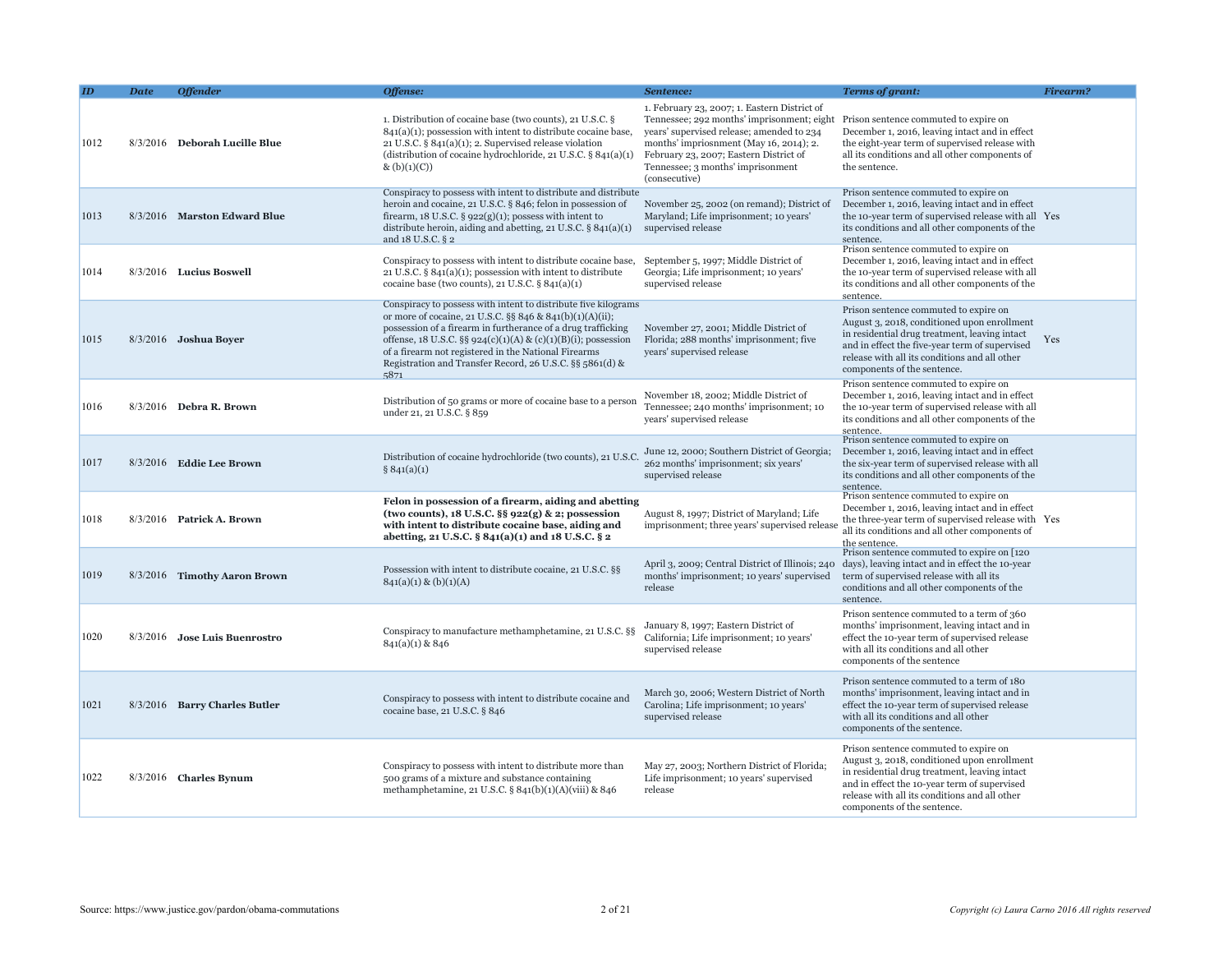|      | <b>Date</b> | <b>Offender</b>               | Offense:                                                                                                                                                                                                                                                                                                                                                                                | Sentence:                                                                                                                                                                                                                                                                          | <b>Terms of grant:</b>                                                                                                                                                                                                                                                  | Firearm? |
|------|-------------|-------------------------------|-----------------------------------------------------------------------------------------------------------------------------------------------------------------------------------------------------------------------------------------------------------------------------------------------------------------------------------------------------------------------------------------|------------------------------------------------------------------------------------------------------------------------------------------------------------------------------------------------------------------------------------------------------------------------------------|-------------------------------------------------------------------------------------------------------------------------------------------------------------------------------------------------------------------------------------------------------------------------|----------|
| 1012 |             | 8/3/2016 Deborah Lucille Blue | 1. Distribution of cocaine base (two counts), 21 U.S.C. §<br>$841(a)(1)$ ; possession with intent to distribute cocaine base,<br>21 U.S.C. $\S 841(a)(1)$ ; 2. Supervised release violation<br>(distribution of cocaine hydrochloride, 21 U.S.C. $\S$ 841(a)(1)<br>$\&$ (b)(1)(C))                                                                                                      | 1. February 23, 2007; 1. Eastern District of<br>Tennessee; 292 months' imprisonment; eight<br>years' supervised release; amended to 234<br>months' impriosnment (May 16, 2014); 2.<br>February 23, 2007; Eastern District of<br>Tennessee; 3 months' imprisonment<br>(consecutive) | Prison sentence commuted to expire on<br>December 1, 2016, leaving intact and in effect<br>the eight-year term of supervised release with<br>all its conditions and all other components of<br>the sentence.                                                            |          |
| 1013 |             | 8/3/2016 Marston Edward Blue  | Conspiracy to possess with intent to distribute and distribute<br>heroin and cocaine, 21 U.S.C. § 846; felon in possession of<br>firearm, 18 U.S.C. $\S$ 922(g)(1); possess with intent to<br>distribute heroin, aiding and abetting, $21$ U.S.C. $\S$ 841(a)(1)<br>and 18 U.S.C. § 2                                                                                                   | November 25, 2002 (on remand); District of<br>Maryland; Life imprisonment; 10 years'<br>supervised release                                                                                                                                                                         | Prison sentence commuted to expire on<br>December 1, 2016, leaving intact and in effect<br>the 10-year term of supervised release with all Yes<br>its conditions and all other components of the<br>sentence.                                                           |          |
| 1014 |             | $8/3/2016$ Lucius Boswell     | Conspiracy to possess with intent to distribute cocaine base,<br>21 U.S.C. $\S$ 841(a)(1); possession with intent to distribute<br>cocaine base (two counts), 21 U.S.C. $\S$ 841(a)(1)                                                                                                                                                                                                  | September 5, 1997; Middle District of<br>Georgia; Life imprisonment; 10 years'<br>supervised release                                                                                                                                                                               | Prison sentence commuted to expire on<br>December 1, 2016, leaving intact and in effect<br>the 10-year term of supervised release with all<br>its conditions and all other components of the<br>sentence.                                                               |          |
| 1015 |             | 8/3/2016 Joshua Boyer         | Conspiracy to possess with intent to distribute five kilograms<br>or more of cocaine, 21 U.S.C. §§ 846 & 841(b)(1)(A)(ii);<br>possession of a firearm in furtherance of a drug trafficking<br>offense, 18 U.S.C. §§ 924(c)(1)(A) & (c)(1)(B)(i); possession<br>of a firearm not registered in the National Firearms<br>Registration and Transfer Record, 26 U.S.C. §§ 5861(d) &<br>5871 | November 27, 2001; Middle District of<br>Florida; 288 months' imprisonment; five<br>years' supervised release                                                                                                                                                                      | Prison sentence commuted to expire on<br>August 3, 2018, conditioned upon enrollment<br>in residential drug treatment, leaving intact<br>and in effect the five-year term of supervised<br>release with all its conditions and all other<br>components of the sentence. | Yes      |
| 1016 |             | $8/3/2016$ Debra R. Brown     | Distribution of 50 grams or more of cocaine base to a person<br>under 21, 21 U.S.C. § 859                                                                                                                                                                                                                                                                                               | November 18, 2002; Middle District of<br>Tennessee; 240 months' imprisonment; 10<br>years' supervised release                                                                                                                                                                      | Prison sentence commuted to expire on<br>December 1, 2016, leaving intact and in effect<br>the 10-year term of supervised release with all<br>its conditions and all other components of the<br>sentence.                                                               |          |
| 1017 |             | 8/3/2016 Eddie Lee Brown      | Distribution of cocaine hydrochloride (two counts), 21 U.S.C.<br>§ 841(a)(1)                                                                                                                                                                                                                                                                                                            | June 12, 2000; Southern District of Georgia;<br>262 months' imprisonment; six years'<br>supervised release                                                                                                                                                                         | Prison sentence commuted to expire on<br>December 1, 2016, leaving intact and in effect<br>the six-year term of supervised release with all<br>its conditions and all other components of the<br>sentence.                                                              |          |
| 1018 |             | 8/3/2016 Patrick A. Brown     | Felon in possession of a firearm, aiding and abetting<br>(two counts), $18$ U.S.C. §§ $922(g)$ & 2; possession<br>with intent to distribute cocaine base, aiding and<br>abetting, 21 U.S.C. § 841(a)(1) and 18 U.S.C. § 2                                                                                                                                                               | August 8, 1997; District of Maryland; Life<br>imprisonment; three years' supervised release                                                                                                                                                                                        | Prison sentence commuted to expire on<br>December 1, 2016, leaving intact and in effect<br>the three-year term of supervised release with Yes<br>all its conditions and all other components of<br>the sentence.                                                        |          |
| 1019 |             | 8/3/2016 Timothy Aaron Brown  | Possession with intent to distribute cocaine, 21 U.S.C. §§<br>$841(a)(1) \& (b)(1)(A)$                                                                                                                                                                                                                                                                                                  | April 3, 2009; Central District of Illinois; 240<br>months' imprisonment; 10 years' supervised<br>release                                                                                                                                                                          | Prison sentence commuted to expire on [120]<br>days), leaving intact and in effect the 10-year<br>term of supervised release with all its<br>conditions and all other components of the<br>sentence.                                                                    |          |
| 1020 |             | 8/3/2016 Jose Luis Buenrostro | Conspiracy to manufacture methamphetamine, 21 U.S.C. §§<br>841(a)(1) & 846                                                                                                                                                                                                                                                                                                              | January 8, 1997; Eastern District of<br>California; Life imprisonment; 10 years'<br>supervised release                                                                                                                                                                             | Prison sentence commuted to a term of 360<br>months' imprisonment, leaving intact and in<br>effect the 10-year term of supervised release<br>with all its conditions and all other<br>components of the sentence                                                        |          |
| 1021 |             | 8/3/2016 Barry Charles Butler | Conspiracy to possess with intent to distribute cocaine and<br>cocaine base, 21 U.S.C. § 846                                                                                                                                                                                                                                                                                            | March 30, 2006; Western District of North<br>Carolina; Life imprisonment; 10 years'<br>supervised release                                                                                                                                                                          | Prison sentence commuted to a term of 180<br>months' imprisonment, leaving intact and in<br>effect the 10-year term of supervised release<br>with all its conditions and all other<br>components of the sentence.                                                       |          |
| 1022 |             | $8/3/2016$ Charles Bynum      | Conspiracy to possess with intent to distribute more than<br>500 grams of a mixture and substance containing<br>methamphetamine, 21 U.S.C. § 841(b)(1)(A)(viii) & 846                                                                                                                                                                                                                   | May 27, 2003; Northern District of Florida;<br>Life imprisonment; 10 years' supervised<br>release                                                                                                                                                                                  | Prison sentence commuted to expire on<br>August 3, 2018, conditioned upon enrollment<br>in residential drug treatment, leaving intact<br>and in effect the 10-year term of supervised<br>release with all its conditions and all other<br>components of the sentence.   |          |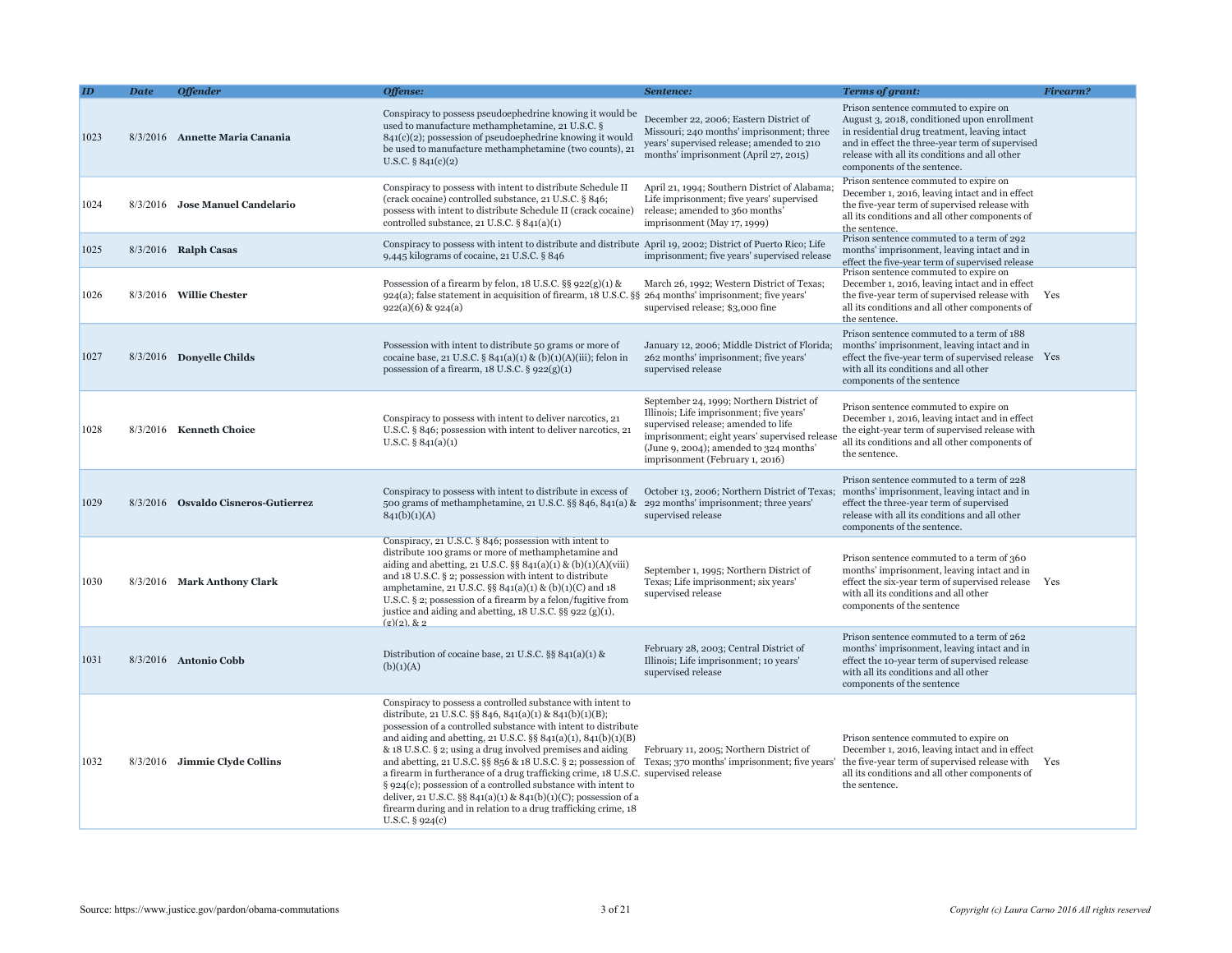|      | <b>Date</b> | <b>Offender</b>                     | Offense:                                                                                                                                                                                                                                                                                                                                                                                                                                                                                                                                                                                                                                                                                                                                                       | Sentence:                                                                                                                                                                                                                                                  | Terms of grant:                                                                                                                                                                                                                                                          | <b>Firearm?</b> |
|------|-------------|-------------------------------------|----------------------------------------------------------------------------------------------------------------------------------------------------------------------------------------------------------------------------------------------------------------------------------------------------------------------------------------------------------------------------------------------------------------------------------------------------------------------------------------------------------------------------------------------------------------------------------------------------------------------------------------------------------------------------------------------------------------------------------------------------------------|------------------------------------------------------------------------------------------------------------------------------------------------------------------------------------------------------------------------------------------------------------|--------------------------------------------------------------------------------------------------------------------------------------------------------------------------------------------------------------------------------------------------------------------------|-----------------|
| 1023 |             | 8/3/2016 Annette Maria Canania      | Conspiracy to possess pseudoephedrine knowing it would be<br>used to manufacture methamphetamine, 21 U.S.C. §<br>841(c)(2); possession of pseudoephedrine knowing it would<br>be used to manufacture methamphetamine (two counts), 21<br>U.S.C. § $841(c)(2)$                                                                                                                                                                                                                                                                                                                                                                                                                                                                                                  | December 22, 2006; Eastern District of<br>Missouri; 240 months' imprisonment; three<br>years' supervised release; amended to 210<br>months' imprisonment (April 27, 2015)                                                                                  | Prison sentence commuted to expire on<br>August 3, 2018, conditioned upon enrollment<br>in residential drug treatment, leaving intact<br>and in effect the three-year term of supervised<br>release with all its conditions and all other<br>components of the sentence. |                 |
| 1024 |             | 8/3/2016 Jose Manuel Candelario     | Conspiracy to possess with intent to distribute Schedule II<br>(crack cocaine) controlled substance, 21 U.S.C. § 846;<br>possess with intent to distribute Schedule II (crack cocaine)<br>controlled substance, $21$ U.S.C. $\S$ 841(a)(1)                                                                                                                                                                                                                                                                                                                                                                                                                                                                                                                     | April 21, 1994; Southern District of Alabama<br>Life imprisonment; five years' supervised<br>release; amended to 360 months'<br>imprisonment (May 17, 1999)                                                                                                | Prison sentence commuted to expire on<br>December 1, 2016, leaving intact and in effect<br>the five-year term of supervised release with<br>all its conditions and all other components of<br>the sentence.                                                              |                 |
| 1025 |             | 8/3/2016 Ralph Casas                | Conspiracy to possess with intent to distribute and distribute April 19, 2002; District of Puerto Rico; Life<br>9,445 kilograms of cocaine, 21 U.S.C. § 846                                                                                                                                                                                                                                                                                                                                                                                                                                                                                                                                                                                                    | imprisonment; five years' supervised release                                                                                                                                                                                                               | Prison sentence commuted to a term of 292<br>months' imprisonment, leaving intact and in<br>effect the five-year term of supervised release                                                                                                                              |                 |
| 1026 |             | 8/3/2016 Willie Chester             | Possession of a firearm by felon, $18$ U.S.C. §§ $922(g)(1)$ &<br>924(a); false statement in acquisition of firearm, 18 U.S.C. §§ 264 months' imprisonment; five years'<br>$922(a)(6)$ & $924(a)$                                                                                                                                                                                                                                                                                                                                                                                                                                                                                                                                                              | March 26, 1992; Western District of Texas;<br>supervised release; \$3,000 fine                                                                                                                                                                             | Prison sentence commuted to expire on<br>December 1, 2016, leaving intact and in effect<br>the five-year term of supervised release with<br>all its conditions and all other components of<br>the sentence.                                                              | Yes             |
| 1027 |             | 8/3/2016 Donyelle Childs            | Possession with intent to distribute 50 grams or more of<br>cocaine base, 21 U.S.C. § 841(a)(1) & (b)(1)(A)(iii); felon in<br>possession of a firearm, $18$ U.S.C. § $922(g)(1)$                                                                                                                                                                                                                                                                                                                                                                                                                                                                                                                                                                               | January 12, 2006; Middle District of Florida;<br>262 months' imprisonment; five years'<br>supervised release                                                                                                                                               | Prison sentence commuted to a term of 188<br>months' imprisonment, leaving intact and in<br>effect the five-year term of supervised release Yes<br>with all its conditions and all other<br>components of the sentence                                                   |                 |
| 1028 |             | 8/3/2016 Kenneth Choice             | Conspiracy to possess with intent to deliver narcotics, 21<br>U.S.C. § 846; possession with intent to deliver narcotics, 21<br>U.S.C. $\S$ 841(a)(1)                                                                                                                                                                                                                                                                                                                                                                                                                                                                                                                                                                                                           | September 24, 1999; Northern District of<br>Illinois; Life imprisonment; five years'<br>supervised release; amended to life<br>imprisonment; eight years' supervised releas<br>(June 9, 2004); amended to $324$ months'<br>imprisonment (February 1, 2016) | Prison sentence commuted to expire on<br>December 1, 2016, leaving intact and in effect<br>the eight-year term of supervised release with<br>all its conditions and all other components of<br>the sentence.                                                             |                 |
| 1029 |             | 8/3/2016 Osvaldo Cisneros-Gutierrez | Conspiracy to possess with intent to distribute in excess of<br>500 grams of methamphetamine, 21 U.S.C. §§ 846, 841(a) &<br>841(b)(1)(A)                                                                                                                                                                                                                                                                                                                                                                                                                                                                                                                                                                                                                       | October 13, 2006; Northern District of Texas;<br>292 months' imprisonment; three years'<br>supervised release                                                                                                                                              | Prison sentence commuted to a term of 228<br>months' imprisonment, leaving intact and in<br>effect the three-year term of supervised<br>release with all its conditions and all other<br>components of the sentence.                                                     |                 |
| 1030 |             | 8/3/2016 Mark Anthony Clark         | Conspiracy, 21 U.S.C. § 846; possession with intent to<br>distribute 100 grams or more of methamphetamine and<br>aiding and abetting, 21 U.S.C. §§ $841(a)(1)$ & (b)(1)(A)(viii)<br>and 18 U.S.C. § 2; possession with intent to distribute<br>amphetamine, 21 U.S.C. §§ 841(a)(1) & (b)(1)(C) and 18<br>U.S.C. $\S$ 2; possession of a firearm by a felon/fugitive from<br>justice and aiding and abetting, $18$ U.S.C. §§ 922 (g)(1),<br>$(g)(2)$ , & 2                                                                                                                                                                                                                                                                                                      | September 1, 1995; Northern District of<br>Texas; Life imprisonment; six years'<br>supervised release                                                                                                                                                      | Prison sentence commuted to a term of 360<br>months' imprisonment, leaving intact and in<br>effect the six-year term of supervised release Yes<br>with all its conditions and all other<br>components of the sentence                                                    |                 |
| 1031 |             | 8/3/2016 Antonio Cobb               | Distribution of cocaine base, 21 U.S.C. §§ 841(a)(1) &<br>(b)(1)(A)                                                                                                                                                                                                                                                                                                                                                                                                                                                                                                                                                                                                                                                                                            | February 28, 2003; Central District of<br>Illinois; Life imprisonment; 10 years'<br>supervised release                                                                                                                                                     | Prison sentence commuted to a term of 262<br>months' imprisonment, leaving intact and in<br>effect the 10-year term of supervised release<br>with all its conditions and all other<br>components of the sentence                                                         |                 |
| 1032 | 8/3/2016    | <b>Jimmie Clyde Collins</b>         | Conspiracy to possess a controlled substance with intent to<br>distribute, 21 U.S.C. §§ 846, 841(a)(1) & 841(b)(1)(B);<br>possession of a controlled substance with intent to distribute<br>and aiding and abetting, 21 U.S.C. $\S$ § 841(a)(1), 841(b)(1)(B)<br>& 18 U.S.C. § 2; using a drug involved premises and aiding<br>and abetting, 21 U.S.C. §§ 856 & 18 U.S.C. § 2; possession of Texas; 370 months' imprisonment; five years'<br>a firearm in furtherance of a drug trafficking crime, 18 U.S.C. supervised release<br>$\S$ 924(c); possession of a controlled substance with intent to<br>deliver, 21 U.S.C. §§ 841(a)(1) & 841(b)(1)(C); possession of a<br>firearm during and in relation to a drug trafficking crime, 18<br>U.S.C. $\S$ 924(c) | February 11, 2005; Northern District of                                                                                                                                                                                                                    | Prison sentence commuted to expire on<br>December 1, 2016, leaving intact and in effect<br>the five-year term of supervised release with<br>all its conditions and all other components of<br>the sentence.                                                              | Yes             |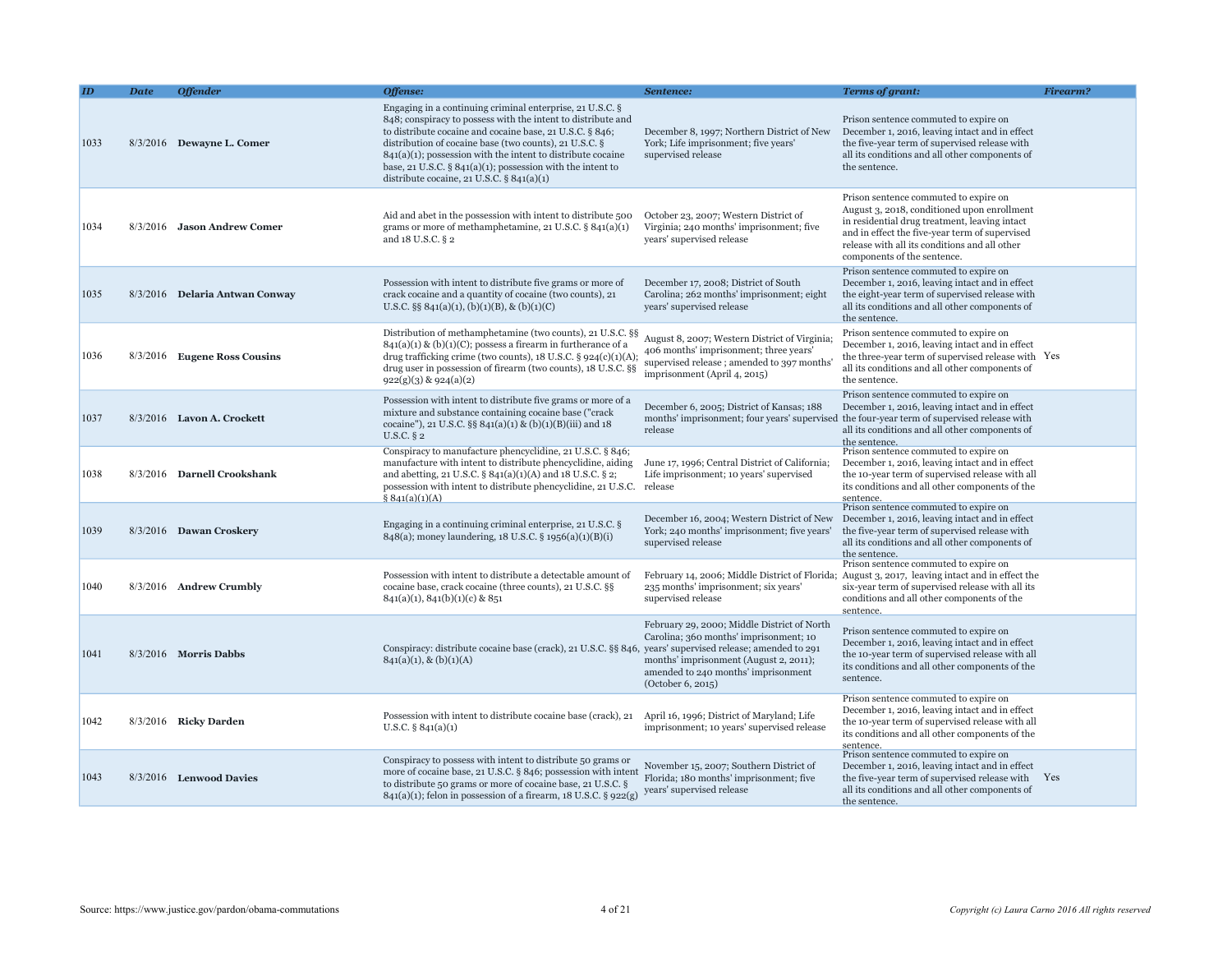|      | <b>Date</b> | <b>Offender</b>                | Offense:                                                                                                                                                                                                                                                                                                                                                                                                                            | Sentence:                                                                                                                                                                                   | <b>Terms of grant:</b>                                                                                                                                                                                                                                                  | Firearm? |
|------|-------------|--------------------------------|-------------------------------------------------------------------------------------------------------------------------------------------------------------------------------------------------------------------------------------------------------------------------------------------------------------------------------------------------------------------------------------------------------------------------------------|---------------------------------------------------------------------------------------------------------------------------------------------------------------------------------------------|-------------------------------------------------------------------------------------------------------------------------------------------------------------------------------------------------------------------------------------------------------------------------|----------|
| 1033 |             | 8/3/2016 Dewayne L. Comer      | Engaging in a continuing criminal enterprise, 21 U.S.C. §<br>848; conspiracy to possess with the intent to distribute and<br>to distribute cocaine and cocaine base, 21 U.S.C. § 846;<br>distribution of cocaine base (two counts), 21 U.S.C. §<br>$841(a)(1)$ ; possession with the intent to distribute cocaine<br>base, 21 U.S.C. $\S 841(a)(1)$ ; possession with the intent to<br>distribute cocaine, 21 U.S.C. $\S$ 841(a)(1) | December 8, 1997; Northern District of New<br>York; Life imprisonment; five years'<br>supervised release                                                                                    | Prison sentence commuted to expire on<br>December 1, 2016, leaving intact and in effect<br>the five-year term of supervised release with<br>all its conditions and all other components of<br>the sentence.                                                             |          |
| 1034 |             | 8/3/2016 Jason Andrew Comer    | Aid and abet in the possession with intent to distribute 500<br>grams or more of methamphetamine, $21$ U.S.C. § $841(a)(1)$<br>and 18 U.S.C. § 2                                                                                                                                                                                                                                                                                    | October 23, 2007; Western District of<br>Virginia; 240 months' imprisonment; five<br>years' supervised release                                                                              | Prison sentence commuted to expire on<br>August 3, 2018, conditioned upon enrollment<br>in residential drug treatment, leaving intact<br>and in effect the five-year term of supervised<br>release with all its conditions and all other<br>components of the sentence. |          |
| 1035 |             | 8/3/2016 Delaria Antwan Conway | Possession with intent to distribute five grams or more of<br>crack cocaine and a quantity of cocaine (two counts), 21<br>U.S.C. §§ 841(a)(1), (b)(1)(B), & (b)(1)(C)                                                                                                                                                                                                                                                               | December 17, 2008; District of South<br>Carolina; 262 months' imprisonment; eight<br>years' supervised release                                                                              | Prison sentence commuted to expire on<br>December 1, 2016, leaving intact and in effect<br>the eight-year term of supervised release with<br>all its conditions and all other components of<br>the sentence.                                                            |          |
| 1036 |             | 8/3/2016 Eugene Ross Cousins   | Distribution of methamphetamine (two counts), 21 U.S.C. §§<br>$841(a)(1)$ & (b)(1)(C); possess a firearm in furtherance of a<br>drug trafficking crime (two counts), $18$ U.S.C. § $924(c)(1)(A)$ ;<br>drug user in possession of firearm (two counts), 18 U.S.C. §§<br>$922(g)(3)$ & $924(a)(2)$                                                                                                                                   | August 8, 2007; Western District of Virginia;<br>406 months' imprisonment; three years'<br>supervised release; amended to 397 months'<br>imprisonment (April 4, 2015)                       | Prison sentence commuted to expire on<br>December 1, 2016, leaving intact and in effect<br>the three-year term of supervised release with Yes<br>all its conditions and all other components of<br>the sentence.                                                        |          |
| 1037 |             | 8/3/2016 Lavon A. Crockett     | Possession with intent to distribute five grams or more of a<br>mixture and substance containing cocaine base ("crack"<br>cocaine"), 21 U.S.C. §§ 841(a)(1) & (b)(1)(B)(iii) and 18<br>U.S.C. $\S$ 2                                                                                                                                                                                                                                | December 6, 2005; District of Kansas; 188<br>months' imprisonment; four years' supervised<br>release                                                                                        | Prison sentence commuted to expire on<br>December 1, 2016, leaving intact and in effect<br>the four-year term of supervised release with<br>all its conditions and all other components of<br>the sentence.                                                             |          |
| 1038 |             | 8/3/2016 Darnell Crookshank    | Conspiracy to manufacture phencyclidine, 21 U.S.C. § 846;<br>manufacture with intent to distribute phencyclidine, aiding<br>and abetting, 21 U.S.C. $\S$ 841(a)(1)(A) and 18 U.S.C. $\S$ 2;<br>possession with intent to distribute phencyclidine, 21 U.S.C.<br>\$841(a)(1)(A)                                                                                                                                                      | June 17, 1996; Central District of California;<br>Life imprisonment; 10 years' supervised<br>release                                                                                        | Prison sentence commuted to expire on<br>December 1, 2016, leaving intact and in effect<br>the 10-year term of supervised release with all<br>its conditions and all other components of the<br>sentence.                                                               |          |
| 1039 |             | 8/3/2016 Dawan Croskery        | Engaging in a continuing criminal enterprise, 21 U.S.C. §<br>848(a); money laundering, 18 U.S.C. § 1956(a)(1)(B)(i)                                                                                                                                                                                                                                                                                                                 | December 16, 2004; Western District of New<br>York; 240 months' imprisonment; five years'<br>supervised release                                                                             | Prison sentence commuted to expire on<br>December 1, 2016, leaving intact and in effect<br>the five-year term of supervised release with<br>all its conditions and all other components of<br>the sentence.                                                             |          |
| 1040 |             | 8/3/2016 Andrew Crumbly        | Possession with intent to distribute a detectable amount of<br>cocaine base, crack cocaine (three counts), 21 U.S.C. §§<br>$841(a)(1), 841(b)(1)(c)$ & 851                                                                                                                                                                                                                                                                          | February 14, 2006; Middle District of Florida;<br>235 months' imprisonment; six years'<br>supervised release                                                                                | Prison sentence commuted to expire on<br>August 3, 2017, leaving intact and in effect the<br>six-year term of supervised release with all its<br>conditions and all other components of the<br>sentence.                                                                |          |
| 1041 |             | $8/3/2016$ Morris Dabbs        | Conspiracy: distribute cocaine base (crack), 21 U.S.C. §§ 846, years' supervised release; amended to 291<br>$841(a)(1), \& (b)(1)(A)$                                                                                                                                                                                                                                                                                               | February 29, 2000; Middle District of North<br>Carolina; 360 months' imprisonment; 10<br>months' imprisonment (August 2, 2011);<br>amended to 240 months' imprisonment<br>(October 6, 2015) | Prison sentence commuted to expire on<br>December 1, 2016, leaving intact and in effect<br>the 10-year term of supervised release with all<br>its conditions and all other components of the<br>sentence.                                                               |          |
| 1042 |             | 8/3/2016 Ricky Darden          | Possession with intent to distribute cocaine base (crack), 21<br>U.S.C. $\S$ 841(a)(1)                                                                                                                                                                                                                                                                                                                                              | April 16, 1996; District of Maryland; Life<br>imprisonment; 10 years' supervised release                                                                                                    | Prison sentence commuted to expire on<br>December 1, 2016, leaving intact and in effect<br>the 10-year term of supervised release with all<br>its conditions and all other components of the<br>sentence.                                                               |          |
| 1043 |             | 8/3/2016 Lenwood Davies        | Conspiracy to possess with intent to distribute 50 grams or<br>more of cocaine base, 21 U.S.C. § 846; possession with intent<br>to distribute 50 grams or more of cocaine base, 21 U.S.C. §<br>841(a)(1); felon in possession of a firearm, 18 U.S.C. § 922(g) years' supervised release                                                                                                                                            | November 15, 2007; Southern District of<br>Florida; 180 months' imprisonment; five                                                                                                          | Prison sentence commuted to expire on<br>December 1, 2016, leaving intact and in effect<br>the five-year term of supervised release with<br>all its conditions and all other components of<br>the sentence.                                                             | Yes      |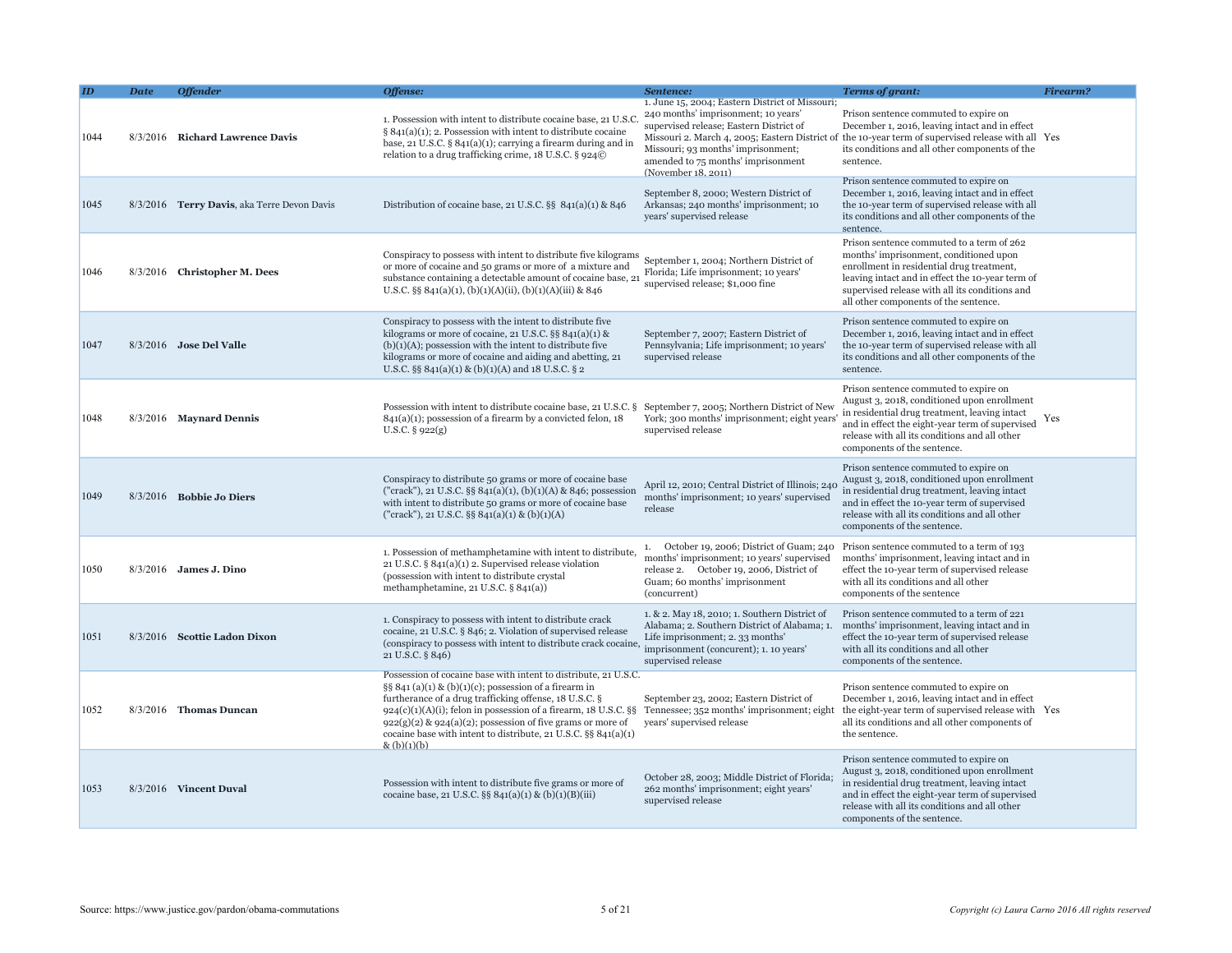|      | <b>Date</b> | <b>Offender</b>                             | Offense:                                                                                                                                                                                                                                                                                                                                                                                                             | Sentence:                                                                                                                                                                                                                            | Terms of grant:                                                                                                                                                                                                                                                                 | <b>Firearm?</b> |
|------|-------------|---------------------------------------------|----------------------------------------------------------------------------------------------------------------------------------------------------------------------------------------------------------------------------------------------------------------------------------------------------------------------------------------------------------------------------------------------------------------------|--------------------------------------------------------------------------------------------------------------------------------------------------------------------------------------------------------------------------------------|---------------------------------------------------------------------------------------------------------------------------------------------------------------------------------------------------------------------------------------------------------------------------------|-----------------|
| 1044 |             | 8/3/2016 Richard Lawrence Davis             | 1. Possession with intent to distribute cocaine base, 21 U.S.<br>$§ 841(a)(1); 2. Possession with intent to distribute cocaine$<br>base, 21 U.S.C. $\S$ 841(a)(1); carrying a firearm during and in<br>relation to a drug trafficking crime, 18 U.S.C. § 924©                                                                                                                                                        | 1. June 15, 2004; Eastern District of Missouri;<br>240 months' imprisonment; 10 years'<br>supervised release; Eastern District of<br>Missouri; 93 months' imprisonment;<br>amended to 75 months' imprisonment<br>(November 18, 2011) | Prison sentence commuted to expire on<br>December 1, 2016, leaving intact and in effect<br>Missouri 2. March 4, 2005; Eastern District of the 10-year term of supervised release with all Yes<br>its conditions and all other components of the<br>sentence.                    |                 |
| 1045 |             | 8/3/2016 Terry Davis, aka Terre Devon Davis | Distribution of cocaine base, 21 U.S.C. §§ 841(a)(1) & 846                                                                                                                                                                                                                                                                                                                                                           | September 8, 2000; Western District of<br>Arkansas; 240 months' imprisonment; 10<br>years' supervised release                                                                                                                        | Prison sentence commuted to expire on<br>December 1, 2016, leaving intact and in effect<br>the 10-year term of supervised release with all<br>its conditions and all other components of the<br>sentence.                                                                       |                 |
| 1046 |             | 8/3/2016 Christopher M. Dees                | Conspiracy to possess with intent to distribute five kilograms<br>or more of cocaine and 50 grams or more of a mixture and<br>substance containing a detectable amount of cocaine base, 21<br>U.S.C. §§ 841(a)(1), (b)(1)(A)(ii), (b)(1)(A)(iii) & 846                                                                                                                                                               | September 1, 2004; Northern District of<br>Florida; Life imprisonment; 10 years'<br>supervised release; \$1,000 fine                                                                                                                 | Prison sentence commuted to a term of 262<br>months' imprisonment, conditioned upon<br>enrollment in residential drug treatment,<br>leaving intact and in effect the 10-year term of<br>supervised release with all its conditions and<br>all other components of the sentence. |                 |
| 1047 |             | 8/3/2016 Jose Del Valle                     | Conspiracy to possess with the intent to distribute five<br>kilograms or more of cocaine, 21 U.S.C. $\S\S 841(a)(1)$ &<br>$(b)(1)(A)$ ; possession with the intent to distribute five<br>kilograms or more of cocaine and aiding and abetting, 21<br>U.S.C. §§ 841(a)(1) & (b)(1)(A) and 18 U.S.C. § 2                                                                                                               | September 7, 2007; Eastern District of<br>Pennsylvania; Life imprisonment; 10 years'<br>supervised release                                                                                                                           | Prison sentence commuted to expire on<br>December 1, 2016, leaving intact and in effect<br>the 10-year term of supervised release with all<br>its conditions and all other components of the<br>sentence.                                                                       |                 |
| 1048 |             | 8/3/2016 Maynard Dennis                     | Possession with intent to distribute cocaine base, 21 U.S.C. § September 7, 2005; Northern District of Nev<br>$841(a)(1)$ ; possession of a firearm by a convicted felon, 18<br>U.S.C. $\S$ 922(g)                                                                                                                                                                                                                   | York; 300 months' imprisonment; eight years<br>supervised release                                                                                                                                                                    | Prison sentence commuted to expire on<br>August 3, 2018, conditioned upon enrollment<br>in residential drug treatment, leaving intact<br>and in effect the eight-year term of supervised<br>release with all its conditions and all other<br>components of the sentence.        | Yes             |
| 1049 |             | $8/3/2016$ Bobbie Jo Diers                  | Conspiracy to distribute 50 grams or more of cocaine base<br>("crack"), 21 U.S.C. §§ 841(a)(1), (b)(1)(A) & 846; possession<br>with intent to distribute 50 grams or more of cocaine base<br>("crack"), 21 U.S.C. §§ $841(a)(1)$ & (b)(1)(A)                                                                                                                                                                         | April 12, 2010; Central District of Illinois; 24<br>months' imprisonment; 10 years' supervised<br>release                                                                                                                            | Prison sentence commuted to expire on<br>August 3, 2018, conditioned upon enrollment<br>in residential drug treatment, leaving intact<br>and in effect the 10-year term of supervised<br>release with all its conditions and all other<br>components of the sentence.           |                 |
| 1050 |             | $8/3/2016$ James J. Dino                    | 1. Possession of methamphetamine with intent to distribute,<br>21 U.S.C. § 841(a)(1) 2. Supervised release violation<br>(possession with intent to distribute crystal<br>methamphetamine, 21 U.S.C. § 841(a))                                                                                                                                                                                                        | 1. October 19, 2006; District of Guam; 240<br>months' imprisonment; 10 years' supervised<br>release 2. October 19, 2006, District of<br>Guam; 60 months' imprisonment<br>(concurrent)                                                | Prison sentence commuted to a term of 193<br>months' imprisonment, leaving intact and in<br>effect the 10-year term of supervised release<br>with all its conditions and all other<br>components of the sentence                                                                |                 |
| 1051 |             | 8/3/2016 Scottie Ladon Dixon                | 1. Conspiracy to possess with intent to distribute crack<br>cocaine, 21 U.S.C. § 846; 2. Violation of supervised release<br>(conspiracy to possess with intent to distribute crack cocaine,<br>21 U.S.C. § 846)                                                                                                                                                                                                      | 1. & 2. May 18, 2010; 1. Southern District of<br>Alabama; 2. Southern District of Alabama; 1.<br>Life imprisonment; 2.33 months'<br>imprisonment (concurent); 1. 10 years'<br>supervised release                                     | Prison sentence commuted to a term of 221<br>months' imprisonment, leaving intact and in<br>effect the 10-year term of supervised release<br>with all its conditions and all other<br>components of the sentence.                                                               |                 |
| 1052 |             | 8/3/2016 Thomas Duncan                      | Possession of cocaine base with intent to distribute, 21 U.S.C.<br>§§ 841 $(a)(1)$ & $(b)(1)(c)$ ; possession of a firearm in<br>furtherance of a drug trafficking offense, 18 U.S.C. §<br>$924(c)(1)(A)(i)$ ; felon in possession of a firearm, 18 U.S.C. §§<br>$922(g)(2)$ & $924(a)(2)$ ; possession of five grams or more of<br>cocaine base with intent to distribute, 21 U.S.C. §§ 841(a)(1)<br>$\&$ (b)(1)(b) | September 23, 2002; Eastern District of<br>Tennessee; 352 months' imprisonment; eight<br>years' supervised release                                                                                                                   | Prison sentence commuted to expire on<br>December 1, 2016, leaving intact and in effect<br>the eight-year term of supervised release with Yes<br>all its conditions and all other components of<br>the sentence.                                                                |                 |
| 1053 |             | 8/3/2016 Vincent Duval                      | Possession with intent to distribute five grams or more of<br>cocaine base, 21 U.S.C. §§ 841(a)(1) & (b)(1)(B)(iii)                                                                                                                                                                                                                                                                                                  | October 28, 2003; Middle District of Florida<br>262 months' imprisonment; eight years'<br>supervised release                                                                                                                         | Prison sentence commuted to expire on<br>August 3, 2018, conditioned upon enrollment<br>in residential drug treatment, leaving intact<br>and in effect the eight-year term of supervised<br>release with all its conditions and all other<br>components of the sentence.        |                 |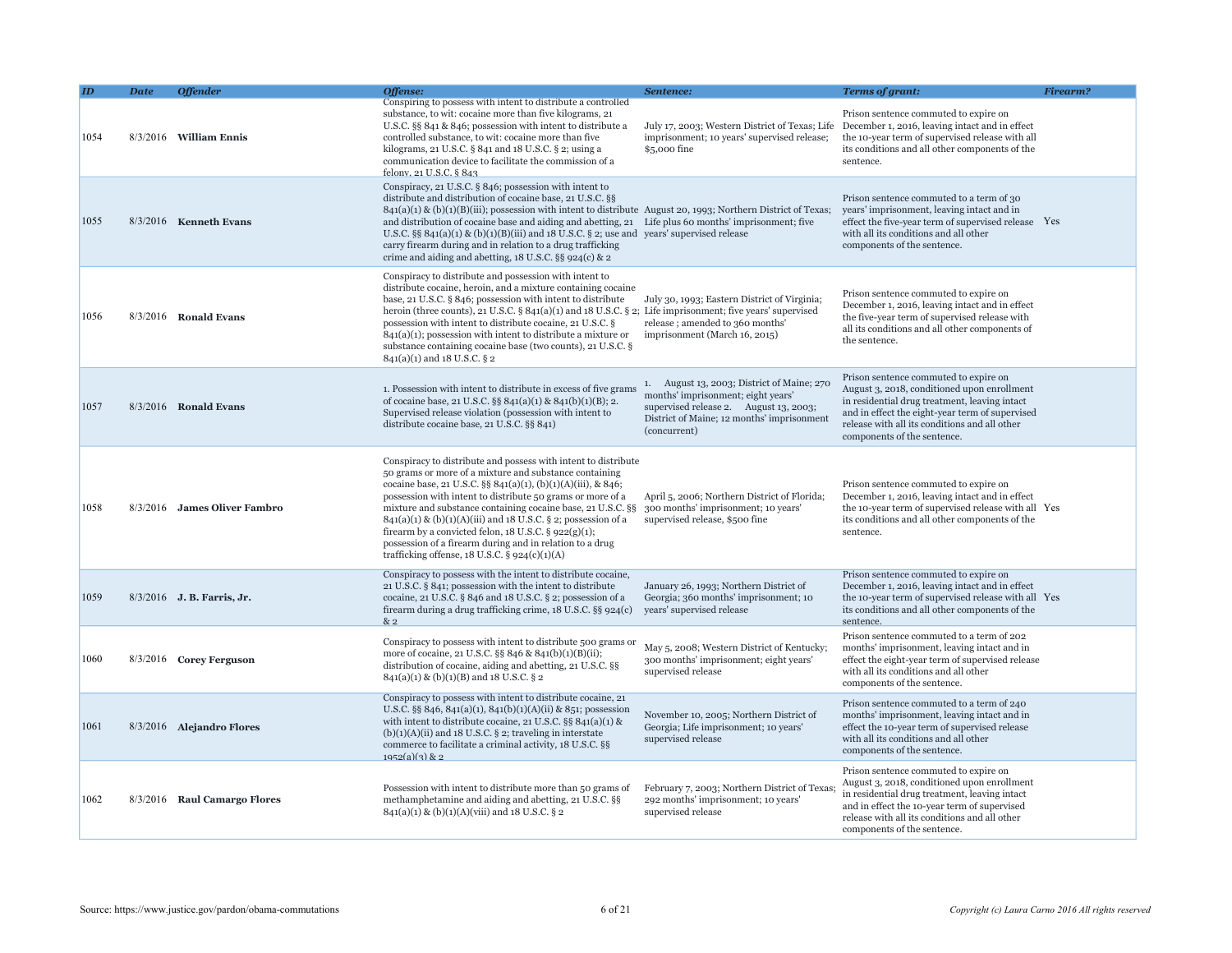|      | Date | <b>Offender</b>              | Offense:                                                                                                                                                                                                                                                                                                                                                                                                                                                                                                                                                              | Sentence:                                                                                                                                                                                | <b>Terms of grant:</b>                                                                                                                                                                                                                                                   | Firearm? |
|------|------|------------------------------|-----------------------------------------------------------------------------------------------------------------------------------------------------------------------------------------------------------------------------------------------------------------------------------------------------------------------------------------------------------------------------------------------------------------------------------------------------------------------------------------------------------------------------------------------------------------------|------------------------------------------------------------------------------------------------------------------------------------------------------------------------------------------|--------------------------------------------------------------------------------------------------------------------------------------------------------------------------------------------------------------------------------------------------------------------------|----------|
| 1054 |      | $8/3/2016$ William Ennis     | Conspiring to possess with intent to distribute a controlled<br>substance, to wit: cocaine more than five kilograms, 21<br>U.S.C. §§ 841 & 846; possession with intent to distribute a<br>controlled substance, to wit: cocaine more than five<br>kilograms, 21 U.S.C. § 841 and 18 U.S.C. § 2; using a<br>communication device to facilitate the commission of a<br>felony, 21 U.S.C. § 843                                                                                                                                                                          | imprisonment; 10 years' supervised release;<br>\$5,000 fine                                                                                                                              | Prison sentence commuted to expire on<br>July 17, 2003; Western District of Texas; Life December 1, 2016, leaving intact and in effect<br>the 10-year term of supervised release with all<br>its conditions and all other components of the<br>sentence.                 |          |
| 1055 |      | 8/3/2016 Kenneth Evans       | Conspiracy, 21 U.S.C. § 846; possession with intent to<br>distribute and distribution of cocaine base, 21 U.S.C. §§<br>$841(a)(1)$ & (b)(1)(B)(iii); possession with intent to distribute August 20, 1993; Northern District of Texas;<br>and distribution of cocaine base and aiding and abetting, 21 Life plus 60 months' imprisonment; five<br>U.S.C. §§ 841(a)(1) & (b)(1)(B)(iii) and 18 U.S.C. § 2; use and years' supervised release<br>carry firearm during and in relation to a drug trafficking<br>crime and aiding and abetting, $18$ U.S.C. §§ 924(c) & 2 |                                                                                                                                                                                          | Prison sentence commuted to a term of 30<br>years' imprisonment, leaving intact and in<br>effect the five-year term of supervised release Yes<br>with all its conditions and all other<br>components of the sentence.                                                    |          |
| 1056 |      | 8/3/2016 Ronald Evans        | Conspiracy to distribute and possession with intent to<br>distribute cocaine, heroin, and a mixture containing cocaine<br>base, 21 U.S.C. § 846; possession with intent to distribute<br>heroin (three counts), 21 U.S.C. § 841(a)(1) and 18 U.S.C. § 2; Life imprisonment; five years' supervised<br>possession with intent to distribute cocaine, 21 U.S.C. §<br>$841(a)(1)$ ; possession with intent to distribute a mixture or<br>substance containing cocaine base (two counts), 21 U.S.C. §<br>841(a)(1) and 18 U.S.C. § 2                                      | July 30, 1993; Eastern District of Virginia;<br>release; amended to 360 months'<br>imprisonment (March 16, 2015)                                                                         | Prison sentence commuted to expire on<br>December 1, 2016, leaving intact and in effect<br>the five-year term of supervised release with<br>all its conditions and all other components of<br>the sentence.                                                              |          |
| 1057 |      | 8/3/2016 Ronald Evans        | 1. Possession with intent to distribute in excess of five grams<br>of cocaine base, 21 U.S.C. §§ 841(a)(1) & 841(b)(1)(B); 2.<br>Supervised release violation (possession with intent to<br>distribute cocaine base, 21 U.S.C. §§ 841)                                                                                                                                                                                                                                                                                                                                | 1. August 13, 2003; District of Maine; 270<br>months' imprisonment; eight years'<br>supervised release 2. August 13, 2003;<br>District of Maine; 12 months' imprisonment<br>(concurrent) | Prison sentence commuted to expire on<br>August 3, 2018, conditioned upon enrollment<br>in residential drug treatment, leaving intact<br>and in effect the eight-year term of supervised<br>release with all its conditions and all other<br>components of the sentence. |          |
| 1058 |      | 8/3/2016 James Oliver Fambro | Conspiracy to distribute and possess with intent to distribute<br>50 grams or more of a mixture and substance containing<br>cocaine base, 21 U.S.C. §§ 841(a)(1), (b)(1)(A)(iii), & 846;<br>possession with intent to distribute 50 grams or more of a<br>mixture and substance containing cocaine base, 21 U.S.C. §§<br>841(a)(1) & (b)(1)(A)(iii) and 18 U.S.C. § 2; possession of a<br>firearm by a convicted felon, $18$ U.S.C. § $922(g)(1)$ ;<br>possession of a firearm during and in relation to a drug<br>trafficking offense, $18$ U.S.C. § $924(c)(1)(A)$  | April 5, 2006; Northern District of Florida;<br>300 months' imprisonment; 10 years'<br>supervised release, \$500 fine                                                                    | Prison sentence commuted to expire on<br>December 1, 2016, leaving intact and in effect<br>the 10-year term of supervised release with all Yes<br>its conditions and all other components of the<br>sentence.                                                            |          |
| 1059 |      | 8/3/2016 J. B. Farris, Jr.   | Conspiracy to possess with the intent to distribute cocaine,<br>21 U.S.C. § 841; possession with the intent to distribute<br>cocaine, 21 U.S.C. $\S$ 846 and 18 U.S.C. $\S$ 2; possession of a<br>firearm during a drug trafficking crime, 18 U.S.C. §§ 924(c)<br>&2                                                                                                                                                                                                                                                                                                  | January 26, 1993; Northern District of<br>Georgia; 360 months' imprisonment; 10<br>years' supervised release                                                                             | Prison sentence commuted to expire on<br>December 1, 2016, leaving intact and in effect<br>the 10-year term of supervised release with all Yes<br>its conditions and all other components of the<br>sentence.                                                            |          |
| 1060 |      | 8/3/2016 Corey Ferguson      | Conspiracy to possess with intent to distribute 500 grams or<br>more of cocaine, 21 U.S.C. §§ 846 & 841(b)(1)(B)(ii);<br>distribution of cocaine, aiding and abetting, 21 U.S.C. §§<br>841(a)(1) & (b)(1)(B) and 18 U.S.C. § 2                                                                                                                                                                                                                                                                                                                                        | May 5, 2008; Western District of Kentucky;<br>300 months' imprisonment; eight years'<br>supervised release                                                                               | Prison sentence commuted to a term of 202<br>months' imprisonment, leaving intact and in<br>effect the eight-year term of supervised release<br>with all its conditions and all other<br>components of the sentence.                                                     |          |
| 1061 |      | 8/3/2016 Alejandro Flores    | Conspiracy to possess with intent to distribute cocaine, 21<br>U.S.C. §§ 846, 841(a)(1), 841(b)(1)(A)(ii) & 851; possession<br>with intent to distribute cocaine, 21 U.S.C. $\S$ § 841(a)(1) &<br>$(b)(1)(A)(ii)$ and 18 U.S.C. § 2; traveling in interstate<br>commerce to facilitate a criminal activity, 18 U.S.C. §§<br>$1952(a)(3)$ & 2                                                                                                                                                                                                                          | November 10, 2005; Northern District of<br>Georgia; Life imprisonment; 10 years'<br>supervised release                                                                                   | Prison sentence commuted to a term of 240<br>months' imprisonment, leaving intact and in<br>effect the 10-year term of supervised release<br>with all its conditions and all other<br>components of the sentence.                                                        |          |
| 1062 |      | 8/3/2016 Raul Camargo Flores | Possession with intent to distribute more than 50 grams of<br>methamphetamine and aiding and abetting, 21 U.S.C. §§<br>841(a)(1) & (b)(1)(A)(viii) and 18 U.S.C. § 2                                                                                                                                                                                                                                                                                                                                                                                                  | February 7, 2003; Northern District of Texas<br>292 months' imprisonment; 10 years'<br>supervised release                                                                                | Prison sentence commuted to expire on<br>August 3, 2018, conditioned upon enrollment<br>in residential drug treatment, leaving intact<br>and in effect the 10-year term of supervised<br>release with all its conditions and all other<br>components of the sentence.    |          |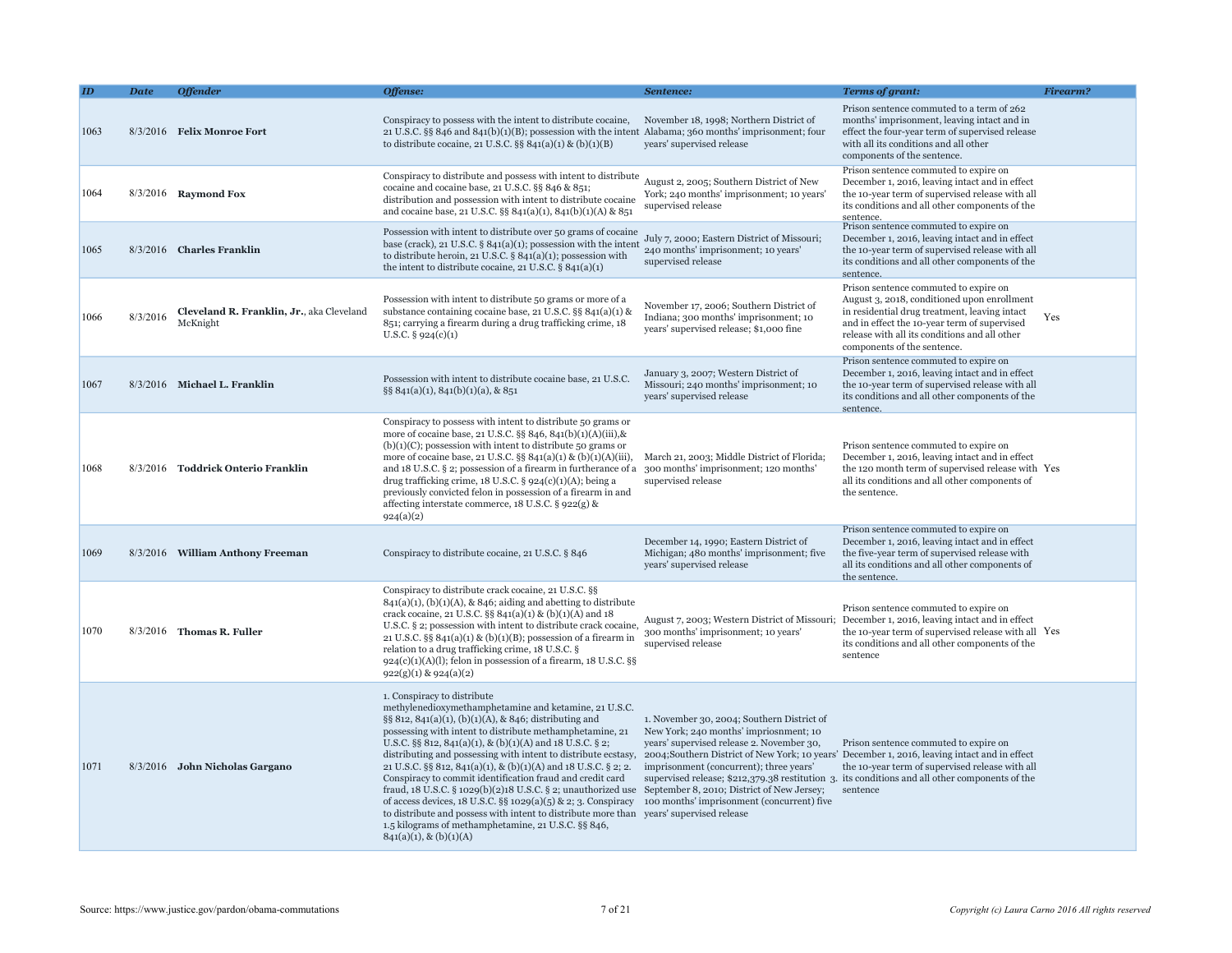|      | <b>Date</b> | <b>Offender</b>                                       | Offense:                                                                                                                                                                                                                                                                                                                                                                                                                                                                                                                                                                                                                                                                                                                                                                                                                                                                     | Sentence:                                                                                                                                                                   | <b>Terms of grant:</b>                                                                                                                                                                                                                                                                                  | <b>Firearm?</b> |
|------|-------------|-------------------------------------------------------|------------------------------------------------------------------------------------------------------------------------------------------------------------------------------------------------------------------------------------------------------------------------------------------------------------------------------------------------------------------------------------------------------------------------------------------------------------------------------------------------------------------------------------------------------------------------------------------------------------------------------------------------------------------------------------------------------------------------------------------------------------------------------------------------------------------------------------------------------------------------------|-----------------------------------------------------------------------------------------------------------------------------------------------------------------------------|---------------------------------------------------------------------------------------------------------------------------------------------------------------------------------------------------------------------------------------------------------------------------------------------------------|-----------------|
| 1063 |             | 8/3/2016 Felix Monroe Fort                            | Conspiracy to possess with the intent to distribute cocaine,<br>21 U.S.C. §§ 846 and 841(b)(1)(B); possession with the intent Alabama; 360 months' imprisonment; four<br>to distribute cocaine, 21 U.S.C. §§ 841(a)(1) & (b)(1)(B)                                                                                                                                                                                                                                                                                                                                                                                                                                                                                                                                                                                                                                           | November 18, 1998; Northern District of<br>years' supervised release                                                                                                        | Prison sentence commuted to a term of 262<br>months' imprisonment, leaving intact and in<br>effect the four-year term of supervised release<br>with all its conditions and all other<br>components of the sentence.                                                                                     |                 |
| 1064 |             | 8/3/2016 Raymond Fox                                  | Conspiracy to distribute and possess with intent to distribute<br>cocaine and cocaine base, 21 U.S.C. §§ 846 & 851;<br>distribution and possession with intent to distribute cocaine<br>and cocaine base, 21 U.S.C. §§ 841(a)(1), 841(b)(1)(A) & 851                                                                                                                                                                                                                                                                                                                                                                                                                                                                                                                                                                                                                         | August 2, 2005; Southern District of New<br>York; 240 months' imprisonment; 10 years'<br>supervised release                                                                 | Prison sentence commuted to expire on<br>December 1, 2016, leaving intact and in effect<br>the 10-year term of supervised release with all<br>its conditions and all other components of the<br>sentence.                                                                                               |                 |
| 1065 |             | 8/3/2016 Charles Franklin                             | Possession with intent to distribute over 50 grams of cocaine<br>base (crack), 21 U.S.C. § 841(a)(1); possession with the intent<br>to distribute heroin, 21 U.S.C. $\S$ 841(a)(1); possession with<br>the intent to distribute cocaine, 21 U.S.C. § 841(a)(1)                                                                                                                                                                                                                                                                                                                                                                                                                                                                                                                                                                                                               | July 7, 2000; Eastern District of Missouri;<br>240 months' imprisonment; 10 years'<br>supervised release                                                                    | Prison sentence commuted to expire on<br>December 1, 2016, leaving intact and in effect<br>the 10-year term of supervised release with all<br>its conditions and all other components of the<br>sentence.                                                                                               |                 |
| 1066 | 8/3/2016    | Cleveland R. Franklin, Jr., aka Cleveland<br>McKnight | Possession with intent to distribute 50 grams or more of a<br>substance containing cocaine base, 21 U.S.C. $\S$ § 841(a)(1) &<br>851; carrying a firearm during a drug trafficking crime, 18<br>U.S.C. $\S$ 924(c)(1)                                                                                                                                                                                                                                                                                                                                                                                                                                                                                                                                                                                                                                                        | November 17, 2006; Southern District of<br>Indiana; 300 months' imprisonment; 10<br>years' supervised release; \$1,000 fine                                                 | Prison sentence commuted to expire on<br>August 3, 2018, conditioned upon enrollment<br>in residential drug treatment, leaving intact<br>and in effect the 10-year term of supervised<br>release with all its conditions and all other<br>components of the sentence.                                   | Yes             |
| 1067 |             | 8/3/2016 Michael L. Franklin                          | Possession with intent to distribute cocaine base, 21 U.S.C.<br>§§ 841(a)(1), 841(b)(1)(a), & 851                                                                                                                                                                                                                                                                                                                                                                                                                                                                                                                                                                                                                                                                                                                                                                            | January 3, 2007; Western District of<br>Missouri; 240 months' imprisonment; 10<br>years' supervised release                                                                 | Prison sentence commuted to expire on<br>December 1, 2016, leaving intact and in effect<br>the 10-year term of supervised release with all<br>its conditions and all other components of the<br>sentence.                                                                                               |                 |
| 1068 |             | 8/3/2016 Toddrick Onterio Franklin                    | Conspiracy to possess with intent to distribute 50 grams or<br>more of cocaine base, 21 U.S.C. §§ 846, 841(b)(1)(A)(iii),&<br>$(b)(1)(C)$ ; possession with intent to distribute 50 grams or<br>more of cocaine base, 21 U.S.C. $\S$ 841(a)(1) & (b)(1)(A)(iii),<br>and 18 U.S.C. § 2; possession of a firearm in furtherance of a<br>drug trafficking crime, $18 \text{ U.S.C.}$ § $924(c)(1)(A)$ ; being a<br>previously convicted felon in possession of a firearm in and<br>affecting interstate commerce, 18 U.S.C. § 922(g) &<br>924(a)(2)                                                                                                                                                                                                                                                                                                                             | March 21, 2003; Middle District of Florida;<br>300 months' imprisonment; 120 months'<br>supervised release                                                                  | Prison sentence commuted to expire on<br>December 1, 2016, leaving intact and in effect<br>the 120 month term of supervised release with Yes<br>all its conditions and all other components of<br>the sentence.                                                                                         |                 |
| 1069 |             | 8/3/2016 William Anthony Freeman                      | Conspiracy to distribute cocaine, 21 U.S.C. § 846                                                                                                                                                                                                                                                                                                                                                                                                                                                                                                                                                                                                                                                                                                                                                                                                                            | December 14, 1990; Eastern District of<br>Michigan; 480 months' imprisonment; five<br>years' supervised release                                                             | Prison sentence commuted to expire on<br>December 1, 2016, leaving intact and in effect<br>the five-year term of supervised release with<br>all its conditions and all other components of<br>the sentence.                                                                                             |                 |
| 1070 |             | $8/3/2016$ Thomas R. Fuller                           | Conspiracy to distribute crack cocaine, 21 U.S.C. §§<br>$841(a)(1)$ , (b)(1)(A), & 846; aiding and abetting to distribute<br>crack cocaine, 21 U.S.C. §§ 841(a)(1) & (b)(1)(A) and 18<br>U.S.C. § 2; possession with intent to distribute crack cocaine,<br>21 U.S.C. §§ $841(a)(1)$ & (b)(1)(B); possession of a firearm in<br>relation to a drug trafficking crime, 18 U.S.C. §<br>$924(c)(1)(A)(1)$ ; felon in possession of a firearm, 18 U.S.C. §§<br>$922(g)(1)$ & $924(a)(2)$                                                                                                                                                                                                                                                                                                                                                                                         | August 7, 2003; Western District of Missouri;<br>300 months' imprisonment; 10 years'<br>supervised release                                                                  | Prison sentence commuted to expire on<br>December 1, 2016, leaving intact and in effect<br>the 10-year term of supervised release with all Yes<br>its conditions and all other components of the<br>sentence                                                                                            |                 |
| 1071 |             | 8/3/2016 John Nicholas Gargano                        | 1. Conspiracy to distribute<br>methylenedioxymethamphetamine and ketamine, 21 U.S.C.<br>§§ 812, 841(a)(1), (b)(1)(A), & 846; distributing and<br>possessing with intent to distribute methamphetamine, 21<br>U.S.C. §§ 812, 841(a)(1), & (b)(1)(A) and 18 U.S.C. § 2;<br>distributing and possessing with intent to distribute ecstasy,<br>21 U.S.C. §§ 812, 841(a)(1), & (b)(1)(A) and 18 U.S.C. § 2; 2.<br>Conspiracy to commit identification fraud and credit card<br>fraud, 18 U.S.C. § 1029(b)(2)18 U.S.C. § 2; unauthorized use September 8, 2010; District of New Jersey;<br>of access devices, 18 U.S.C. §§ 1029(a)(5) & 2; 3. Conspiracy 100 months' imprisonment (concurrent) five<br>to distribute and possess with intent to distribute more than years' supervised release<br>1.5 kilograms of methamphetamine, 21 U.S.C. §§ 846,<br>$841(a)(1), \& (b)(1)(A)$ | 1. November 30, 2004; Southern District of<br>New York; 240 months' impriorment; 10<br>years' supervised release 2. November 30,<br>imprisonment (concurrent); three years' | Prison sentence commuted to expire on<br>2004; Southern District of New York; 10 years' December 1, 2016, leaving intact and in effect<br>the 10-year term of supervised release with all<br>supervised release; \$212,379.38 restitution 3. its conditions and all other components of the<br>sentence |                 |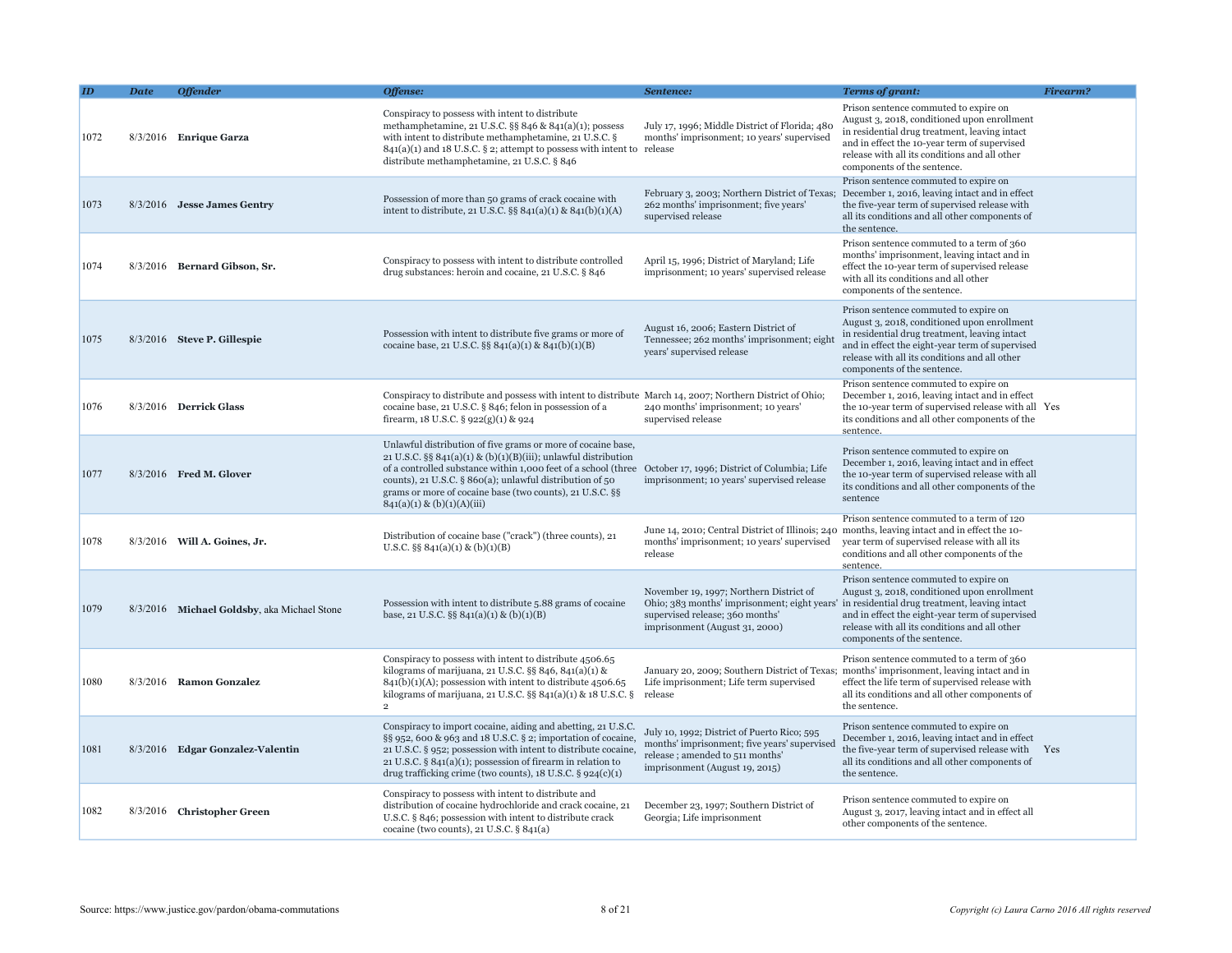|      | <b>Date</b> | <b>Offender</b>                             | Offense:                                                                                                                                                                                                                                                                                                                                                                                                 | Sentence:                                                                                                                                                                                                  | <b>Terms of grant:</b>                                                                                                                                                                                                                                                   | <b>Firearm?</b> |
|------|-------------|---------------------------------------------|----------------------------------------------------------------------------------------------------------------------------------------------------------------------------------------------------------------------------------------------------------------------------------------------------------------------------------------------------------------------------------------------------------|------------------------------------------------------------------------------------------------------------------------------------------------------------------------------------------------------------|--------------------------------------------------------------------------------------------------------------------------------------------------------------------------------------------------------------------------------------------------------------------------|-----------------|
| 1072 |             | $8/3/2016$ Enrique Garza                    | Conspiracy to possess with intent to distribute<br>methamphetamine, 21 U.S.C. §§ 846 & 841(a)(1); possess<br>with intent to distribute methamphetamine, 21 U.S.C. §<br>$841(a)(1)$ and 18 U.S.C. § 2; attempt to possess with intent to release<br>distribute methamphetamine, 21 U.S.C. § 846                                                                                                           | July 17, 1996; Middle District of Florida; 480<br>months' imprisonment; 10 years' supervised                                                                                                               | Prison sentence commuted to expire on<br>August 3, 2018, conditioned upon enrollment<br>in residential drug treatment, leaving intact<br>and in effect the 10-year term of supervised<br>release with all its conditions and all other<br>components of the sentence.    |                 |
| 1073 |             | 8/3/2016 Jesse James Gentry                 | Possession of more than 50 grams of crack cocaine with<br>intent to distribute, 21 U.S.C. $\S$ § 841(a)(1) & 841(b)(1)(A)                                                                                                                                                                                                                                                                                | February 3, 2003; Northern District of Texas;<br>262 months' imprisonment; five years'<br>supervised release                                                                                               | Prison sentence commuted to expire on<br>December 1, 2016, leaving intact and in effect<br>the five-year term of supervised release with<br>all its conditions and all other components of<br>the sentence.                                                              |                 |
| 1074 |             | 8/3/2016 Bernard Gibson, Sr.                | Conspiracy to possess with intent to distribute controlled<br>drug substances: heroin and cocaine, 21 U.S.C. § 846                                                                                                                                                                                                                                                                                       | April 15, 1996; District of Maryland; Life<br>imprisonment; 10 years' supervised release                                                                                                                   | Prison sentence commuted to a term of 360<br>months' imprisonment, leaving intact and in<br>effect the 10-year term of supervised release<br>with all its conditions and all other<br>components of the sentence.                                                        |                 |
| 1075 |             | 8/3/2016 Steve P. Gillespie                 | Possession with intent to distribute five grams or more of<br>cocaine base, 21 U.S.C. §§ 841(a)(1) & 841(b)(1)(B)                                                                                                                                                                                                                                                                                        | August 16, 2006; Eastern District of<br>Tennessee; 262 months' imprisonment; eight<br>years' supervised release                                                                                            | Prison sentence commuted to expire on<br>August 3, 2018, conditioned upon enrollment<br>in residential drug treatment, leaving intact<br>and in effect the eight-year term of supervised<br>release with all its conditions and all other<br>components of the sentence. |                 |
| 1076 |             | 8/3/2016 Derrick Glass                      | Conspiracy to distribute and possess with intent to distribute March 14, 2007; Northern District of Ohio;<br>cocaine base, 21 U.S.C. § 846; felon in possession of a<br>firearm, $18$ U.S.C. § $922(g)(1)$ & $924$                                                                                                                                                                                       | 240 months' imprisonment; 10 years'<br>supervised release                                                                                                                                                  | Prison sentence commuted to expire on<br>December 1, 2016, leaving intact and in effect<br>the 10-year term of supervised release with all Yes<br>its conditions and all other components of the<br>sentence.                                                            |                 |
| 1077 |             | 8/3/2016 Fred M. Glover                     | Unlawful distribution of five grams or more of cocaine base,<br>21 U.S.C. §§ $841(a)(1)$ & (b)(1)(B)(iii); unlawful distribution<br>of a controlled substance within 1,000 feet of a school (three October 17, 1996; District of Columbia; Life<br>counts), 21 U.S.C. § 860(a); unlawful distribution of 50<br>grams or more of cocaine base (two counts), 21 U.S.C. §§<br>$841(a)(1) \& (b)(1)(A)(iii)$ | imprisonment; 10 years' supervised release                                                                                                                                                                 | Prison sentence commuted to expire on<br>December 1, 2016, leaving intact and in effect<br>the 10-year term of supervised release with all<br>its conditions and all other components of the<br>sentence                                                                 |                 |
| 1078 |             | 8/3/2016 Will A. Goines, Jr.                | Distribution of cocaine base ("crack") (three counts), 21<br>U.S.C. $\S\S 841(a)(1) \& (b)(1)(B)$                                                                                                                                                                                                                                                                                                        | June 14, 2010; Central District of Illinois; 240 months, leaving intact and in effect the 10-<br>months' imprisonment; 10 years' supervised<br>release                                                     | Prison sentence commuted to a term of 120<br>year term of supervised release with all its<br>conditions and all other components of the<br>sentence.                                                                                                                     |                 |
| 1079 |             | 8/3/2016 Michael Goldsby, aka Michael Stone | Possession with intent to distribute 5.88 grams of cocaine<br>base, 21 U.S.C. §§ 841(a)(1) & (b)(1)(B)                                                                                                                                                                                                                                                                                                   | November 19, 1997; Northern District of<br>Ohio; 383 months' imprisonment; eight years' in residential drug treatment, leaving intact<br>supervised release; 360 months'<br>imprisonment (August 31, 2000) | Prison sentence commuted to expire on<br>August 3, 2018, conditioned upon enrollment<br>and in effect the eight-year term of supervised<br>release with all its conditions and all other<br>components of the sentence.                                                  |                 |
| 1080 |             | 8/3/2016 Ramon Gonzalez                     | Conspiracy to possess with intent to distribute 4506.65<br>kilograms of marijuana, 21 U.S.C. $\S$ § 846, 841(a)(1) &<br>$841(b)(1)(A)$ ; possession with intent to distribute 4506.65<br>kilograms of marijuana, 21 U.S.C. §§ 841(a)(1) & 18 U.S.C. §<br>$\overline{2}$                                                                                                                                  | January 20, 2009; Southern District of Texas;<br>Life imprisonment; Life term supervised<br>release                                                                                                        | Prison sentence commuted to a term of 360<br>months' imprisonment, leaving intact and in<br>effect the life term of supervised release with<br>all its conditions and all other components of<br>the sentence.                                                           |                 |
| 1081 |             | 8/3/2016 Edgar Gonzalez-Valentin            | Conspiracy to import cocaine, aiding and abetting, 21 U.S.C.<br>§§ 952, 600 & 963 and 18 U.S.C. § 2; importation of cocaine,<br>21 U.S.C. § 952; possession with intent to distribute cocaine,<br>21 U.S.C. $\S$ 841(a)(1); possession of firearm in relation to<br>drug trafficking crime (two counts), $18$ U.S.C. § $924(c)(1)$                                                                       | July 10, 1992; District of Puerto Rico; 595<br>months' imprisonment; five years' supervised<br>release; amended to 511 months'<br>imprisonment (August 19, 2015)                                           | Prison sentence commuted to expire on<br>December 1, 2016, leaving intact and in effect<br>the five-year term of supervised release with<br>all its conditions and all other components of<br>the sentence.                                                              | Yes             |
| 1082 |             | 8/3/2016 Christopher Green                  | Conspiracy to possess with intent to distribute and<br>distribution of cocaine hydrochloride and crack cocaine, 21<br>U.S.C. § 846; possession with intent to distribute crack<br>cocaine (two counts), 21 U.S.C. $\S 841(a)$                                                                                                                                                                            | December 23, 1997; Southern District of<br>Georgia; Life imprisonment                                                                                                                                      | Prison sentence commuted to expire on<br>August 3, 2017, leaving intact and in effect all<br>other components of the sentence.                                                                                                                                           |                 |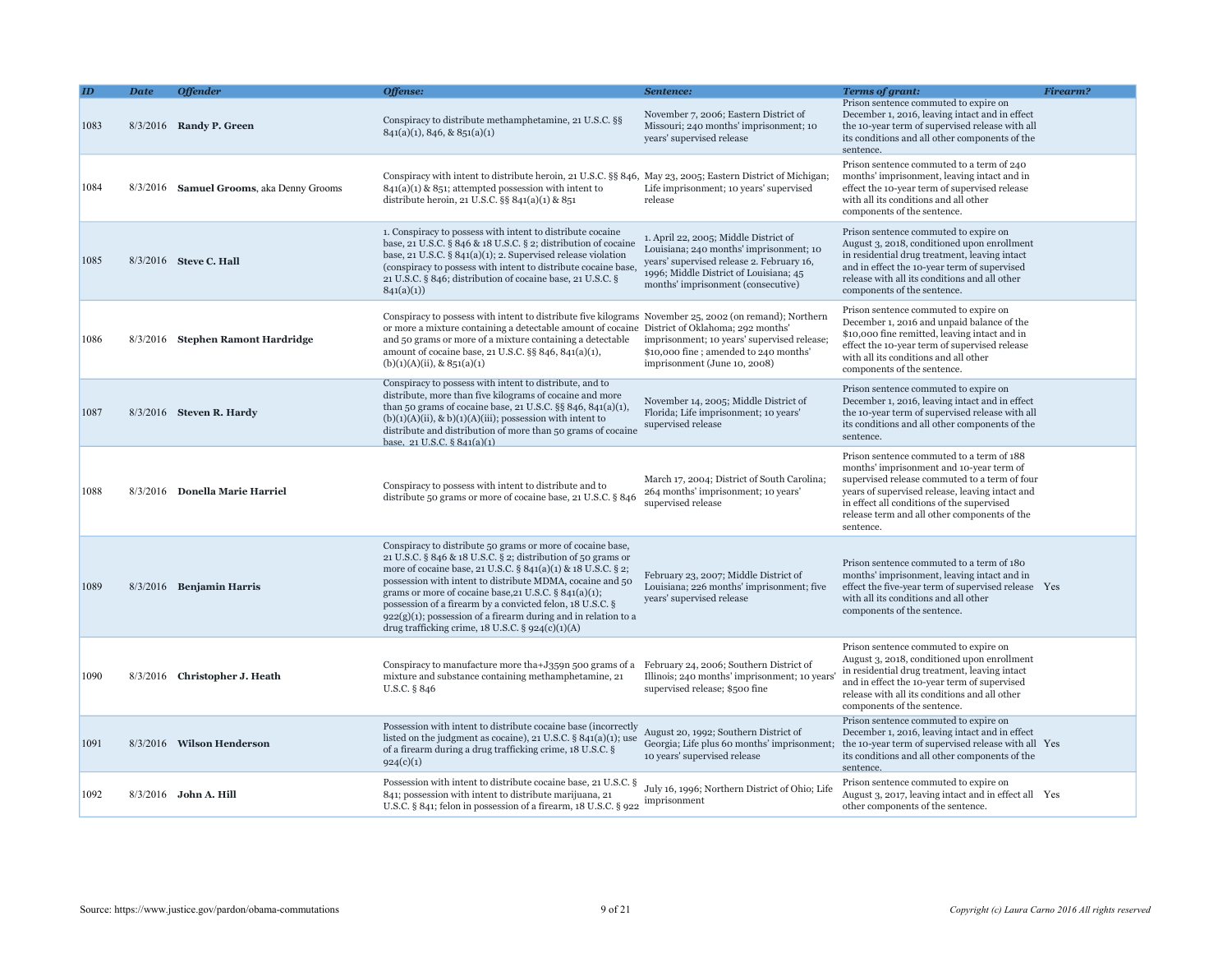|      | <b>Date</b> | <b>Offender</b>                          | Offense:                                                                                                                                                                                                                                                                                                                                                                                                                                                                                                       | Sentence:                                                                                                                                                                                                     | Terms of grant:                                                                                                                                                                                                                                                                                      | Firearm? |
|------|-------------|------------------------------------------|----------------------------------------------------------------------------------------------------------------------------------------------------------------------------------------------------------------------------------------------------------------------------------------------------------------------------------------------------------------------------------------------------------------------------------------------------------------------------------------------------------------|---------------------------------------------------------------------------------------------------------------------------------------------------------------------------------------------------------------|------------------------------------------------------------------------------------------------------------------------------------------------------------------------------------------------------------------------------------------------------------------------------------------------------|----------|
| 1083 |             | 8/3/2016 Randy P. Green                  | Conspiracy to distribute methamphetamine, 21 U.S.C. §§<br>$841(a)(1), 846, \& 851(a)(1)$                                                                                                                                                                                                                                                                                                                                                                                                                       | November 7, 2006; Eastern District of<br>Missouri; 240 months' imprisonment; 10<br>years' supervised release                                                                                                  | Prison sentence commuted to expire on<br>December 1, 2016, leaving intact and in effect<br>the 10-year term of supervised release with all<br>its conditions and all other components of the<br>sentence.                                                                                            |          |
| 1084 |             | 8/3/2016 Samuel Grooms, aka Denny Grooms | Conspiracy with intent to distribute heroin, 21 U.S.C. §§ 846, May 23, 2005; Eastern District of Michigan;<br>$841(a)(1)$ & $851$ ; attempted possession with intent to<br>distribute heroin, 21 U.S.C. §§ $841(a)(1)$ & $851$                                                                                                                                                                                                                                                                                 | Life imprisonment; 10 years' supervised<br>release                                                                                                                                                            | Prison sentence commuted to a term of 240<br>months' imprisonment, leaving intact and in<br>effect the 10-year term of supervised release<br>with all its conditions and all other<br>components of the sentence.                                                                                    |          |
| 1085 |             | 8/3/2016 Steve C. Hall                   | 1. Conspiracy to possess with intent to distribute cocaine<br>base, 21 U.S.C. § 846 & 18 U.S.C. § 2; distribution of cocaine<br>base, 21 U.S.C. $\S 841(a)(1)$ ; 2. Supervised release violation<br>(conspiracy to possess with intent to distribute cocaine base,<br>21 U.S.C. § 846; distribution of cocaine base, 21 U.S.C. §<br>841(a)(1)                                                                                                                                                                  | 1. April 22, 2005; Middle District of<br>Louisiana; 240 months' imprisonment; 10<br>years' supervised release 2. February 16,<br>1996; Middle District of Louisiana; 45<br>months' imprisonment (consecutive) | Prison sentence commuted to expire on<br>August 3, 2018, conditioned upon enrollment<br>in residential drug treatment, leaving intact<br>and in effect the 10-year term of supervised<br>release with all its conditions and all other<br>components of the sentence.                                |          |
| 1086 |             | 8/3/2016 Stephen Ramont Hardridge        | Conspiracy to possess with intent to distribute five kilograms November 25, 2002 (on remand); Northern<br>or more a mixture containing a detectable amount of cocaine District of Oklahoma; 292 months'<br>and 50 grams or more of a mixture containing a detectable<br>amount of cocaine base, 21 U.S.C. $\S$ § 846, 841(a)(1),<br>$(b)(1)(A)(ii)$ , & 851(a)(1)                                                                                                                                              | imprisonment; 10 years' supervised release;<br>\$10,000 fine; amended to 240 months'<br>imprisonment (June 10, 2008)                                                                                          | Prison sentence commuted to expire on<br>December 1, 2016 and unpaid balance of the<br>\$10,000 fine remitted, leaving intact and in<br>effect the 10-year term of supervised release<br>with all its conditions and all other<br>components of the sentence.                                        |          |
| 1087 |             | $8/3/2016$ Steven R. Hardy               | Conspiracy to possess with intent to distribute, and to<br>distribute, more than five kilograms of cocaine and more<br>than 50 grams of cocaine base, 21 U.S.C. §§ 846, 841(a)(1),<br>$(b)(1)(A)(ii)$ , & $b)(1)(A)(iii)$ ; possession with intent to<br>distribute and distribution of more than 50 grams of cocaine<br>base. 21 U.S.C. § 841(a)(1)                                                                                                                                                           | November 14, 2005; Middle District of<br>Florida; Life imprisonment; 10 years'<br>supervised release                                                                                                          | Prison sentence commuted to expire on<br>December 1, 2016, leaving intact and in effect<br>the 10-year term of supervised release with all<br>its conditions and all other components of the<br>sentence.                                                                                            |          |
| 1088 |             | 8/3/2016 Donella Marie Harriel           | Conspiracy to possess with intent to distribute and to<br>distribute 50 grams or more of cocaine base, 21 U.S.C. § 846                                                                                                                                                                                                                                                                                                                                                                                         | March 17, 2004; District of South Carolina;<br>264 months' imprisonment; 10 years'<br>supervised release                                                                                                      | Prison sentence commuted to a term of 188<br>months' imprisonment and 10-year term of<br>supervised release commuted to a term of four<br>years of supervised release, leaving intact and<br>in effect all conditions of the supervised<br>release term and all other components of the<br>sentence. |          |
| 1089 |             | $8/3/2016$ Benjamin Harris               | Conspiracy to distribute 50 grams or more of cocaine base,<br>21 U.S.C. § 846 & 18 U.S.C. § 2; distribution of 50 grams or<br>more of cocaine base, 21 U.S.C. § 841(a)(1) & 18 U.S.C. § 2;<br>possession with intent to distribute MDMA, cocaine and 50<br>grams or more of cocaine base, 21 U.S.C. $\S 841(a)(1)$ ;<br>possession of a firearm by a convicted felon, 18 U.S.C. §<br>$922(g)(1)$ ; possession of a firearm during and in relation to a<br>drug trafficking crime, $18$ U.S.C. § $924(c)(1)(A)$ | February 23, 2007; Middle District of<br>Louisiana; 226 months' imprisonment; five<br>years' supervised release                                                                                               | Prison sentence commuted to a term of 180<br>months' imprisonment, leaving intact and in<br>effect the five-year term of supervised release Yes<br>with all its conditions and all other<br>components of the sentence.                                                                              |          |
| 1090 |             | 8/3/2016 Christopher J. Heath            | Conspiracy to manufacture more tha+J359n 500 grams of a<br>mixture and substance containing methamphetamine, 21<br>U.S.C. § 846                                                                                                                                                                                                                                                                                                                                                                                | February 24, 2006; Southern District of<br>Illinois; 240 months' imprisonment; 10 year<br>supervised release; \$500 fine                                                                                      | Prison sentence commuted to expire on<br>August 3, 2018, conditioned upon enrollment<br>in residential drug treatment, leaving intact<br>and in effect the 10-year term of supervised<br>release with all its conditions and all other<br>components of the sentence.                                |          |
| 1091 |             | 8/3/2016 Wilson Henderson                | Possession with intent to distribute cocaine base (incorrectly<br>listed on the judgment as cocaine), 21 U.S.C. $\S$ 841(a)(1); use<br>of a firearm during a drug trafficking crime, 18 U.S.C. §<br>924(c)(1)                                                                                                                                                                                                                                                                                                  | August 20, 1992; Southern District of<br>Georgia; Life plus 60 months' imprisonment;<br>10 years' supervised release                                                                                          | Prison sentence commuted to expire on<br>December 1, 2016, leaving intact and in effect<br>the 10-year term of supervised release with all Yes<br>its conditions and all other components of the<br>sentence.                                                                                        |          |
| 1092 |             | 8/3/2016 John A. Hill                    | Possession with intent to distribute cocaine base, 21 U.S.C. §<br>841; possession with intent to distribute marijuana, 21<br>U.S.C. § 841; felon in possession of a firearm, 18 U.S.C. § 922                                                                                                                                                                                                                                                                                                                   | July 16, 1996; Northern District of Ohio; Life<br>imprisonment                                                                                                                                                | Prison sentence commuted to expire on<br>August 3, 2017, leaving intact and in effect all Yes<br>other components of the sentence.                                                                                                                                                                   |          |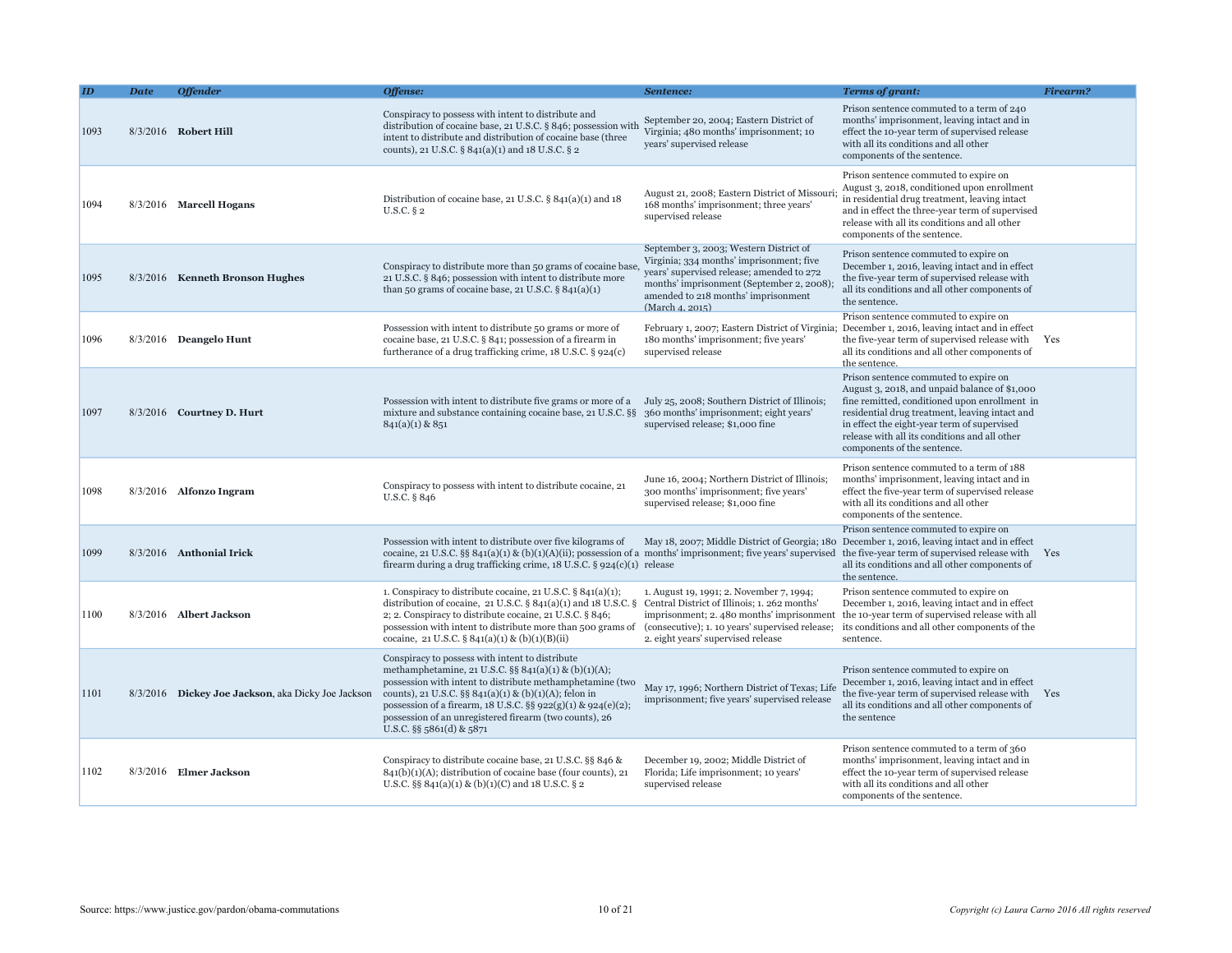|      | <b>Date</b> | <b>Offender</b>                                    | Offense:                                                                                                                                                                                                                                                                                                                                                                              | Sentence:                                                                                                                                                                                                                              | <b>Terms of grant:</b>                                                                                                                                                                                                                                                                                                   | Firearm? |
|------|-------------|----------------------------------------------------|---------------------------------------------------------------------------------------------------------------------------------------------------------------------------------------------------------------------------------------------------------------------------------------------------------------------------------------------------------------------------------------|----------------------------------------------------------------------------------------------------------------------------------------------------------------------------------------------------------------------------------------|--------------------------------------------------------------------------------------------------------------------------------------------------------------------------------------------------------------------------------------------------------------------------------------------------------------------------|----------|
| 1093 |             | 8/3/2016 Robert Hill                               | Conspiracy to possess with intent to distribute and<br>distribution of cocaine base, 21 U.S.C. § 846; possession with<br>intent to distribute and distribution of cocaine base (three<br>counts), 21 U.S.C. § 841(a)(1) and 18 U.S.C. § 2                                                                                                                                             | September 20, 2004; Eastern District of<br>Virginia; 480 months' imprisonment; 10<br>years' supervised release                                                                                                                         | Prison sentence commuted to a term of 240<br>months' imprisonment, leaving intact and in<br>effect the 10-year term of supervised release<br>with all its conditions and all other<br>components of the sentence.                                                                                                        |          |
| 1094 |             | 8/3/2016 Marcell Hogans                            | Distribution of cocaine base, 21 U.S.C. § 841(a)(1) and 18<br>$U.S.C.$ § 2                                                                                                                                                                                                                                                                                                            | August 21, 2008; Eastern District of Missour<br>168 months' imprisonment; three years'<br>supervised release                                                                                                                           | Prison sentence commuted to expire on<br>August 3, 2018, conditioned upon enrollment<br>in residential drug treatment, leaving intact<br>and in effect the three-year term of supervised<br>release with all its conditions and all other<br>components of the sentence.                                                 |          |
| 1095 |             | 8/3/2016 Kenneth Bronson Hughes                    | Conspiracy to distribute more than 50 grams of cocaine base<br>21 U.S.C. § 846; possession with intent to distribute more<br>than 50 grams of cocaine base, 21 U.S.C. $\S 841(a)(1)$                                                                                                                                                                                                  | September 3, 2003; Western District of<br>Virginia; 334 months' imprisonment; five<br>years' supervised release; amended to 272<br>months' imprisonment (September 2, 2008);<br>amended to 218 months' imprisonment<br>(March 4, 2015) | Prison sentence commuted to expire on<br>December 1, 2016, leaving intact and in effect<br>the five-year term of supervised release with<br>all its conditions and all other components of<br>the sentence.                                                                                                              |          |
| 1096 |             | 8/3/2016 Deangelo Hunt                             | Possession with intent to distribute 50 grams or more of<br>cocaine base, 21 U.S.C. § 841; possession of a firearm in<br>furtherance of a drug trafficking crime, 18 U.S.C. § 924(c)                                                                                                                                                                                                  | 180 months' imprisonment; five years'<br>supervised release                                                                                                                                                                            | Prison sentence commuted to expire on<br>February 1, 2007; Eastern District of Virginia; December 1, 2016, leaving intact and in effect<br>the five-year term of supervised release with<br>all its conditions and all other components of<br>the sentence.                                                              | Yes      |
| 1097 |             | 8/3/2016 Courtney D. Hurt                          | Possession with intent to distribute five grams or more of a July 25, 2008; Southern District of Illinois;<br>mixture and substance containing cocaine base, 21 U.S.C. §§<br>$841(a)(1)$ & $851$                                                                                                                                                                                      | 360 months' imprisonment; eight years'<br>supervised release; \$1,000 fine                                                                                                                                                             | Prison sentence commuted to expire on<br>August 3, 2018, and unpaid balance of \$1,000<br>fine remitted, conditioned upon enrollment in<br>residential drug treatment, leaving intact and<br>in effect the eight-year term of supervised<br>release with all its conditions and all other<br>components of the sentence. |          |
| 1098 |             | $8/3/2016$ Alfonzo Ingram                          | Conspiracy to possess with intent to distribute cocaine, 21<br>U.S.C. § 846                                                                                                                                                                                                                                                                                                           | June 16, 2004; Northern District of Illinois;<br>300 months' imprisonment; five years'<br>supervised release; \$1,000 fine                                                                                                             | Prison sentence commuted to a term of 188<br>months' imprisonment, leaving intact and in<br>effect the five-year term of supervised release<br>with all its conditions and all other<br>components of the sentence.                                                                                                      |          |
| 1099 |             | 8/3/2016 Anthonial Irick                           | Possession with intent to distribute over five kilograms of<br>cocaine, 21 U.S.C. §§ 841(a)(1) & (b)(1)(A)(ii); possession of a months' imprisonment; five years' supervised the five-year term of supervised release with<br>firearm during a drug trafficking crime, 18 U.S.C. § 924(c)(1) release                                                                                  | May 18, 2007; Middle District of Georgia; 180                                                                                                                                                                                          | Prison sentence commuted to expire on<br>December 1, 2016, leaving intact and in effect<br>all its conditions and all other components of<br>the sentence.                                                                                                                                                               | Yes      |
| 1100 |             | 8/3/2016 Albert Jackson                            | 1. Conspiracy to distribute cocaine, 21 U.S.C. $\S 841(a)(1)$ ;<br>distribution of cocaine, 21 U.S.C. § 841(a)(1) and 18 U.S.C. §<br>2; 2. Conspiracy to distribute cocaine, 21 U.S.C. § 846;<br>possession with intent to distribute more than 500 grams of<br>cocaine, 21 U.S.C. § 841(a)(1) & (b)(1)(B)(ii)                                                                        | 1. August 19, 1991; 2. November 7, 1994;<br>Central District of Illinois; 1. 262 months'<br>(consecutive); 1. 10 years' supervised release;<br>2. eight years' supervised release                                                      | Prison sentence commuted to expire on<br>December 1, 2016, leaving intact and in effect<br>imprisonment; 2.480 months' imprisonment the 10-year term of supervised release with all<br>its conditions and all other components of the<br>sentence.                                                                       |          |
| 1101 |             | 8/3/2016 Dickey Joe Jackson, aka Dicky Joe Jackson | Conspiracy to possess with intent to distribute<br>methamphetamine, 21 U.S.C. §§ 841(a)(1) & (b)(1)(A);<br>possession with intent to distribute methamphetamine (two<br>counts), 21 U.S.C. §§ $841(a)(1)$ & (b)(1)(A); felon in<br>possession of a firearm, 18 U.S.C. §§ 922(g)(1) & 924(e)(2);<br>possession of an unregistered firearm (two counts), 26<br>U.S.C. §§ 5861(d) & 5871 | May 17, 1996; Northern District of Texas; Life<br>imprisonment; five years' supervised release                                                                                                                                         | Prison sentence commuted to expire on<br>December 1, 2016, leaving intact and in effect<br>the five-year term of supervised release with<br>all its conditions and all other components of<br>the sentence                                                                                                               | Yes      |
| 1102 |             | 8/3/2016 Elmer Jackson                             | Conspiracy to distribute cocaine base, 21 U.S.C. §§ 846 &<br>$841(b)(1)(A)$ ; distribution of cocaine base (four counts), 21<br>U.S.C. §§ 841(a)(1) & (b)(1)(C) and 18 U.S.C. § 2                                                                                                                                                                                                     | December 19, 2002; Middle District of<br>Florida; Life imprisonment; 10 years'<br>supervised release                                                                                                                                   | Prison sentence commuted to a term of 360<br>months' imprisonment, leaving intact and in<br>effect the 10-year term of supervised release<br>with all its conditions and all other<br>components of the sentence.                                                                                                        |          |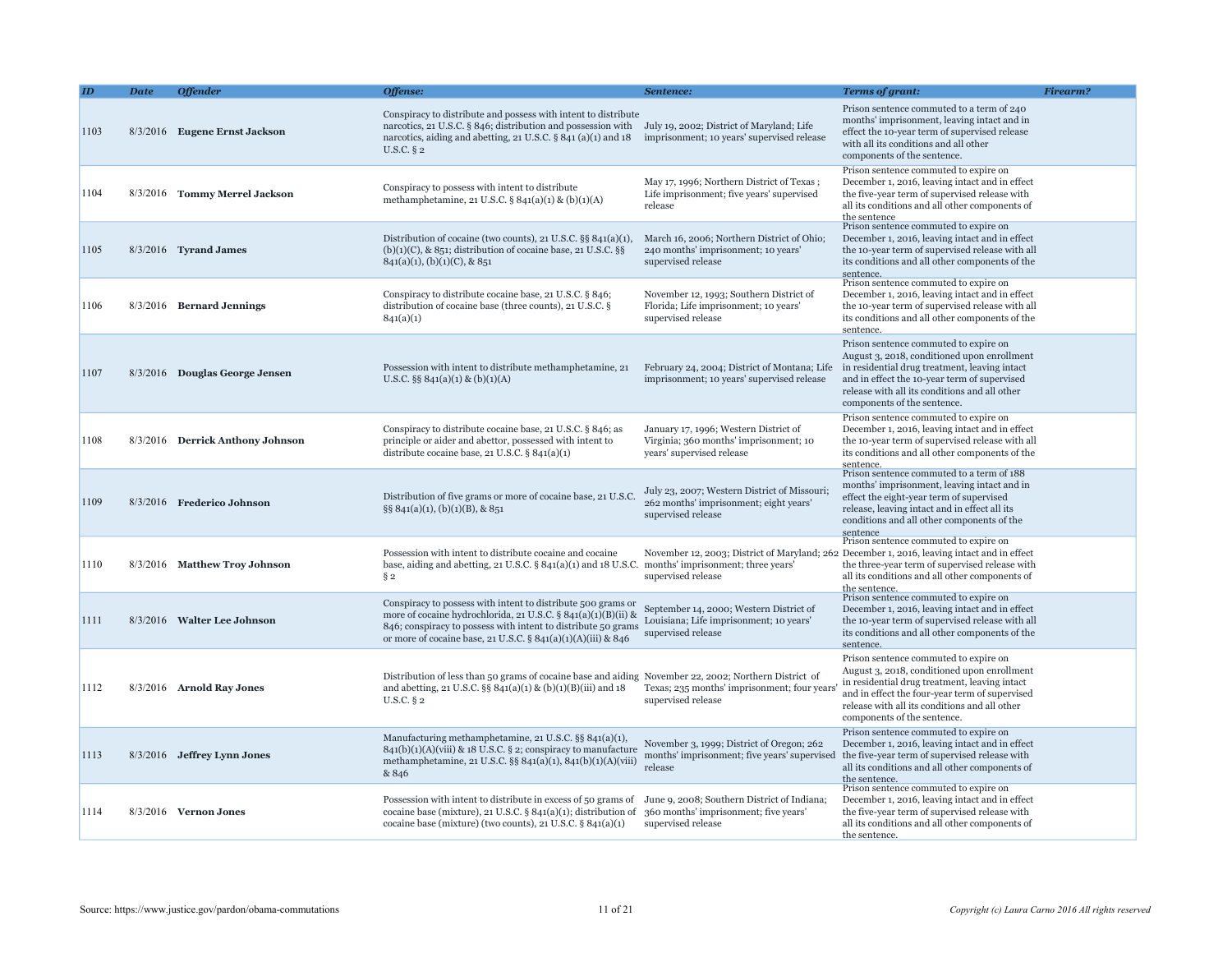|      | <b>Date</b> | <b>Offender</b>                  | Offense:                                                                                                                                                                                                                                                                           | Sentence:                                                                                                    | <b>Terms of grant:</b>                                                                                                                                                                                                                                                  | <b>Firearm?</b> |
|------|-------------|----------------------------------|------------------------------------------------------------------------------------------------------------------------------------------------------------------------------------------------------------------------------------------------------------------------------------|--------------------------------------------------------------------------------------------------------------|-------------------------------------------------------------------------------------------------------------------------------------------------------------------------------------------------------------------------------------------------------------------------|-----------------|
| 1103 |             | 8/3/2016 Eugene Ernst Jackson    | Conspiracy to distribute and possess with intent to distribute<br>narcotics, 21 U.S.C. § 846; distribution and possession with<br>narcotics, aiding and abetting, 21 U.S.C. § 841 (a)(1) and 18<br>$U.S.C.$ § 2                                                                    | July 19, 2002; District of Maryland; Life<br>imprisonment; 10 years' supervised release                      | Prison sentence commuted to a term of 240<br>months' imprisonment, leaving intact and in<br>effect the 10-year term of supervised release<br>with all its conditions and all other<br>components of the sentence.                                                       |                 |
| 1104 |             | 8/3/2016 Tommy Merrel Jackson    | Conspiracy to possess with intent to distribute<br>methamphetamine, 21 U.S.C. § 841(a)(1) & (b)(1)(A)                                                                                                                                                                              | May 17, 1996; Northern District of Texas;<br>Life imprisonment; five years' supervised<br>release            | Prison sentence commuted to expire on<br>December 1, 2016, leaving intact and in effect<br>the five-year term of supervised release with<br>all its conditions and all other components of<br>the sentence                                                              |                 |
| 1105 |             | 8/3/2016 Tyrand James            | Distribution of cocaine (two counts), 21 U.S.C. §§ 841(a)(1),<br>$(b)(1)(C)$ , & 851; distribution of cocaine base, 21 U.S.C. §§<br>$841(a)(1)$ , (b)(1)(C), & 851                                                                                                                 | March 16, 2006; Northern District of Ohio;<br>240 months' imprisonment; 10 years'<br>supervised release      | Prison sentence commuted to expire on<br>December 1, 2016, leaving intact and in effect<br>the 10-year term of supervised release with all<br>its conditions and all other components of the<br>sentence.                                                               |                 |
| 1106 |             | $8/3/2016$ Bernard Jennings      | Conspiracy to distribute cocaine base, 21 U.S.C. § 846;<br>distribution of cocaine base (three counts), 21 U.S.C. §<br>841(a)(1)                                                                                                                                                   | November 12, 1993; Southern District of<br>Florida; Life imprisonment; 10 years'<br>supervised release       | Prison sentence commuted to expire on<br>December 1, 2016, leaving intact and in effect<br>the 10-year term of supervised release with all<br>its conditions and all other components of the<br>sentence.                                                               |                 |
| 1107 |             | 8/3/2016 Douglas George Jensen   | Possession with intent to distribute methamphetamine, 21<br>U.S.C. $\S\S 841(a)(1) \& (b)(1)(A)$                                                                                                                                                                                   | February 24, 2004; District of Montana; Life<br>imprisonment; 10 years' supervised release                   | Prison sentence commuted to expire on<br>August 3, 2018, conditioned upon enrollment<br>in residential drug treatment, leaving intact<br>and in effect the 10-year term of supervised<br>release with all its conditions and all other<br>components of the sentence.   |                 |
| 1108 |             | 8/3/2016 Derrick Anthony Johnson | Conspiracy to distribute cocaine base, 21 U.S.C. § 846; as<br>principle or aider and abettor, possessed with intent to<br>distribute cocaine base, 21 U.S.C. $\S 841(a)(1)$                                                                                                        | January 17, 1996; Western District of<br>Virginia; 360 months' imprisonment; 10<br>years' supervised release | Prison sentence commuted to expire on<br>December 1, 2016, leaving intact and in effect<br>the 10-year term of supervised release with all<br>its conditions and all other components of the<br>sentence.                                                               |                 |
| 1109 |             | 8/3/2016 Frederico Johnson       | Distribution of five grams or more of cocaine base, 21 U.S.C.<br>§§ 841(a)(1), (b)(1)(B), & 851                                                                                                                                                                                    | July 23, 2007; Western District of Missouri;<br>262 months' imprisonment; eight years'<br>supervised release | Prison sentence commuted to a term of 188<br>months' imprisonment, leaving intact and in<br>effect the eight-year term of supervised<br>release, leaving intact and in effect all its<br>conditions and all other components of the<br>sentence                         |                 |
| 1110 |             | 8/3/2016 Matthew Troy Johnson    | Possession with intent to distribute cocaine and cocaine<br>base, aiding and abetting, $21 \text{ U.S.C.}$ § $841(a)(1)$ and $18 \text{ U.S.C.}$ months' imprisonment; three years'<br>$\S 2$                                                                                      | supervised release                                                                                           | Prison sentence commuted to expire on<br>November 12, 2003; District of Maryland; 262 December 1, 2016, leaving intact and in effect<br>the three-year term of supervised release with<br>all its conditions and all other components of<br>the sentence.               |                 |
| 1111 |             | 8/3/2016 Walter Lee Johnson      | Conspiracy to possess with intent to distribute 500 grams or<br>more of cocaine hydrochlorida, 21 U.S.C. § 841(a)(1)(B)(ii) &<br>846; conspiracy to possess with intent to distribute 50 grams<br>or more of cocaine base, 21 U.S.C. § 841(a)(1)(A)(iii) & 846                     | September 14, 2000; Western District of<br>Louisiana; Life imprisonment; 10 years'<br>supervised release     | Prison sentence commuted to expire on<br>December 1, 2016, leaving intact and in effect<br>the 10-year term of supervised release with all<br>its conditions and all other components of the<br>sentence.                                                               |                 |
| 1112 |             | 8/3/2016 Arnold Ray Jones        | Distribution of less than 50 grams of cocaine base and aiding November 22, 2002; Northern District of<br>and abetting, 21 U.S.C. §§ $841(a)(1) \& (b)(1)(B)(iii)$ and 18<br>U.S.C. § 2                                                                                             | Texas; 235 months' imprisonment; four years<br>supervised release                                            | Prison sentence commuted to expire on<br>August 3, 2018, conditioned upon enrollment<br>in residential drug treatment, leaving intact<br>and in effect the four-year term of supervised<br>release with all its conditions and all other<br>components of the sentence. |                 |
| 1113 |             | 8/3/2016 Jeffrey Lynn Jones      | Manufacturing methamphetamine, 21 U.S.C. §§ 841(a)(1),<br>841(b)(1)(A)(viii) & 18 U.S.C. § 2; conspiracy to manufacture<br>methamphetamine, 21 U.S.C. §§ 841(a)(1), 841(b)(1)(A)(viii)<br>& 846                                                                                    | November 3, 1999; District of Oregon; 262<br>months' imprisonment; five years' supervised<br>release         | Prison sentence commuted to expire on<br>December 1, 2016, leaving intact and in effect<br>the five-year term of supervised release with<br>all its conditions and all other components of<br>the sentence.                                                             |                 |
| 1114 |             | $8/3/2016$ Vernon Jones          | Possession with intent to distribute in excess of 50 grams of June 9, 2008; Southern District of Indiana;<br>cocaine base (mixture), 21 U.S.C. § 841(a)(1); distribution of 360 months' imprisonment; five years'<br>cocaine base (mixture) (two counts), 21 U.S.C. $\S 841(a)(1)$ | supervised release                                                                                           | Prison sentence commuted to expire on<br>December 1, 2016, leaving intact and in effect<br>the five-year term of supervised release with<br>all its conditions and all other components of<br>the sentence.                                                             |                 |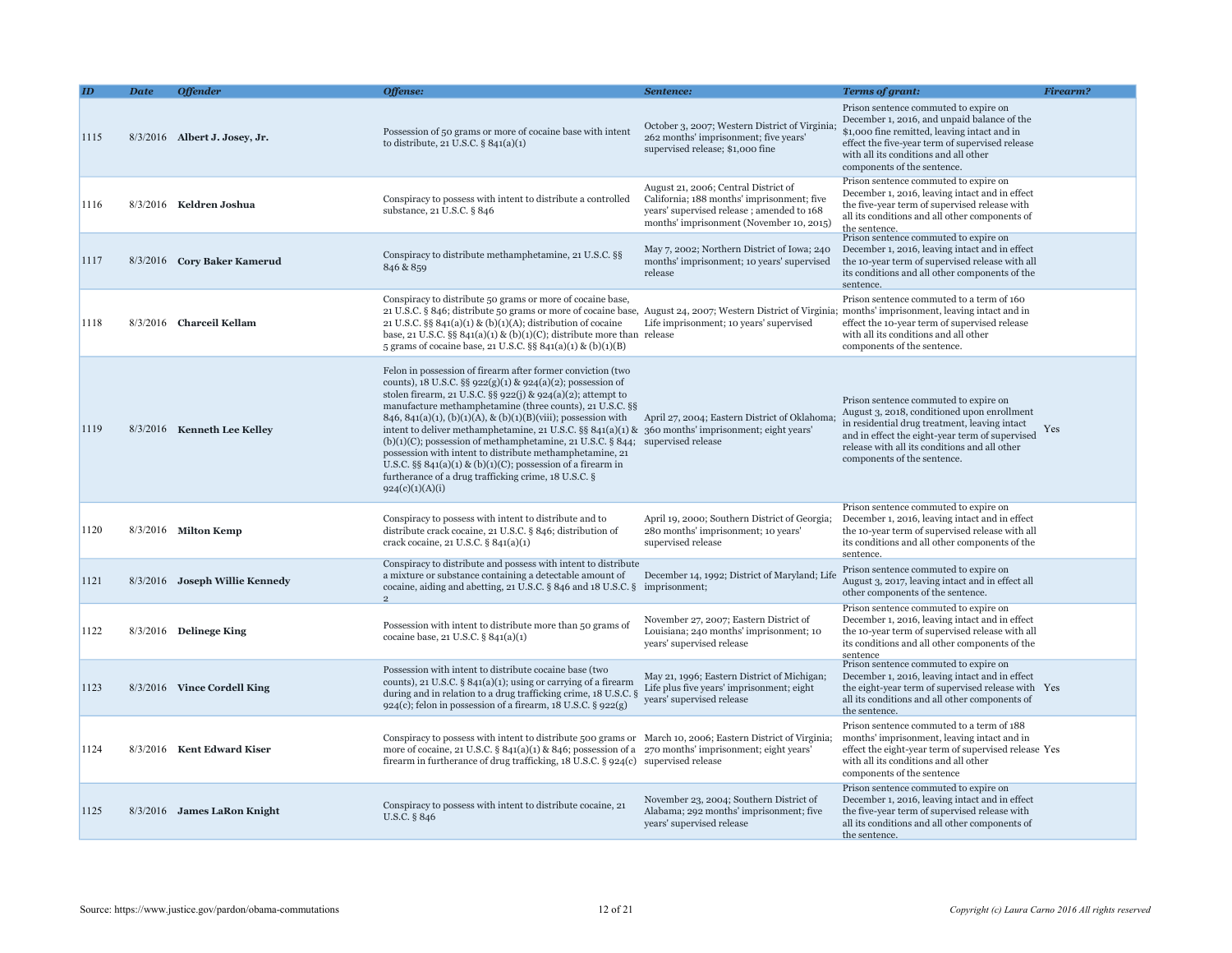|      | <b>Date</b> | <b>Offender</b>                | Offense:                                                                                                                                                                                                                                                                                                                                                                                                                                                                                                                                                                                                                                                                                                                                                              | Sentence:                                                                                                                                                                   | <b>Terms of grant:</b>                                                                                                                                                                                                                                                   | Firearm? |
|------|-------------|--------------------------------|-----------------------------------------------------------------------------------------------------------------------------------------------------------------------------------------------------------------------------------------------------------------------------------------------------------------------------------------------------------------------------------------------------------------------------------------------------------------------------------------------------------------------------------------------------------------------------------------------------------------------------------------------------------------------------------------------------------------------------------------------------------------------|-----------------------------------------------------------------------------------------------------------------------------------------------------------------------------|--------------------------------------------------------------------------------------------------------------------------------------------------------------------------------------------------------------------------------------------------------------------------|----------|
| 1115 |             | 8/3/2016 Albert J. Josey, Jr.  | Possession of 50 grams or more of cocaine base with intent<br>to distribute, $21$ U.S.C. § $841(a)(1)$                                                                                                                                                                                                                                                                                                                                                                                                                                                                                                                                                                                                                                                                | October 3, 2007; Western District of Virginia;<br>262 months' imprisonment; five years'<br>supervised release; \$1,000 fine                                                 | Prison sentence commuted to expire on<br>December 1, 2016, and unpaid balance of the<br>\$1,000 fine remitted, leaving intact and in<br>effect the five-year term of supervised release<br>with all its conditions and all other<br>components of the sentence.          |          |
| 1116 |             | 8/3/2016 Keldren Joshua        | Conspiracy to possess with intent to distribute a controlled<br>substance, 21 U.S.C. § 846                                                                                                                                                                                                                                                                                                                                                                                                                                                                                                                                                                                                                                                                            | August 21, 2006; Central District of<br>California; 188 months' imprisonment; five<br>years' supervised release; amended to 168<br>months' imprisonment (November 10, 2015) | Prison sentence commuted to expire on<br>December 1, 2016, leaving intact and in effect<br>the five-year term of supervised release with<br>all its conditions and all other components of<br>the sentence.                                                              |          |
| 1117 |             | 8/3/2016 Cory Baker Kamerud    | Conspiracy to distribute methamphetamine, 21 U.S.C. §§<br>846 & 859                                                                                                                                                                                                                                                                                                                                                                                                                                                                                                                                                                                                                                                                                                   | May 7, 2002; Northern District of Iowa; 240<br>months' imprisonment; 10 years' supervised<br>release                                                                        | Prison sentence commuted to expire on<br>December 1, 2016, leaving intact and in effect<br>the 10-year term of supervised release with all<br>its conditions and all other components of the<br>sentence.                                                                |          |
| 1118 |             | 8/3/2016 Charceil Kellam       | Conspiracy to distribute 50 grams or more of cocaine base,<br>21 U.S.C. § 846; distribute 50 grams or more of cocaine base, August 24, 2007; Western District of Virginia; months' imprisonment, leaving intact and in<br>21 U.S.C. $\S$ 841(a)(1) & (b)(1)(A); distribution of cocaine<br>base, 21 U.S.C. $\S$ 841(a)(1) & (b)(1)(C); distribute more than release<br>5 grams of cocaine base, 21 U.S.C. §§ 841(a)(1) & (b)(1)(B)                                                                                                                                                                                                                                                                                                                                    | Life imprisonment; 10 years' supervised                                                                                                                                     | Prison sentence commuted to a term of 160<br>effect the 10-year term of supervised release<br>with all its conditions and all other<br>components of the sentence.                                                                                                       |          |
| 1119 |             | 8/3/2016 Kenneth Lee Kelley    | Felon in possession of firearm after former conviction (two<br>counts), 18 U.S.C. §§ 922(g)(1) & 924(a)(2); possession of<br>stolen firearm, 21 U.S.C. §§ 922(j) & 924(a)(2); attempt to<br>manufacture methamphetamine (three counts), 21 U.S.C. §§<br>846, 841(a)(1), (b)(1)(A), & (b)(1)(B)(viii); possession with April 27, 2004; Eastern District of Oklahoma;<br>intent to deliver methamphetamine, 21 U.S.C. §§ 841(a)(1) & 360 months' imprisonment; eight years'<br>$(b)(1)(C)$ ; possession of methamphetamine, 21 U.S.C. § 844; supervised release<br>possession with intent to distribute methamphetamine, 21<br>U.S.C. §§ $841(a)(1)$ & (b)(1)(C); possession of a firearm in<br>furtherance of a drug trafficking crime, 18 U.S.C. §<br>924(c)(1)(A)(i) |                                                                                                                                                                             | Prison sentence commuted to expire on<br>August 3, 2018, conditioned upon enrollment<br>in residential drug treatment, leaving intact<br>and in effect the eight-year term of supervised<br>release with all its conditions and all other<br>components of the sentence. | Yes      |
| 1120 |             | 8/3/2016 Milton Kemp           | Conspiracy to possess with intent to distribute and to<br>distribute crack cocaine, 21 U.S.C. § 846; distribution of<br>crack cocaine, 21 U.S.C. § 841(a)(1)                                                                                                                                                                                                                                                                                                                                                                                                                                                                                                                                                                                                          | April 19, 2000; Southern District of Georgia;<br>280 months' imprisonment; 10 years'<br>supervised release                                                                  | Prison sentence commuted to expire on<br>December 1, 2016, leaving intact and in effect<br>the 10-year term of supervised release with all<br>its conditions and all other components of the<br>sentence.                                                                |          |
| 1121 |             | 8/3/2016 Joseph Willie Kennedy | Conspiracy to distribute and possess with intent to distribute<br>a mixture or substance containing a detectable amount of<br>cocaine, aiding and abetting, 21 U.S.C. § 846 and 18 U.S.C. § imprisonment;                                                                                                                                                                                                                                                                                                                                                                                                                                                                                                                                                             | December 14, 1992; District of Maryland; Life                                                                                                                               | Prison sentence commuted to expire on<br>August 3, 2017, leaving intact and in effect all<br>other components of the sentence.                                                                                                                                           |          |
| 1122 |             | $8/3/2016$ Delinege King       | Possession with intent to distribute more than 50 grams of<br>cocaine base, 21 U.S.C. § 841(a)(1)                                                                                                                                                                                                                                                                                                                                                                                                                                                                                                                                                                                                                                                                     | November 27, 2007; Eastern District of<br>Louisiana; 240 months' imprisonment; 10<br>years' supervised release                                                              | Prison sentence commuted to expire on<br>December 1, 2016, leaving intact and in effect<br>the 10-year term of supervised release with all<br>its conditions and all other components of the<br>sentence                                                                 |          |
| 1123 |             | 8/3/2016 Vince Cordell King    | Possession with intent to distribute cocaine base (two<br>counts), 21 U.S.C. $\S$ 841(a)(1); using or carrying of a firearm<br>during and in relation to a drug trafficking crime, 18 U.S.C. §<br>$924(c)$ ; felon in possession of a firearm, 18 U.S.C. § 922(g)                                                                                                                                                                                                                                                                                                                                                                                                                                                                                                     | May 21, 1996; Eastern District of Michigan;<br>Life plus five years' imprisonment; eight<br>years' supervised release                                                       | Prison sentence commuted to expire on<br>December 1, 2016, leaving intact and in effect<br>the eight-year term of supervised release with Yes<br>all its conditions and all other components of<br>the sentence.                                                         |          |
| 1124 |             | 8/3/2016 Kent Edward Kiser     | Conspiracy to possess with intent to distribute 500 grams or March 10, 2006; Eastern District of Virginia;<br>more of cocaine, 21 U.S.C. § 841(a)(1) & 846; possession of a $270$ months' imprisonment; eight years'<br>firearm in furtherance of drug trafficking, 18 U.S.C. § 924(c) supervised release                                                                                                                                                                                                                                                                                                                                                                                                                                                             |                                                                                                                                                                             | Prison sentence commuted to a term of 188<br>months' imprisonment, leaving intact and in<br>effect the eight-year term of supervised release Yes<br>with all its conditions and all other<br>components of the sentence                                                  |          |
| 1125 |             | 8/3/2016 James LaRon Knight    | Conspiracy to possess with intent to distribute cocaine, 21<br>U.S.C. § 846                                                                                                                                                                                                                                                                                                                                                                                                                                                                                                                                                                                                                                                                                           | November 23, 2004; Southern District of<br>Alabama; 292 months' imprisonment; five<br>years' supervised release                                                             | Prison sentence commuted to expire on<br>December 1, 2016, leaving intact and in effect<br>the five-year term of supervised release with<br>all its conditions and all other components of<br>the sentence.                                                              |          |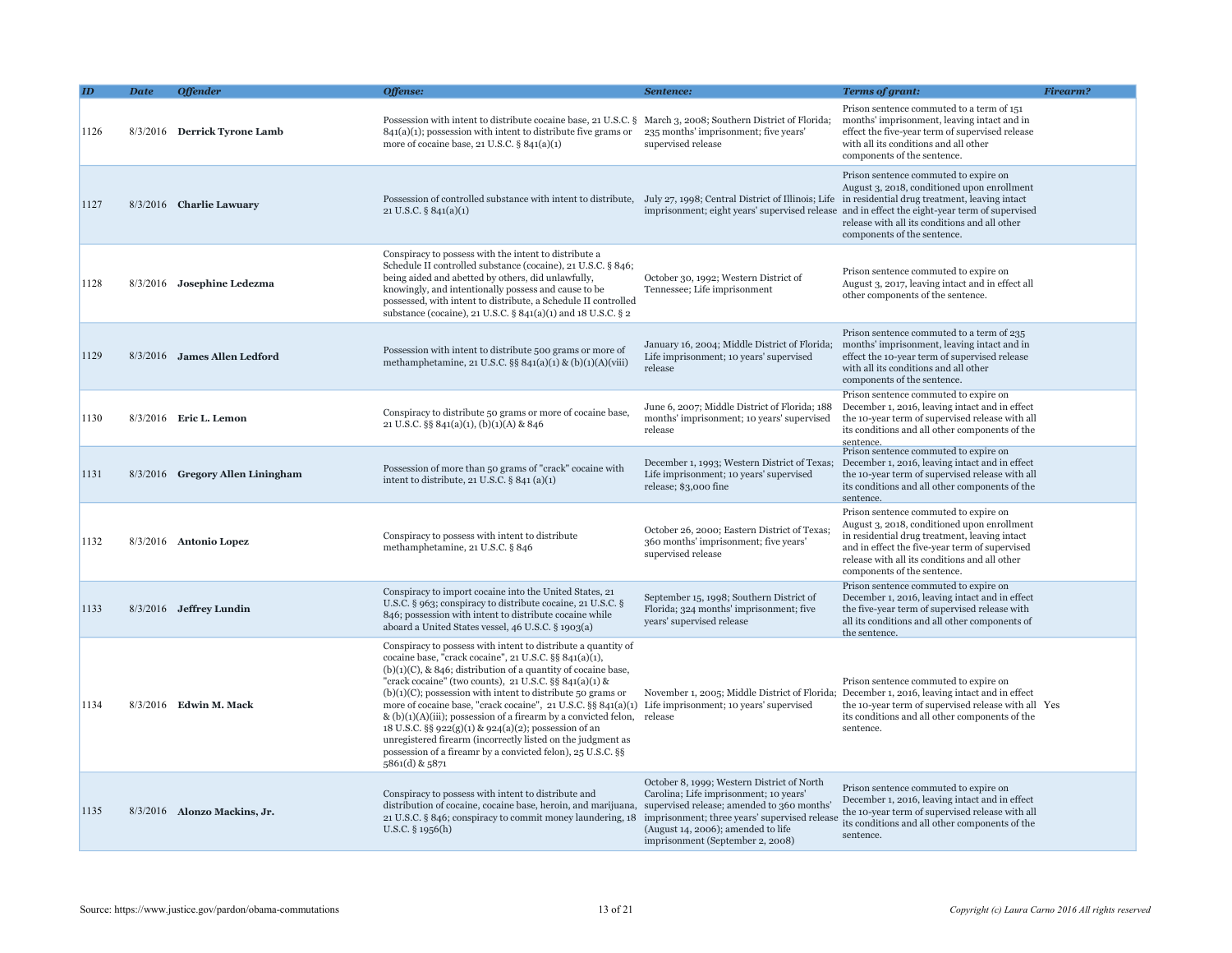|      | Date | <b>Offender</b>                  | Offense:                                                                                                                                                                                                                                                                                                                                                                                                                                                                                                                                                                                                                                                                       | Sentence:                                                                                                                                                                                                       | <b>Terms of grant:</b>                                                                                                                                                                                                                                                  | <b>Firearm?</b> |
|------|------|----------------------------------|--------------------------------------------------------------------------------------------------------------------------------------------------------------------------------------------------------------------------------------------------------------------------------------------------------------------------------------------------------------------------------------------------------------------------------------------------------------------------------------------------------------------------------------------------------------------------------------------------------------------------------------------------------------------------------|-----------------------------------------------------------------------------------------------------------------------------------------------------------------------------------------------------------------|-------------------------------------------------------------------------------------------------------------------------------------------------------------------------------------------------------------------------------------------------------------------------|-----------------|
| 1126 |      | 8/3/2016 Derrick Tyrone Lamb     | Possession with intent to distribute cocaine base, 21 U.S.C. § March 3, 2008; Southern District of Florida;<br>$841(a)(1)$ ; possession with intent to distribute five grams or $235$ months' imprisonment; five years'<br>more of cocaine base, 21 U.S.C. § 841(a)(1)                                                                                                                                                                                                                                                                                                                                                                                                         | supervised release                                                                                                                                                                                              | Prison sentence commuted to a term of 151<br>months' imprisonment, leaving intact and in<br>effect the five-year term of supervised release<br>with all its conditions and all other<br>components of the sentence.                                                     |                 |
| 1127 |      | 8/3/2016 Charlie Lawuary         | Possession of controlled substance with intent to distribute, July 27, 1998; Central District of Illinois; Life in residential drug treatment, leaving intact<br>21 U.S.C. $\S$ 841(a)(1)                                                                                                                                                                                                                                                                                                                                                                                                                                                                                      |                                                                                                                                                                                                                 | Prison sentence commuted to expire on<br>August 3, 2018, conditioned upon enrollment<br>imprisonment; eight years' supervised release and in effect the eight-year term of supervised<br>release with all its conditions and all other<br>components of the sentence.   |                 |
| 1128 |      | 8/3/2016 Josephine Ledezma       | Conspiracy to possess with the intent to distribute a<br>Schedule II controlled substance (cocaine), 21 U.S.C. § 846;<br>being aided and abetted by others, did unlawfully,<br>knowingly, and intentionally possess and cause to be<br>possessed, with intent to distribute, a Schedule II controlled<br>substance (cocaine), 21 U.S.C. § 841(a)(1) and 18 U.S.C. § 2                                                                                                                                                                                                                                                                                                          | October 30, 1992; Western District of<br>Tennessee; Life imprisonment                                                                                                                                           | Prison sentence commuted to expire on<br>August 3, 2017, leaving intact and in effect all<br>other components of the sentence.                                                                                                                                          |                 |
| 1129 |      | 8/3/2016 James Allen Ledford     | Possession with intent to distribute 500 grams or more of<br>methamphetamine, 21 U.S.C. §§ 841(a)(1) & (b)(1)(A)(viii)                                                                                                                                                                                                                                                                                                                                                                                                                                                                                                                                                         | January 16, 2004; Middle District of Florida;<br>Life imprisonment; 10 years' supervised<br>release                                                                                                             | Prison sentence commuted to a term of 235<br>months' imprisonment, leaving intact and in<br>effect the 10-year term of supervised release<br>with all its conditions and all other<br>components of the sentence.                                                       |                 |
| 1130 |      | 8/3/2016 Eric L. Lemon           | Conspiracy to distribute 50 grams or more of cocaine base,<br>21 U.S.C. $\S$ § 841(a)(1), (b)(1)(A) & 846                                                                                                                                                                                                                                                                                                                                                                                                                                                                                                                                                                      | June 6, 2007; Middle District of Florida; 188<br>months' imprisonment; 10 years' supervised<br>release                                                                                                          | Prison sentence commuted to expire on<br>December 1, 2016, leaving intact and in effect<br>the 10-year term of supervised release with all<br>its conditions and all other components of the<br>sentence.                                                               |                 |
| 1131 |      | 8/3/2016 Gregory Allen Liningham | Possession of more than 50 grams of "crack" cocaine with<br>intent to distribute, 21 U.S.C. $\S$ 841 (a)(1)                                                                                                                                                                                                                                                                                                                                                                                                                                                                                                                                                                    | December 1, 1993; Western District of Texas;<br>Life imprisonment; 10 years' supervised<br>release; \$3,000 fine                                                                                                | Prison sentence commuted to expire on<br>December 1, 2016, leaving intact and in effect<br>the 10-year term of supervised release with all<br>its conditions and all other components of the<br>sentence.                                                               |                 |
| 1132 |      | 8/3/2016 Antonio Lopez           | Conspiracy to possess with intent to distribute<br>methamphetamine, 21 U.S.C. § 846                                                                                                                                                                                                                                                                                                                                                                                                                                                                                                                                                                                            | October 26, 2000; Eastern District of Texas<br>360 months' imprisonment; five years'<br>supervised release                                                                                                      | Prison sentence commuted to expire on<br>August 3, 2018, conditioned upon enrollment<br>in residential drug treatment, leaving intact<br>and in effect the five-year term of supervised<br>release with all its conditions and all other<br>components of the sentence. |                 |
| 1133 |      | 8/3/2016 Jeffrey Lundin          | Conspiracy to import cocaine into the United States, 21<br>U.S.C. § 963; conspiracy to distribute cocaine, 21 U.S.C. §<br>846; possession with intent to distribute cocaine while<br>aboard a United States vessel, 46 U.S.C. § 1903(a)                                                                                                                                                                                                                                                                                                                                                                                                                                        | September 15, 1998; Southern District of<br>Florida; 324 months' imprisonment; five<br>years' supervised release                                                                                                | Prison sentence commuted to expire on<br>December 1, 2016, leaving intact and in effect<br>the five-year term of supervised release with<br>all its conditions and all other components of<br>the sentence.                                                             |                 |
| 1134 |      | 8/3/2016 Edwin M. Mack           | Conspiracy to possess with intent to distribute a quantity of<br>cocaine base, "crack cocaine", 21 U.S.C. §§ 841(a)(1),<br>$(b)(1)(C)$ , & 846; distribution of a quantity of cocaine base,<br>"crack cocaine" (two counts), 21 U.S.C. §§ 841(a)(1) &<br>$(b)(1)(C)$ ; possession with intent to distribute 50 grams or<br>more of cocaine base, "crack cocaine", 21 U.S.C. §§ 841(a)(1)<br>& $(b)(1)(A)(iii)$ ; possession of a firearm by a convicted felon, release<br>18 U.S.C. §§ 922(g)(1) & 924(a)(2); possession of an<br>unregistered firearm (incorrectly listed on the judgment as<br>possession of a fireamr by a convicted felon), 25 U.S.C. §§<br>5861(d) & 5871 | November 1, 2005; Middle District of Florida;<br>Life imprisonment; 10 years' supervised                                                                                                                        | Prison sentence commuted to expire on<br>December 1, 2016, leaving intact and in effect<br>the 10-year term of supervised release with all Yes<br>its conditions and all other components of the<br>sentence.                                                           |                 |
| 1135 |      | 8/3/2016 Alonzo Mackins, Jr.     | Conspiracy to possess with intent to distribute and<br>distribution of cocaine, cocaine base, heroin, and marijuana, supervised release; amended to 360 months'<br>21 U.S.C. § 846; conspiracy to commit money laundering, 18<br>U.S.C. § 1956(h)                                                                                                                                                                                                                                                                                                                                                                                                                              | October 8, 1999; Western District of North<br>Carolina; Life imprisonment; 10 years'<br>imprisonment; three years' supervised release<br>(August 14, 2006); amended to life<br>imprisonment (September 2, 2008) | Prison sentence commuted to expire on<br>December 1, 2016, leaving intact and in effect<br>the 10-year term of supervised release with all<br>its conditions and all other components of the<br>sentence.                                                               |                 |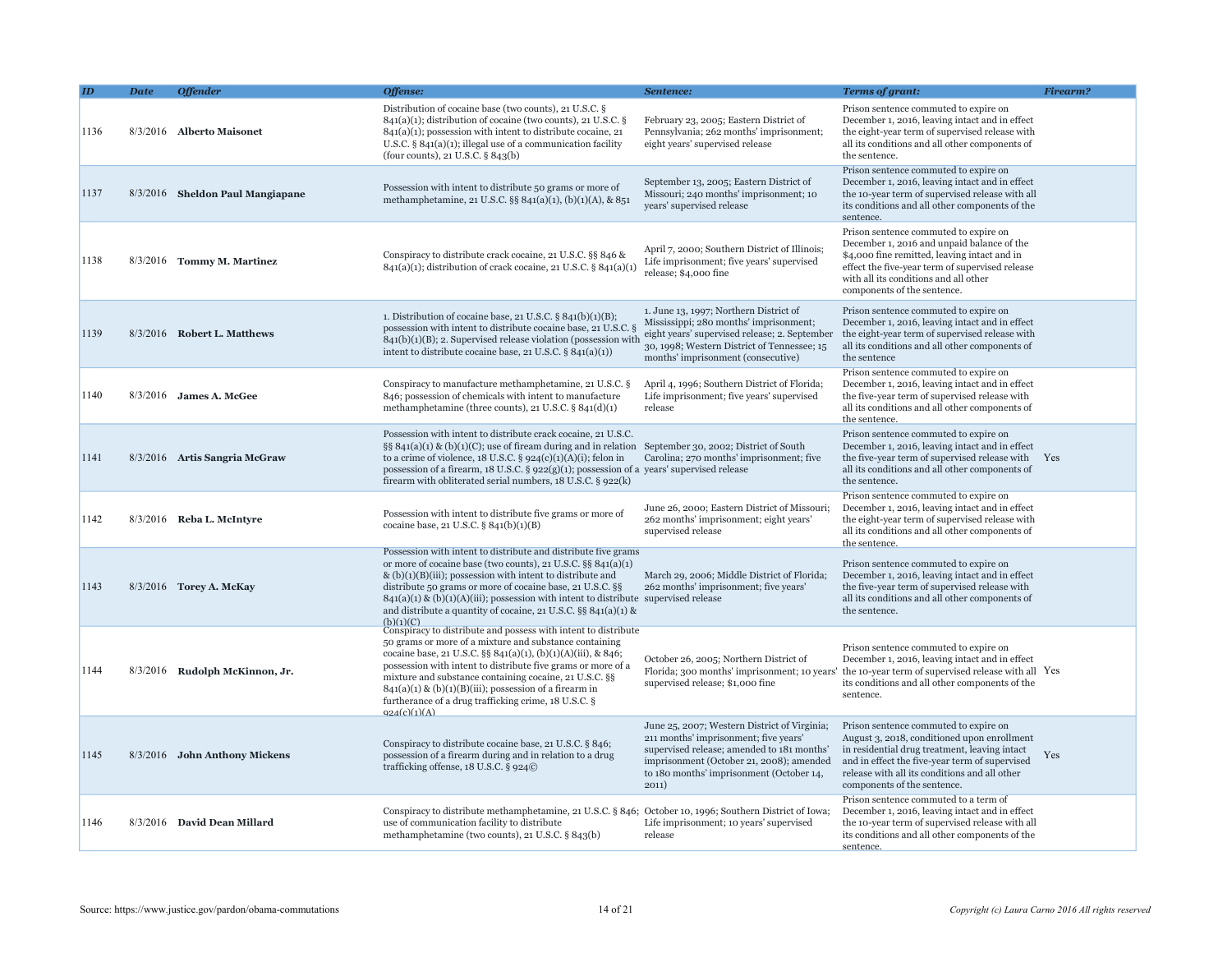|      | <b>Date</b> | <b>Offender</b>                  | Offense:                                                                                                                                                                                                                                                                                                                                                                                                                                               | Sentence:                                                                                                                                                                                                                            | <b>Terms of grant:</b>                                                                                                                                                                                                                                                  | Firearm? |
|------|-------------|----------------------------------|--------------------------------------------------------------------------------------------------------------------------------------------------------------------------------------------------------------------------------------------------------------------------------------------------------------------------------------------------------------------------------------------------------------------------------------------------------|--------------------------------------------------------------------------------------------------------------------------------------------------------------------------------------------------------------------------------------|-------------------------------------------------------------------------------------------------------------------------------------------------------------------------------------------------------------------------------------------------------------------------|----------|
| 1136 |             | 8/3/2016 Alberto Maisonet        | Distribution of cocaine base (two counts), 21 U.S.C. §<br>$841(a)(1)$ ; distribution of cocaine (two counts), 21 U.S.C. §<br>$841(a)(1)$ ; possession with intent to distribute cocaine, 21<br>U.S.C. $\S$ 841(a)(1); illegal use of a communication facility<br>(four counts), 21 U.S.C. $\S$ 843(b)                                                                                                                                                  | February 23, 2005; Eastern District of<br>Pennsylvania; 262 months' imprisonment;<br>eight years' supervised release                                                                                                                 | Prison sentence commuted to expire on<br>December 1, 2016, leaving intact and in effect<br>the eight-year term of supervised release with<br>all its conditions and all other components of<br>the sentence.                                                            |          |
| 1137 |             | 8/3/2016 Sheldon Paul Mangiapane | Possession with intent to distribute 50 grams or more of<br>methamphetamine, 21 U.S.C. §§ 841(a)(1), (b)(1)(A), & 851                                                                                                                                                                                                                                                                                                                                  | September 13, 2005; Eastern District of<br>Missouri; 240 months' imprisonment; 10<br>years' supervised release                                                                                                                       | Prison sentence commuted to expire on<br>December 1, 2016, leaving intact and in effect<br>the 10-year term of supervised release with all<br>its conditions and all other components of the<br>sentence.                                                               |          |
| 1138 |             | 8/3/2016 Tommy M. Martinez       | Conspiracy to distribute crack cocaine, 21 U.S.C. §§ 846 &<br>$841(a)(1)$ ; distribution of crack cocaine, 21 U.S.C. § $841(a)(1)$                                                                                                                                                                                                                                                                                                                     | April 7, 2000; Southern District of Illinois;<br>Life imprisonment; five years' supervised<br>release; \$4,000 fine                                                                                                                  | Prison sentence commuted to expire on<br>December 1, 2016 and unpaid balance of the<br>\$4,000 fine remitted, leaving intact and in<br>effect the five-year term of supervised release<br>with all its conditions and all other<br>components of the sentence.          |          |
| 1139 |             | 8/3/2016 Robert L. Matthews      | 1. Distribution of cocaine base, 21 U.S.C. $\S 841(b)(1)(B)$ ;<br>possession with intent to distribute cocaine base, 21 U.S.C. §<br>$841(b)(1)(B)$ ; 2. Supervised release violation (possession with<br>intent to distribute cocaine base, 21 U.S.C. § 841(a)(1))                                                                                                                                                                                     | 1. June 13, 1997; Northern District of<br>Mississippi; 280 months' imprisonment;<br>eight years' supervised release; 2. September<br>30, 1998; Western District of Tennessee; 15<br>months' imprisonment (consecutive)               | Prison sentence commuted to expire on<br>December 1, 2016, leaving intact and in effect<br>the eight-year term of supervised release with<br>all its conditions and all other components of<br>the sentence                                                             |          |
| 1140 |             | 8/3/2016 James A. McGee          | Conspiracy to manufacture methamphetamine, 21 U.S.C. §<br>846; possession of chemicals with intent to manufacture<br>methamphetamine (three counts), 21 U.S.C. § 841(d)(1)                                                                                                                                                                                                                                                                             | April 4, 1996; Southern District of Florida;<br>Life imprisonment; five years' supervised<br>release                                                                                                                                 | Prison sentence commuted to expire on<br>December 1, 2016, leaving intact and in effect<br>the five-year term of supervised release with<br>all its conditions and all other components of<br>the sentence.                                                             |          |
| 1141 |             | 8/3/2016 Artis Sangria McGraw    | Possession with intent to distribute crack cocaine, 21 U.S.C.<br>§§ $841(a)(1)$ & (b)(1)(C); use of fiream during and in relation September 30, 2002; District of South<br>to a crime of violence, $18$ U.S.C. § $924(c)(1)(A)(i)$ ; felon in<br>possession of a firearm, 18 U.S.C. $\S$ 922(g)(1); possession of a years' supervised release<br>firearm with obliterated serial numbers, 18 U.S.C. § 922(k)                                           | Carolina; 270 months' imprisonment; five                                                                                                                                                                                             | Prison sentence commuted to expire on<br>December 1, 2016, leaving intact and in effect<br>the five-year term of supervised release with Yes<br>all its conditions and all other components of<br>the sentence.                                                         |          |
| 1142 |             | 8/3/2016 Reba L. McIntyre        | Possession with intent to distribute five grams or more of<br>cocaine base, 21 U.S.C. $\S 841(b)(1)(B)$                                                                                                                                                                                                                                                                                                                                                | June 26, 2000; Eastern District of Missouri;<br>262 months' imprisonment; eight years'<br>supervised release                                                                                                                         | Prison sentence commuted to expire on<br>December 1, 2016, leaving intact and in effect<br>the eight-year term of supervised release with<br>all its conditions and all other components of<br>the sentence.                                                            |          |
| 1143 |             | 8/3/2016 Torey A. McKay          | Possession with intent to distribute and distribute five grams<br>or more of cocaine base (two counts), 21 U.S.C. §§ 841(a)(1)<br>& $(b)(1)(B)(iii)$ ; possession with intent to distribute and<br>distribute 50 grams or more of cocaine base, 21 U.S.C. §§<br>$841(a)(1)$ & (b)(1)(A)(iii); possession with intent to distribute supervised release<br>and distribute a quantity of cocaine, 21 U.S.C. $\S$ § 841(a)(1) &<br>(b)(1)(C)               | March 29, 2006; Middle District of Florida;<br>262 months' imprisonment; five years'                                                                                                                                                 | Prison sentence commuted to expire on<br>December 1, 2016, leaving intact and in effect<br>the five-year term of supervised release with<br>all its conditions and all other components of<br>the sentence.                                                             |          |
| 1144 |             | 8/3/2016 Rudolph McKinnon, Jr.   | Conspiracy to distribute and possess with intent to distribute<br>50 grams or more of a mixture and substance containing<br>cocaine base, 21 U.S.C. §§ 841(a)(1), (b)(1)(A)(iii), & 846;<br>possession with intent to distribute five grams or more of a<br>mixture and substance containing cocaine, 21 U.S.C. §§<br>$841(a)(1)$ & (b)(1)(B)(iii); possession of a firearm in<br>furtherance of a drug trafficking crime, 18 U.S.C. §<br>Q24(c)(1)(A) | October 26, 2005; Northern District of<br>supervised release; \$1,000 fine                                                                                                                                                           | Prison sentence commuted to expire on<br>December 1, 2016, leaving intact and in effect<br>Florida; 300 months' imprisonment; 10 years' the 10-year term of supervised release with all Yes<br>its conditions and all other components of the<br>sentence.              |          |
| 1145 |             | 8/3/2016 John Anthony Mickens    | Conspiracy to distribute cocaine base, 21 U.S.C. § 846;<br>possession of a firearm during and in relation to a drug<br>trafficking offense, 18 U.S.C. § 924©                                                                                                                                                                                                                                                                                           | June 25, 2007; Western District of Virginia;<br>211 months' imprisonment; five years'<br>supervised release; amended to 181 months'<br>imprisonment (October 21, 2008); amended<br>to 180 months' imprisonment (October 14,<br>2011) | Prison sentence commuted to expire on<br>August 3, 2018, conditioned upon enrollment<br>in residential drug treatment, leaving intact<br>and in effect the five-year term of supervised<br>release with all its conditions and all other<br>components of the sentence. | Yes      |
| 1146 |             | 8/3/2016 David Dean Millard      | Conspiracy to distribute methamphetamine, 21 U.S.C. § 846; October 10, 1996; Southern District of Iowa;<br>use of communication facility to distribute<br>methamphetamine (two counts), 21 U.S.C. § 843(b)                                                                                                                                                                                                                                             | Life imprisonment; 10 years' supervised<br>release                                                                                                                                                                                   | Prison sentence commuted to a term of<br>December 1, 2016, leaving intact and in effect<br>the 10-year term of supervised release with all<br>its conditions and all other components of the<br>sentence.                                                               |          |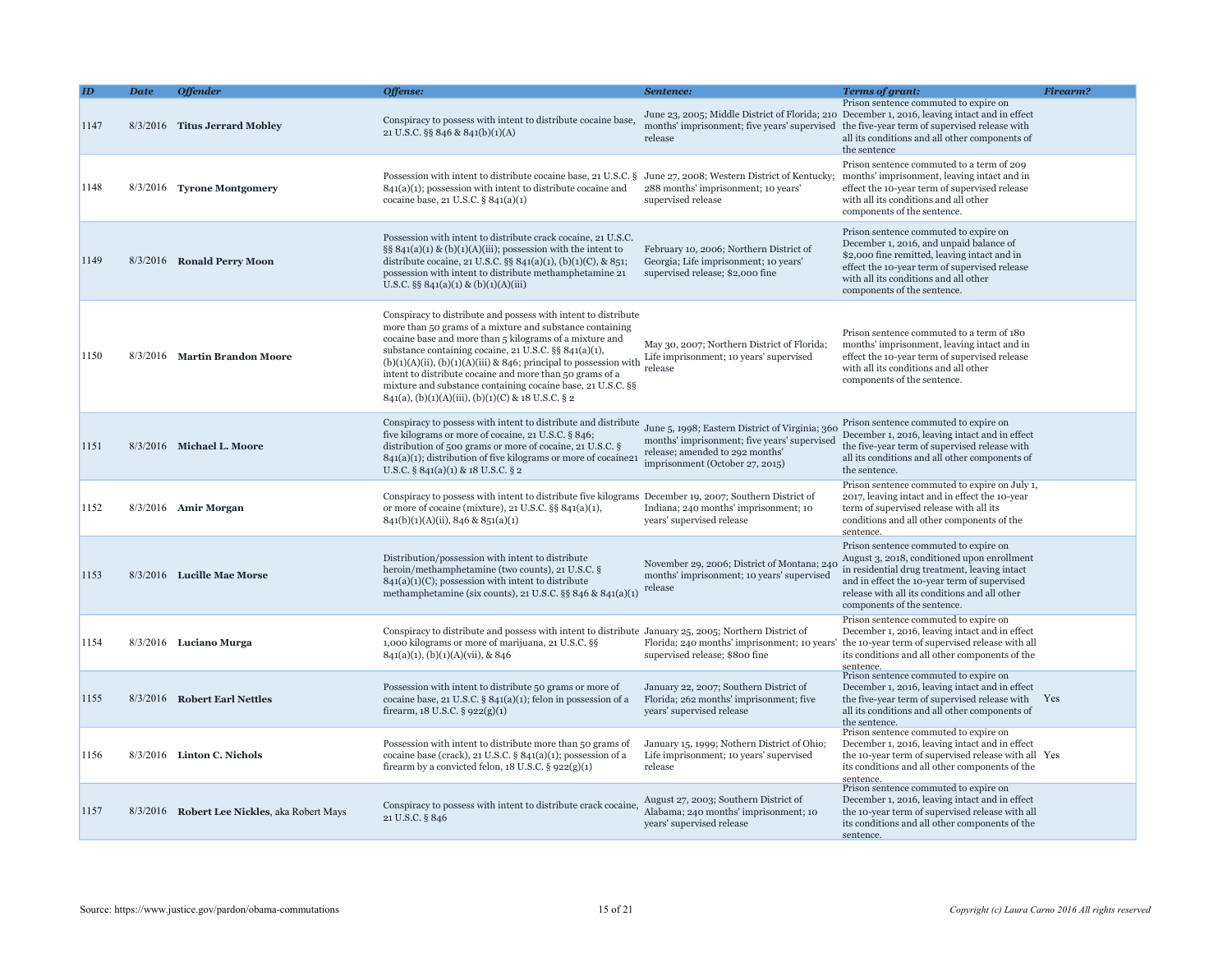| the five-year term of supervised release with Yes                                                                                                                                                                                                                                                                                                                                                                                                                                                                                                                                                                                                                                                                                                                   |
|---------------------------------------------------------------------------------------------------------------------------------------------------------------------------------------------------------------------------------------------------------------------------------------------------------------------------------------------------------------------------------------------------------------------------------------------------------------------------------------------------------------------------------------------------------------------------------------------------------------------------------------------------------------------------------------------------------------------------------------------------------------------|
| the 10-year term of supervised release with all Yes                                                                                                                                                                                                                                                                                                                                                                                                                                                                                                                                                                                                                                                                                                                 |
|                                                                                                                                                                                                                                                                                                                                                                                                                                                                                                                                                                                                                                                                                                                                                                     |
| December 1, 2016, leaving intact and in effect<br>all its conditions and all other components of<br>Prison sentence commuted to expire on July 1,<br>August 3, 2018, conditioned upon enrollment<br>December 1, 2016, leaving intact and in effect<br>Florida; 240 months' imprisonment; 10 years' the 10-year term of supervised release with all<br>its conditions and all other components of the<br>December 1, 2016, leaving intact and in effect<br>all its conditions and all other components of<br>December 1, 2016, leaving intact and in effect<br>its conditions and all other components of the<br>December 1, 2016, leaving intact and in effect<br>the 10-year term of supervised release with all<br>its conditions and all other components of the |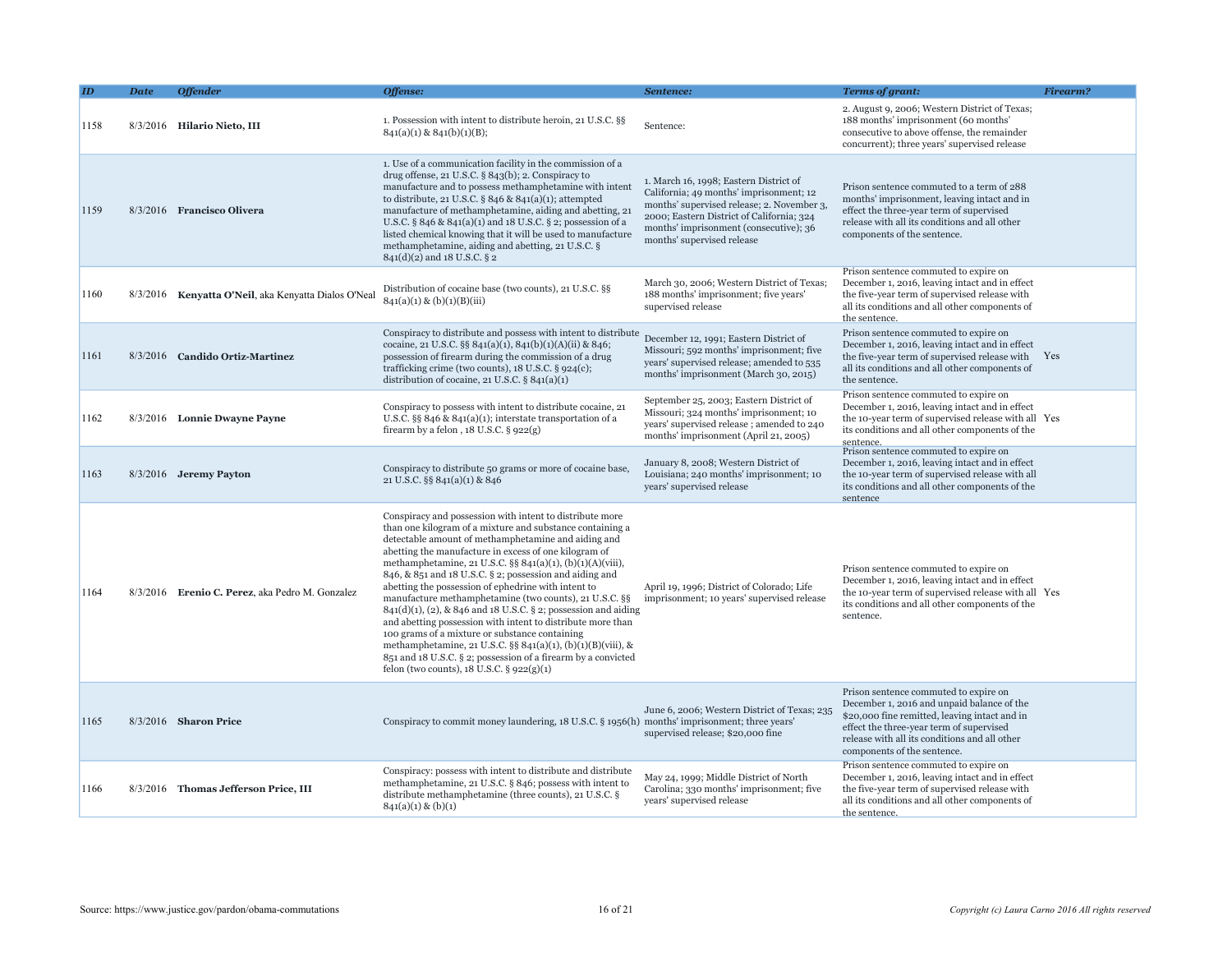|      | <b>Date</b> | <b>Offender</b>                                      | Offense:                                                                                                                                                                                                                                                                                                                                                                                                                                                                                                                                                                                                                                                                                                                                                                                                                                              | Sentence:                                                                                                                                                                                                                                            | <b>Terms of grant:</b>                                                                                                                                                                                                                                           | <b>Firearm?</b> |
|------|-------------|------------------------------------------------------|-------------------------------------------------------------------------------------------------------------------------------------------------------------------------------------------------------------------------------------------------------------------------------------------------------------------------------------------------------------------------------------------------------------------------------------------------------------------------------------------------------------------------------------------------------------------------------------------------------------------------------------------------------------------------------------------------------------------------------------------------------------------------------------------------------------------------------------------------------|------------------------------------------------------------------------------------------------------------------------------------------------------------------------------------------------------------------------------------------------------|------------------------------------------------------------------------------------------------------------------------------------------------------------------------------------------------------------------------------------------------------------------|-----------------|
| 1158 |             | 8/3/2016 Hilario Nieto, III                          | 1. Possession with intent to distribute heroin, 21 U.S.C. §§<br>$841(a)(1)$ & $841(b)(1)(B)$ ;                                                                                                                                                                                                                                                                                                                                                                                                                                                                                                                                                                                                                                                                                                                                                        | Sentence:                                                                                                                                                                                                                                            | 2. August 9, 2006; Western District of Texas;<br>188 months' imprisonment (60 months'<br>consecutive to above offense, the remainder<br>concurrent); three years' supervised release                                                                             |                 |
| 1159 |             | 8/3/2016 Francisco Olivera                           | 1. Use of a communication facility in the commission of a<br>drug offense, 21 U.S.C. $\S$ 843(b); 2. Conspiracy to<br>manufacture and to possess methamphetamine with intent<br>to distribute, 21 U.S.C. § 846 & 841(a)(1); attempted<br>manufacture of methamphetamine, aiding and abetting, 21<br>U.S.C. § 846 & 841(a)(1) and 18 U.S.C. § 2; possession of a<br>listed chemical knowing that it will be used to manufacture<br>methamphetamine, aiding and abetting, 21 U.S.C. §<br>841(d)(2) and 18 U.S.C. § 2                                                                                                                                                                                                                                                                                                                                    | 1. March 16, 1998; Eastern District of<br>California; 49 months' imprisonment; 12<br>months' supervised release; 2. November 3,<br>2000; Eastern District of California; 324<br>months' imprisonment (consecutive); 36<br>months' supervised release | Prison sentence commuted to a term of 288<br>months' imprisonment, leaving intact and in<br>effect the three-year term of supervised<br>release with all its conditions and all other<br>components of the sentence.                                             |                 |
| 1160 |             | 8/3/2016 Kenyatta O'Neil, aka Kenyatta Dialos O'Neal | Distribution of cocaine base (two counts), 21 U.S.C. §§<br>841(a)(1) & (b)(1)(B)(iii)                                                                                                                                                                                                                                                                                                                                                                                                                                                                                                                                                                                                                                                                                                                                                                 | March 30, 2006; Western District of Texas;<br>188 months' imprisonment; five years'<br>supervised release                                                                                                                                            | Prison sentence commuted to expire on<br>December 1, 2016, leaving intact and in effect<br>the five-year term of supervised release with<br>all its conditions and all other components of<br>the sentence.                                                      |                 |
| 1161 |             | 8/3/2016 Candido Ortiz-Martinez                      | Conspiracy to distribute and possess with intent to distribute<br>cocaine, 21 U.S.C. §§ 841(a)(1), 841(b)(1)(A)(ii) & 846;<br>possession of firearm during the commission of a drug<br>trafficking crime (two counts), 18 U.S.C. § 924(c);<br>distribution of cocaine, 21 U.S.C. $\S 841(a)(1)$                                                                                                                                                                                                                                                                                                                                                                                                                                                                                                                                                       | December 12, 1991; Eastern District of<br>Missouri; 592 months' imprisonment; five<br>years' supervised release; amended to 535<br>months' imprisonment (March 30, 2015)                                                                             | Prison sentence commuted to expire on<br>December 1, 2016, leaving intact and in effect<br>the five-year term of supervised release with<br>all its conditions and all other components of<br>the sentence.                                                      | Yes             |
| 1162 |             | 8/3/2016 Lonnie Dwayne Payne                         | Conspiracy to possess with intent to distribute cocaine, 21<br>U.S.C. §§ 846 & 841(a)(1); interstate transportation of a<br>firearm by a felon, $18$ U.S.C. § $922(g)$                                                                                                                                                                                                                                                                                                                                                                                                                                                                                                                                                                                                                                                                                | September 25, 2003; Eastern District of<br>Missouri; 324 months' imprisonment; 10<br>years' supervised release; amended to 240<br>months' imprisonment (April 21, 2005)                                                                              | Prison sentence commuted to expire on<br>December 1, 2016, leaving intact and in effect<br>the 10-year term of supervised release with all Yes<br>its conditions and all other components of the<br>sentence.                                                    |                 |
| 1163 |             | 8/3/2016 Jeremy Payton                               | Conspiracy to distribute 50 grams or more of cocaine base,<br>21 U.S.C. §§ 841(a)(1) & 846                                                                                                                                                                                                                                                                                                                                                                                                                                                                                                                                                                                                                                                                                                                                                            | January 8, 2008; Western District of<br>Louisiana; 240 months' imprisonment; 10<br>years' supervised release                                                                                                                                         | Prison sentence commuted to expire on<br>December 1, 2016, leaving intact and in effect<br>the 10-year term of supervised release with all<br>its conditions and all other components of the<br>sentence                                                         |                 |
| 1164 |             | 8/3/2016 Erenio C. Perez, aka Pedro M. Gonzalez      | Conspiracy and possession with intent to distribute more<br>than one kilogram of a mixture and substance containing a<br>detectable amount of methamphetamine and aiding and<br>abetting the manufacture in excess of one kilogram of<br>methamphetamine, 21 U.S.C. §§ 841(a)(1), (b)(1)(A)(viii),<br>846, & 851 and 18 U.S.C. § 2; possession and aiding and<br>abetting the possession of ephedrine with intent to<br>manufacture methamphetamine (two counts), 21 U.S.C. §§<br>$841(d)(1)$ , (2), & 846 and 18 U.S.C. § 2; possession and aiding<br>and abetting possession with intent to distribute more than<br>100 grams of a mixture or substance containing<br>methamphetamine, 21 U.S.C. §§ 841(a)(1), (b)(1)(B)(viii), &<br>851 and 18 U.S.C. § 2; possession of a firearm by a convicted<br>felon (two counts), $18$ U.S.C. § $922(g)(1)$ | April 19, 1996; District of Colorado; Life<br>imprisonment; 10 years' supervised release                                                                                                                                                             | Prison sentence commuted to expire on<br>December 1, 2016, leaving intact and in effect<br>the 10-year term of supervised release with all<br>its conditions and all other components of the<br>sentence.                                                        | Yes             |
| 1165 |             | $8/3/2016$ Sharon Price                              | Conspiracy to commit money laundering, 18 U.S.C. § 1956(h) months' imprisonment; three years'                                                                                                                                                                                                                                                                                                                                                                                                                                                                                                                                                                                                                                                                                                                                                         | June 6, 2006; Western District of Texas; 235<br>supervised release; \$20,000 fine                                                                                                                                                                    | Prison sentence commuted to expire on<br>December 1, 2016 and unpaid balance of the<br>\$20,000 fine remitted, leaving intact and in<br>effect the three-year term of supervised<br>release with all its conditions and all other<br>components of the sentence. |                 |
| 1166 |             | 8/3/2016 Thomas Jefferson Price, III                 | Conspiracy: possess with intent to distribute and distribute<br>methamphetamine, 21 U.S.C. § 846; possess with intent to<br>distribute methamphetamine (three counts), 21 U.S.C. §<br>$841(a)(1) \& (b)(1)$                                                                                                                                                                                                                                                                                                                                                                                                                                                                                                                                                                                                                                           | May 24, 1999; Middle District of North<br>Carolina; 330 months' imprisonment; five<br>years' supervised release                                                                                                                                      | Prison sentence commuted to expire on<br>December 1, 2016, leaving intact and in effect<br>the five-year term of supervised release with<br>all its conditions and all other components of<br>the sentence.                                                      |                 |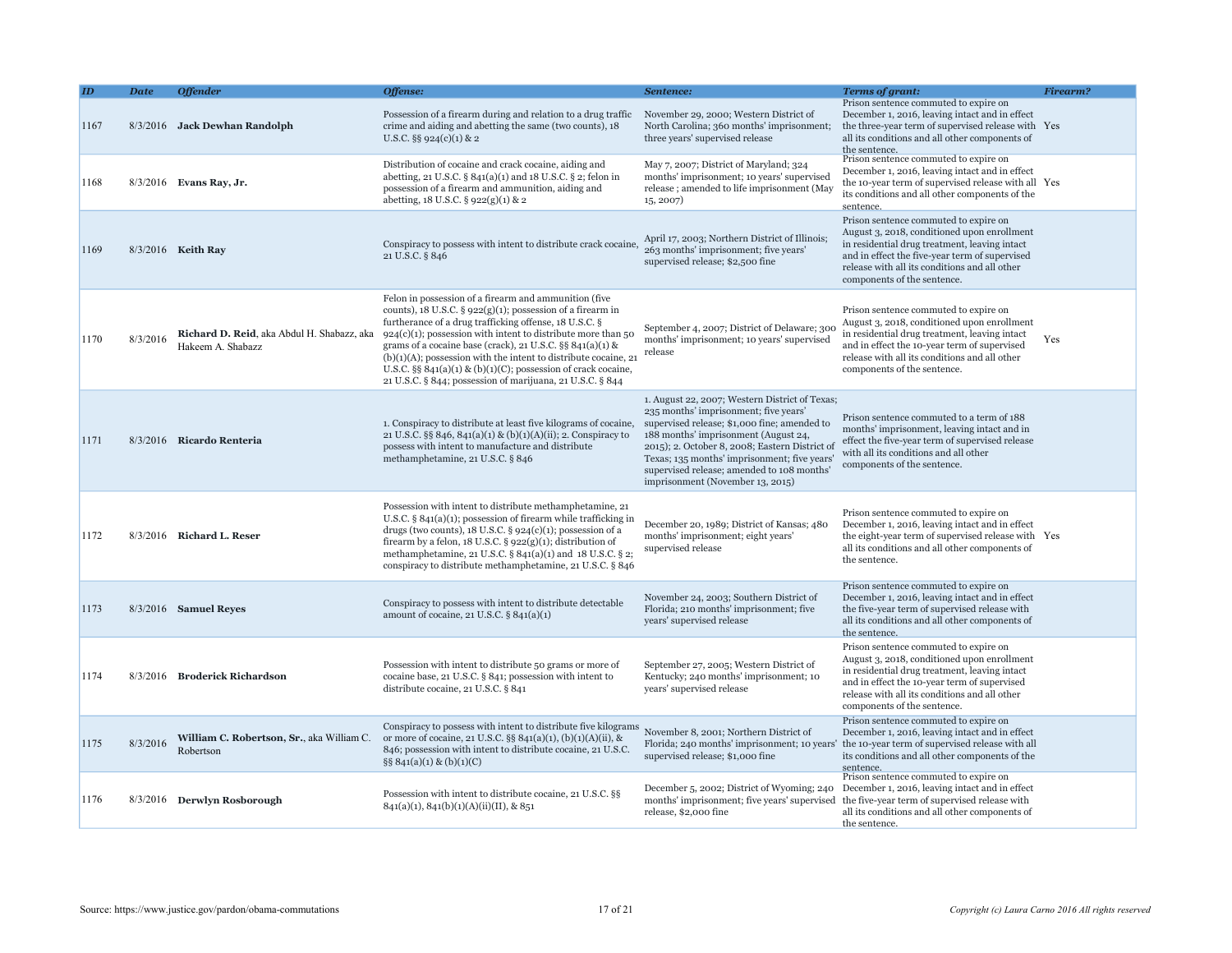|      | <b>Date</b> | <b>Offender</b>                                                 | Offense:                                                                                                                                                                                                                                                                                                                                                                                                                                                                                                                  | Sentence:                                                                                                                                                                                                                                                                                                                                                           | <b>Terms of grant:</b>                                                                                                                                                                                                                                                  | Firearm? |
|------|-------------|-----------------------------------------------------------------|---------------------------------------------------------------------------------------------------------------------------------------------------------------------------------------------------------------------------------------------------------------------------------------------------------------------------------------------------------------------------------------------------------------------------------------------------------------------------------------------------------------------------|---------------------------------------------------------------------------------------------------------------------------------------------------------------------------------------------------------------------------------------------------------------------------------------------------------------------------------------------------------------------|-------------------------------------------------------------------------------------------------------------------------------------------------------------------------------------------------------------------------------------------------------------------------|----------|
| 1167 |             | 8/3/2016 Jack Dewhan Randolph                                   | Possession of a firearm during and relation to a drug traffic<br>crime and aiding and abetting the same (two counts), 18<br>U.S.C. $\S\S 924(c)(1) \& 2$                                                                                                                                                                                                                                                                                                                                                                  | November 29, 2000; Western District of<br>North Carolina; 360 months' imprisonment;<br>three years' supervised release                                                                                                                                                                                                                                              | Prison sentence commuted to expire on<br>December 1, 2016, leaving intact and in effect<br>the three-year term of supervised release with Yes<br>all its conditions and all other components of<br>the sentence.                                                        |          |
| 1168 |             | $8/3/2016$ Evans Ray, Jr.                                       | Distribution of cocaine and crack cocaine, aiding and<br>abetting, 21 U.S.C. $\S 841(a)(1)$ and 18 U.S.C. $\S 2$ ; felon in<br>possession of a firearm and ammunition, aiding and<br>abetting, 18 U.S.C. § 922(g)(1) & 2                                                                                                                                                                                                                                                                                                  | May 7, 2007; District of Maryland; 324<br>months' imprisonment; 10 years' supervised<br>release; amended to life imprisonment (May<br>15, 2007)                                                                                                                                                                                                                     | Prison sentence commuted to expire on<br>December 1, 2016, leaving intact and in effect<br>the 10-year term of supervised release with all Yes<br>its conditions and all other components of the<br>sentence.                                                           |          |
| 1169 |             | 8/3/2016 Keith Ray                                              | Conspiracy to possess with intent to distribute crack cocaine,<br>21 U.S.C. § 846                                                                                                                                                                                                                                                                                                                                                                                                                                         | April 17, 2003; Northern District of Illinois<br>263 months' imprisonment; five years'<br>supervised release; \$2,500 fine                                                                                                                                                                                                                                          | Prison sentence commuted to expire on<br>August 3, 2018, conditioned upon enrollment<br>in residential drug treatment, leaving intact<br>and in effect the five-year term of supervised<br>release with all its conditions and all other<br>components of the sentence. |          |
| 1170 | 8/3/2016    | Richard D. Reid, aka Abdul H. Shabazz, aka<br>Hakeem A. Shabazz | Felon in possession of a firearm and ammunition (five)<br>counts), 18 U.S.C. $\S$ 922(g)(1); possession of a firearm in<br>furtherance of a drug trafficking offense, 18 U.S.C. §<br>$924(c)(1)$ ; possession with intent to distribute more than 50<br>grams of a cocaine base (crack), 21 U.S.C. §§ $841(a)(1)$ &<br>$(b)(1)(A)$ ; possession with the intent to distribute cocaine, 21<br>U.S.C. §§ $841(a)(1)$ & (b)(1)(C); possession of crack cocaine,<br>21 U.S.C. § 844; possession of marijuana, 21 U.S.C. § 844 | September 4, 2007; District of Delaware; 300<br>months' imprisonment; 10 years' supervised<br>release                                                                                                                                                                                                                                                               | Prison sentence commuted to expire on<br>August 3, 2018, conditioned upon enrollment<br>in residential drug treatment, leaving intact<br>and in effect the 10-year term of supervised<br>release with all its conditions and all other<br>components of the sentence.   | Yes      |
| 1171 |             | 8/3/2016 Ricardo Renteria                                       | 1. Conspiracy to distribute at least five kilograms of cocaine,<br>21 U.S.C. §§ 846, 841(a)(1) & (b)(1)(A)(ii); 2. Conspiracy to<br>possess with intent to manufacture and distribute<br>methamphetamine, 21 U.S.C. § 846                                                                                                                                                                                                                                                                                                 | 1. August 22, 2007; Western District of Texas;<br>235 months' imprisonment; five years'<br>supervised release; \$1,000 fine; amended to<br>188 months' imprisonment (August 24,<br>2015); 2. October 8, 2008; Eastern District of<br>Texas; 135 months' imprisonment; five years'<br>supervised release; amended to 108 months'<br>imprisonment (November 13, 2015) | Prison sentence commuted to a term of 188<br>months' imprisonment, leaving intact and in<br>effect the five-year term of supervised release<br>with all its conditions and all other<br>components of the sentence.                                                     |          |
| 1172 |             | 8/3/2016 Richard L. Reser                                       | Possession with intent to distribute methamphetamine, 21<br>U.S.C. $\S$ 841(a)(1); possession of firearm while trafficking in<br>drugs (two counts), $18$ U.S.C. § $924(c)(1)$ ; possession of a<br>firearm by a felon, 18 U.S.C. $\S$ 922(g)(1); distribution of<br>methamphetamine, 21 U.S.C. § 841(a)(1) and 18 U.S.C. § 2;<br>conspiracy to distribute methamphetamine, 21 U.S.C. § 846                                                                                                                               | December 20, 1989; District of Kansas; 480<br>months' imprisonment; eight years'<br>supervised release                                                                                                                                                                                                                                                              | Prison sentence commuted to expire on<br>December 1, 2016, leaving intact and in effect<br>the eight-year term of supervised release with Yes<br>all its conditions and all other components of<br>the sentence.                                                        |          |
| 1173 |             | 8/3/2016 Samuel Reyes                                           | Conspiracy to possess with intent to distribute detectable<br>amount of cocaine, $21$ U.S.C. § $841(a)(1)$                                                                                                                                                                                                                                                                                                                                                                                                                | November 24, 2003; Southern District of<br>Florida; 210 months' imprisonment; five<br>years' supervised release                                                                                                                                                                                                                                                     | Prison sentence commuted to expire on<br>December 1, 2016, leaving intact and in effect<br>the five-year term of supervised release with<br>all its conditions and all other components of<br>the sentence.                                                             |          |
| 1174 |             | 8/3/2016 Broderick Richardson                                   | Possession with intent to distribute 50 grams or more of<br>cocaine base, 21 U.S.C. § 841; possession with intent to<br>distribute cocaine, 21 U.S.C. § 841                                                                                                                                                                                                                                                                                                                                                               | September 27, 2005; Western District of<br>Kentucky; 240 months' imprisonment; 10<br>years' supervised release                                                                                                                                                                                                                                                      | Prison sentence commuted to expire on<br>August 3, 2018, conditioned upon enrollment<br>in residential drug treatment, leaving intact<br>and in effect the 10-year term of supervised<br>release with all its conditions and all other<br>components of the sentence.   |          |
| 1175 | 8/3/2016    | William C. Robertson, Sr., aka William C.<br>Robertson          | Conspiracy to possess with intent to distribute five kilograms<br>November 8, 2001; Northern District of<br>or more of cocaine, 21 U.S.C. §§ 841(a)(1), (b)(1)(A)(ii), &<br>846; possession with intent to distribute cocaine, 21 U.S.C.<br>§§ $841(a)(1)$ & (b)(1)(C)                                                                                                                                                                                                                                                    | supervised release; \$1,000 fine                                                                                                                                                                                                                                                                                                                                    | Prison sentence commuted to expire on<br>December 1, 2016, leaving intact and in effect<br>Florida; 240 months' imprisonment; 10 years' the 10-year term of supervised release with all<br>its conditions and all other components of the<br>sentence.                  |          |
| 1176 | 8/3/2016    | Derwlyn Rosborough                                              | Possession with intent to distribute cocaine, 21 U.S.C. §§<br>$841(a)(1), 841(b)(1)(A)(ii)(II), & 851$                                                                                                                                                                                                                                                                                                                                                                                                                    | December 5, 2002; District of Wyoming; 240<br>months' imprisonment; five years' supervised the five-year term of supervised release with<br>release, \$2,000 fine                                                                                                                                                                                                   | Prison sentence commuted to expire on<br>December 1, 2016, leaving intact and in effect<br>all its conditions and all other components of<br>the sentence.                                                                                                              |          |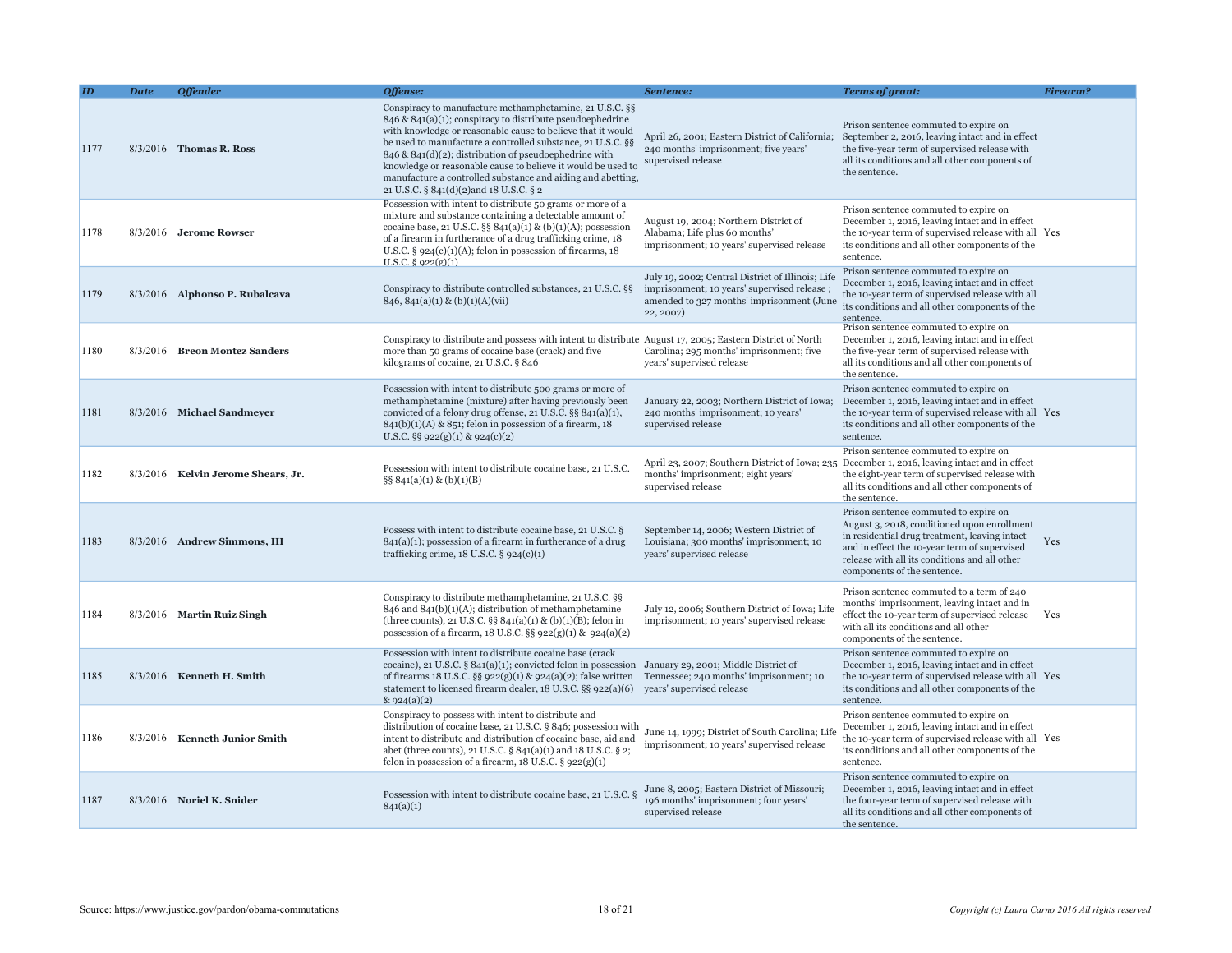|      | <b>Date</b> | <b>Offender</b>                    | Offense:                                                                                                                                                                                                                                                                                                                                                                                                                                                                                     | Sentence:                                                                                                                                                  | <b>Terms of grant:</b>                                                                                                                                                                                                                                                | <b>Firearm?</b> |
|------|-------------|------------------------------------|----------------------------------------------------------------------------------------------------------------------------------------------------------------------------------------------------------------------------------------------------------------------------------------------------------------------------------------------------------------------------------------------------------------------------------------------------------------------------------------------|------------------------------------------------------------------------------------------------------------------------------------------------------------|-----------------------------------------------------------------------------------------------------------------------------------------------------------------------------------------------------------------------------------------------------------------------|-----------------|
| 1177 |             | 8/3/2016 Thomas R. Ross            | Conspiracy to manufacture methamphetamine, 21 U.S.C. §§<br>$846 \& 841(a)(1)$ ; conspiracy to distribute pseudoephedrine<br>with knowledge or reasonable cause to believe that it would<br>be used to manufacture a controlled substance, 21 U.S.C. §§<br>$846 \& 841(d)(2)$ ; distribution of pseudoephedrine with<br>knowledge or reasonable cause to believe it would be used to<br>manufacture a controlled substance and aiding and abetting,<br>21 U.S.C. § 841(d)(2)and 18 U.S.C. § 2 | 240 months' imprisonment; five years'<br>supervised release                                                                                                | Prison sentence commuted to expire on<br>April 26, 2001; Eastern District of California; September 2, 2016, leaving intact and in effect<br>the five-year term of supervised release with<br>all its conditions and all other components of<br>the sentence.          |                 |
| 1178 |             | 8/3/2016 Jerome Rowser             | Possession with intent to distribute 50 grams or more of a<br>mixture and substance containing a detectable amount of<br>cocaine base, 21 U.S.C. §§ $841(a)(1)$ & (b)(1)(A); possession<br>of a firearm in furtherance of a drug trafficking crime, 18<br>U.S.C. $\S$ 924(c)(1)(A); felon in possession of firearms, 18<br>$U.S.C.$ § $922(g)(1)$                                                                                                                                            | August 19, 2004; Northern District of<br>Alabama; Life plus 60 months'<br>imprisonment; 10 years' supervised release                                       | Prison sentence commuted to expire on<br>December 1, 2016, leaving intact and in effect<br>the 10-year term of supervised release with all Yes<br>its conditions and all other components of the<br>sentence.                                                         |                 |
| 1179 |             | 8/3/2016 Alphonso P. Rubalcava     | Conspiracy to distribute controlled substances, 21 U.S.C. §§<br>$846, 841(a)(1) \& (b)(1)(A)(vii)$                                                                                                                                                                                                                                                                                                                                                                                           | July 19, 2002; Central District of Illinois; Life<br>imprisonment; 10 years' supervised release;<br>amended to 327 months' imprisonment (June<br>22, 2007) | Prison sentence commuted to expire on<br>December 1, 2016, leaving intact and in effect<br>the 10-year term of supervised release with all<br>its conditions and all other components of the<br>sentence.                                                             |                 |
| 1180 |             | 8/3/2016 Breon Montez Sanders      | Conspiracy to distribute and possess with intent to distribute August 17, 2005; Eastern District of North<br>more than 50 grams of cocaine base (crack) and five<br>kilograms of cocaine, 21 U.S.C. § 846                                                                                                                                                                                                                                                                                    | Carolina; 295 months' imprisonment; five<br>years' supervised release                                                                                      | Prison sentence commuted to expire on<br>December 1, 2016, leaving intact and in effect<br>the five-year term of supervised release with<br>all its conditions and all other components of<br>the sentence.                                                           |                 |
| 1181 |             | 8/3/2016 Michael Sandmeyer         | Possession with intent to distribute 500 grams or more of<br>methamphetamine (mixture) after having previously been<br>convicted of a felony drug offense, 21 U.S.C. §§ 841(a)(1),<br>$841(b)(1)(A)$ & 851; felon in possession of a firearm, 18<br>U.S.C. §§ 922(g)(1) & 924(c)(2)                                                                                                                                                                                                          | January 22, 2003; Northern District of Iowa;<br>240 months' imprisonment; 10 years'<br>supervised release                                                  | Prison sentence commuted to expire on<br>December 1, 2016, leaving intact and in effect<br>the 10-year term of supervised release with all Yes<br>its conditions and all other components of the<br>sentence.                                                         |                 |
| 1182 |             | 8/3/2016 Kelvin Jerome Shears, Jr. | Possession with intent to distribute cocaine base, 21 U.S.C.<br>$\S\S 841(a)(1) \& (b)(1)(B)$                                                                                                                                                                                                                                                                                                                                                                                                | April 23, 2007; Southern District of Iowa; 235<br>months' imprisonment; eight years'<br>supervised release                                                 | Prison sentence commuted to expire on<br>December 1, 2016, leaving intact and in effect<br>the eight-year term of supervised release with<br>all its conditions and all other components of<br>the sentence.                                                          |                 |
| 1183 |             | 8/3/2016 Andrew Simmons, III       | Possess with intent to distribute cocaine base, 21 U.S.C. §<br>$841(a)(1)$ ; possession of a firearm in furtherance of a drug<br>trafficking crime, $18$ U.S.C. § $924(c)(1)$                                                                                                                                                                                                                                                                                                                | September 14, 2006; Western District of<br>Louisiana; 300 months' imprisonment; 10<br>years' supervised release                                            | Prison sentence commuted to expire on<br>August 3, 2018, conditioned upon enrollment<br>in residential drug treatment, leaving intact<br>and in effect the 10-year term of supervised<br>release with all its conditions and all other<br>components of the sentence. | Yes             |
| 1184 |             | 8/3/2016 Martin Ruiz Singh         | Conspiracy to distribute methamphetamine, 21 U.S.C. §§<br>$846$ and $841(b)(1)(A)$ ; distribution of methamphetamine<br>(three counts), 21 U.S.C. §§ $841(a)(1)$ & (b)(1)(B); felon in<br>possession of a firearm, $18$ U.S.C. §§ $922(g)(1)$ & $924(a)(2)$                                                                                                                                                                                                                                  | July 12, 2006; Southern District of Iowa; Life<br>imprisonment; 10 years' supervised release                                                               | Prison sentence commuted to a term of 240<br>months' imprisonment, leaving intact and in<br>effect the 10-year term of supervised release Yes<br>with all its conditions and all other<br>components of the sentence.                                                 |                 |
| 1185 |             | $8/3/2016$ Kenneth H. Smith        | Possession with intent to distribute cocaine base (crack<br>cocaine), 21 U.S.C. § 841(a)(1); convicted felon in possession January 29, 2001; Middle District of<br>of firearms 18 U.S.C. §§ 922(g)(1) & 924(a)(2); false written<br>statement to licensed firearm dealer, 18 U.S.C. §§ 922(a)(6)<br>& 924(a)(2)                                                                                                                                                                              | Tennessee; 240 months' imprisonment; 10<br>years' supervised release                                                                                       | Prison sentence commuted to expire on<br>December 1, 2016, leaving intact and in effect<br>the 10-year term of supervised release with all Yes<br>its conditions and all other components of the<br>sentence.                                                         |                 |
| 1186 |             | 8/3/2016 Kenneth Junior Smith      | Conspiracy to possess with intent to distribute and<br>distribution of cocaine base, 21 U.S.C. § 846; possession with<br>intent to distribute and distribution of cocaine base, aid and<br>abet (three counts), 21 U.S.C. § 841(a)(1) and 18 U.S.C. § 2;<br>felon in possession of a firearm, $18$ U.S.C. $\S$ 922(g)(1)                                                                                                                                                                     | June 14, 1999; District of South Carolina; Life<br>imprisonment; 10 years' supervised release                                                              | Prison sentence commuted to expire on<br>December 1, 2016, leaving intact and in effect<br>the 10-year term of supervised release with all Yes<br>its conditions and all other components of the<br>sentence.                                                         |                 |
| 1187 |             | 8/3/2016 Noriel K. Snider          | Possession with intent to distribute cocaine base, 21 U.S.C. §<br>841(a)(1)                                                                                                                                                                                                                                                                                                                                                                                                                  | June 8, 2005; Eastern District of Missouri;<br>196 months' imprisonment; four years'<br>supervised release                                                 | Prison sentence commuted to expire on<br>December 1, 2016, leaving intact and in effect<br>the four-year term of supervised release with<br>all its conditions and all other components of<br>the sentence.                                                           |                 |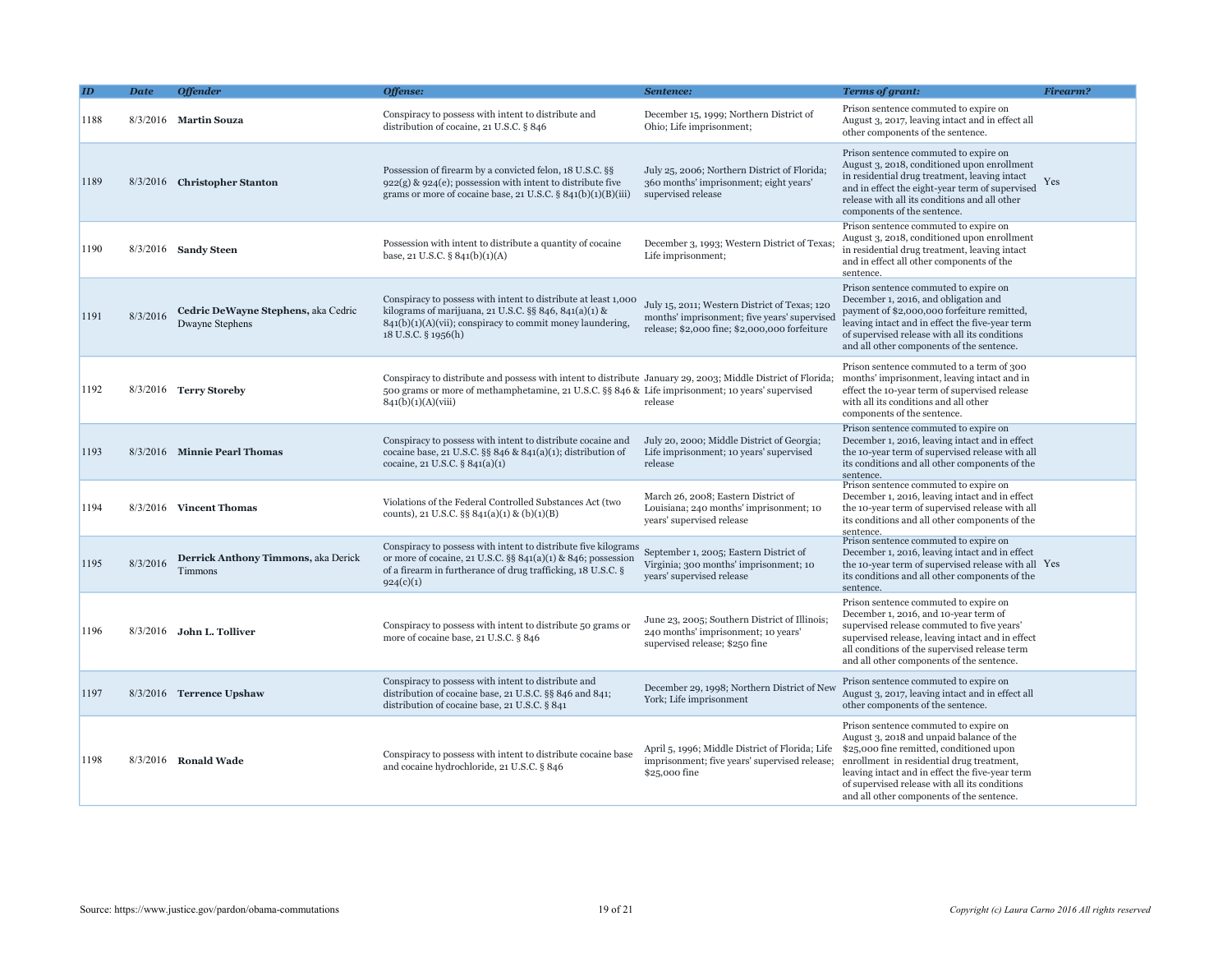|      | <b>Date</b> | <b>Offender</b>                                        | Offense:                                                                                                                                                                                                                               | Sentence:                                                                                                                                      | <b>Terms of grant:</b>                                                                                                                                                                                                                                                                                                      | Firearm? |
|------|-------------|--------------------------------------------------------|----------------------------------------------------------------------------------------------------------------------------------------------------------------------------------------------------------------------------------------|------------------------------------------------------------------------------------------------------------------------------------------------|-----------------------------------------------------------------------------------------------------------------------------------------------------------------------------------------------------------------------------------------------------------------------------------------------------------------------------|----------|
| 1188 |             | 8/3/2016 Martin Souza                                  | Conspiracy to possess with intent to distribute and<br>distribution of cocaine, 21 U.S.C. § 846                                                                                                                                        | December 15, 1999; Northern District of<br>Ohio; Life imprisonment;                                                                            | Prison sentence commuted to expire on<br>August 3, 2017, leaving intact and in effect all<br>other components of the sentence.                                                                                                                                                                                              |          |
| 1189 |             | 8/3/2016 Christopher Stanton                           | Possession of firearm by a convicted felon, 18 U.S.C. §§<br>$922(g)$ & $924(e)$ ; possession with intent to distribute five<br>grams or more of cocaine base, 21 U.S.C. $\S$ 841(b)(1)(B)(iii)                                         | July 25, 2006; Northern District of Florida;<br>360 months' imprisonment; eight years'<br>supervised release                                   | Prison sentence commuted to expire on<br>August 3, 2018, conditioned upon enrollment<br>in residential drug treatment, leaving intact<br>and in effect the eight-year term of supervised<br>release with all its conditions and all other<br>components of the sentence.                                                    | Yes      |
| 1190 |             | 8/3/2016 Sandy Steen                                   | Possession with intent to distribute a quantity of cocaine<br>base, 21 U.S.C. § 841(b)(1)(A)                                                                                                                                           | December 3, 1993; Western District of Texas<br>Life imprisonment;                                                                              | Prison sentence commuted to expire on<br>August 3, 2018, conditioned upon enrollment<br>in residential drug treatment, leaving intact<br>and in effect all other components of the<br>sentence.                                                                                                                             |          |
| 1191 | 8/3/2016    | Cedric DeWayne Stephens, aka Cedric<br>Dwayne Stephens | Conspiracy to possess with intent to distribute at least 1,000<br>kilograms of marijuana, 21 U.S.C. §§ 846, 841(a)(1) &<br>$841(b)(1)(A)(vii)$ ; conspiracy to commit money laundering,<br>18 U.S.C. § 1956(h)                         | July 15, 2011; Western District of Texas; 120<br>months' imprisonment; five years' supervised<br>release; \$2,000 fine; \$2,000,000 forfeiture | Prison sentence commuted to expire on<br>December 1, 2016, and obligation and<br>payment of \$2,000,000 forfeiture remitted,<br>leaving intact and in effect the five-year term<br>of supervised release with all its conditions<br>and all other components of the sentence.                                               |          |
| 1192 |             | 8/3/2016 Terry Storeby                                 | Conspiracy to distribute and possess with intent to distribute January 29, 2003; Middle District of Florida;<br>500 grams or more of methamphetamine, 21 U.S.C. §§ 846 & Life imprisonment; 10 years' supervised<br>841(b)(1)(A)(viii) | release                                                                                                                                        | Prison sentence commuted to a term of 300<br>months' imprisonment, leaving intact and in<br>effect the 10-year term of supervised release<br>with all its conditions and all other<br>components of the sentence.                                                                                                           |          |
| 1193 |             | 8/3/2016 Minnie Pearl Thomas                           | Conspiracy to possess with intent to distribute cocaine and<br>cocaine base, 21 U.S.C. §§ 846 & 841(a)(1); distribution of<br>cocaine, 21 U.S.C. § 841(a)(1)                                                                           | July 20, 2000; Middle District of Georgia;<br>Life imprisonment; 10 years' supervised<br>release                                               | Prison sentence commuted to expire on<br>December 1, 2016, leaving intact and in effect<br>the 10-year term of supervised release with all<br>its conditions and all other components of the<br>sentence.                                                                                                                   |          |
| 1194 |             | 8/3/2016 Vincent Thomas                                | Violations of the Federal Controlled Substances Act (two<br>counts), 21 U.S.C. §§ 841(a)(1) & (b)(1)(B)                                                                                                                                | March 26, 2008; Eastern District of<br>Louisiana; 240 months' imprisonment; 10<br>years' supervised release                                    | Prison sentence commuted to expire on<br>December 1, 2016, leaving intact and in effect<br>the 10-year term of supervised release with all<br>its conditions and all other components of the<br>sentence.                                                                                                                   |          |
| 1195 | 8/3/2016    | Derrick Anthony Timmons, aka Derick<br>Timmons         | Conspiracy to possess with intent to distribute five kilograms<br>or more of cocaine, 21 U.S.C. $\S$ § 841(a)(1) & 846; possession<br>of a firearm in furtherance of drug trafficking, 18 U.S.C. §<br>924(c)(1)                        | September 1, 2005; Eastern District of<br>Virginia; 300 months' imprisonment; 10<br>years' supervised release                                  | Prison sentence commuted to expire on<br>December 1, 2016, leaving intact and in effect<br>the 10-year term of supervised release with all Yes<br>its conditions and all other components of the<br>sentence.                                                                                                               |          |
| 1196 |             | 8/3/2016 John L. Tolliver                              | Conspiracy to possess with intent to distribute 50 grams or<br>more of cocaine base, 21 U.S.C. § 846                                                                                                                                   | June 23, 2005; Southern District of Illinois;<br>240 months' imprisonment; 10 years'<br>supervised release; \$250 fine                         | Prison sentence commuted to expire on<br>December 1, 2016, and 10-year term of<br>supervised release commuted to five years'<br>supervised release, leaving intact and in effect<br>all conditions of the supervised release term<br>and all other components of the sentence.                                              |          |
| 1197 |             | 8/3/2016 Terrence Upshaw                               | Conspiracy to possess with intent to distribute and<br>distribution of cocaine base, 21 U.S.C. §§ 846 and 841;<br>distribution of cocaine base, 21 U.S.C. § 841                                                                        | December 29, 1998; Northern District of New<br>York; Life imprisonment                                                                         | Prison sentence commuted to expire on<br>August 3, 2017, leaving intact and in effect all<br>other components of the sentence.                                                                                                                                                                                              |          |
| 1198 |             | 8/3/2016 Ronald Wade                                   | Conspiracy to possess with intent to distribute cocaine base<br>and cocaine hydrochloride, 21 U.S.C. § 846                                                                                                                             | April 5, 1996; Middle District of Florida; Life<br>imprisonment; five years' supervised release;<br>\$25,000 fine                              | Prison sentence commuted to expire on<br>August 3, 2018 and unpaid balance of the<br>\$25,000 fine remitted, conditioned upon<br>enrollment in residential drug treatment,<br>leaving intact and in effect the five-year term<br>of supervised release with all its conditions<br>and all other components of the sentence. |          |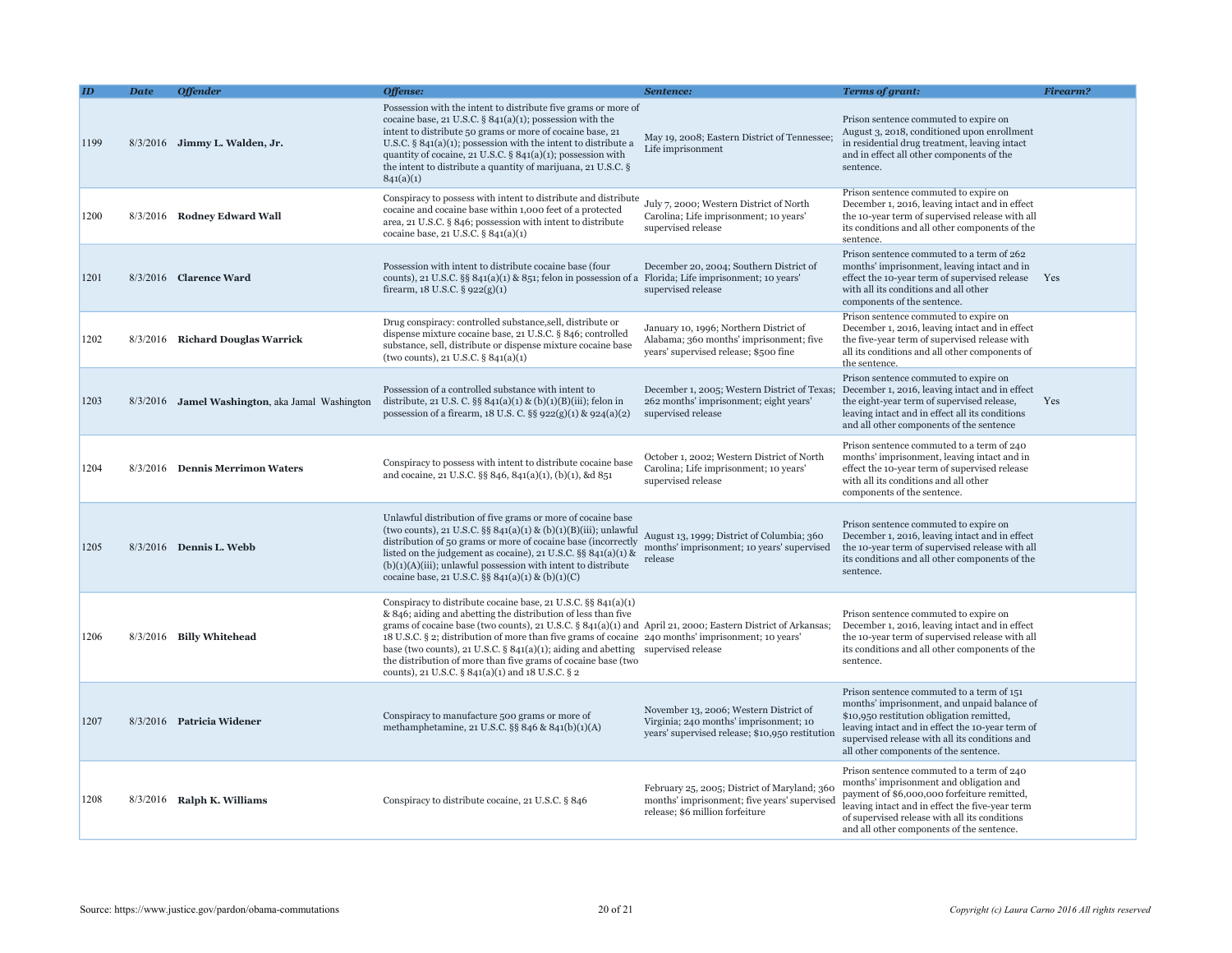|      | Date | <b>Offender</b>                                         | Offense:                                                                                                                                                                                                                                                                                                                                                                                                                                                                                                                                                        | Sentence:                                                                                                                           | <b>Terms of grant:</b>                                                                                                                                                                                                                                                               | Firearm? |
|------|------|---------------------------------------------------------|-----------------------------------------------------------------------------------------------------------------------------------------------------------------------------------------------------------------------------------------------------------------------------------------------------------------------------------------------------------------------------------------------------------------------------------------------------------------------------------------------------------------------------------------------------------------|-------------------------------------------------------------------------------------------------------------------------------------|--------------------------------------------------------------------------------------------------------------------------------------------------------------------------------------------------------------------------------------------------------------------------------------|----------|
| 1199 |      | 8/3/2016 Jimmy L. Walden, Jr.                           | Possession with the intent to distribute five grams or more of<br>cocaine base, 21 U.S.C. $\S 841(a)(1)$ ; possession with the<br>intent to distribute 50 grams or more of cocaine base, 21<br>U.S.C. $\S$ 841(a)(1); possession with the intent to distribute a<br>quantity of cocaine, 21 U.S.C. $\S$ 841(a)(1); possession with<br>the intent to distribute a quantity of marijuana, 21 U.S.C. §<br>841(a)(1)                                                                                                                                                | May 19, 2008; Eastern District of Tennessee;<br>Life imprisonment                                                                   | Prison sentence commuted to expire on<br>August 3, 2018, conditioned upon enrollment<br>in residential drug treatment, leaving intact<br>and in effect all other components of the<br>sentence.                                                                                      |          |
| 1200 |      | 8/3/2016 Rodney Edward Wall                             | Conspiracy to possess with intent to distribute and distribute<br>cocaine and cocaine base within 1,000 feet of a protected<br>area, 21 U.S.C. § 846; possession with intent to distribute<br>cocaine base, 21 U.S.C. § 841(a)(1)                                                                                                                                                                                                                                                                                                                               | July 7, 2000; Western District of North<br>Carolina; Life imprisonment; 10 years'<br>supervised release                             | Prison sentence commuted to expire on<br>December 1, 2016, leaving intact and in effect<br>the 10-year term of supervised release with all<br>its conditions and all other components of the<br>sentence.                                                                            |          |
| 1201 |      | 8/3/2016 Clarence Ward                                  | Possession with intent to distribute cocaine base (four<br>counts), 21 U.S.C. §§ 841(a)(1) & 851; felon in possession of a Florida; Life imprisonment; 10 years'<br>firearm, $18$ U.S.C. § $922(g)(1)$                                                                                                                                                                                                                                                                                                                                                          | December 20, 2004; Southern District of<br>supervised release                                                                       | Prison sentence commuted to a term of 262<br>months' imprisonment, leaving intact and in<br>effect the 10-year term of supervised release Yes<br>with all its conditions and all other<br>components of the sentence.                                                                |          |
| 1202 |      | 8/3/2016 Richard Douglas Warrick                        | Drug conspiracy: controlled substance, sell, distribute or<br>dispense mixture cocaine base, 21 U.S.C. § 846; controlled<br>substance, sell, distribute or dispense mixture cocaine base<br>(two counts), 21 U.S.C. $\S 841(a)(1)$                                                                                                                                                                                                                                                                                                                              | January 10, 1996; Northern District of<br>Alabama; 360 months' imprisonment; five<br>years' supervised release; \$500 fine          | Prison sentence commuted to expire on<br>December 1, 2016, leaving intact and in effect<br>the five-year term of supervised release with<br>all its conditions and all other components of<br>the sentence.                                                                          |          |
| 1203 |      | 8/3/2016 <b>Jamel Washington</b> , aka Jamal Washington | Possession of a controlled substance with intent to<br>distribute, 21 U.S. C. §§ 841(a)(1) & (b)(1)(B)(iii); felon in<br>possession of a firearm, $18$ U.S. C. $\S$ § 922(g)(1) & 924(a)(2)                                                                                                                                                                                                                                                                                                                                                                     | December 1, 2005; Western District of Texas;<br>262 months' imprisonment; eight years'<br>supervised release                        | Prison sentence commuted to expire on<br>December 1, 2016, leaving intact and in effect<br>the eight-year term of supervised release,<br>leaving intact and in effect all its conditions<br>and all other components of the sentence                                                 | Yes      |
| 1204 |      | 8/3/2016 Dennis Merrimon Waters                         | Conspiracy to possess with intent to distribute cocaine base<br>and cocaine, 21 U.S.C. §§ 846, 841(a)(1), (b)(1), &d 851                                                                                                                                                                                                                                                                                                                                                                                                                                        | October 1, 2002; Western District of North<br>Carolina; Life imprisonment; 10 years'<br>supervised release                          | Prison sentence commuted to a term of 240<br>months' imprisonment, leaving intact and in<br>effect the 10-year term of supervised release<br>with all its conditions and all other<br>components of the sentence.                                                                    |          |
| 1205 |      | 8/3/2016 Dennis L. Webb                                 | Unlawful distribution of five grams or more of cocaine base<br>(two counts), 21 U.S.C. §§ 841(a)(1) & (b)(1)(B)(iii); unlawful<br>distribution of 50 grams or more of cocaine base (incorrectly<br>listed on the judgement as cocaine), 21 U.S.C. $\S$ § 841(a)(1) &<br>$(b)(1)(A)(iii)$ ; unlawful possession with intent to distribute<br>cocaine base, 21 U.S.C. §§ 841(a)(1) & (b)(1)(C)                                                                                                                                                                    | August 13, 1999; District of Columbia; 360<br>months' imprisonment; 10 years' supervised<br>release                                 | Prison sentence commuted to expire on<br>December 1, 2016, leaving intact and in effect<br>the 10-year term of supervised release with all<br>its conditions and all other components of the<br>sentence.                                                                            |          |
| 1206 |      | 8/3/2016 Billy Whitehead                                | Conspiracy to distribute cocaine base, 21 U.S.C. §§ 841(a)(1)<br>& 846; aiding and abetting the distribution of less than five<br>grams of cocaine base (two counts), 21 U.S.C. § 841(a)(1) and April 21, 2000; Eastern District of Arkansas;<br>18 U.S.C. § 2; distribution of more than five grams of cocaine 240 months' imprisonment; 10 years'<br>base (two counts), 21 U.S.C. $\S$ 841(a)(1); aiding and abetting supervised release<br>the distribution of more than five grams of cocaine base (two<br>counts), 21 U.S.C. § 841(a)(1) and 18 U.S.C. § 2 |                                                                                                                                     | Prison sentence commuted to expire on<br>December 1, 2016, leaving intact and in effect<br>the 10-year term of supervised release with all<br>its conditions and all other components of the<br>sentence.                                                                            |          |
| 1207 |      | 8/3/2016 Patricia Widener                               | Conspiracy to manufacture 500 grams or more of<br>methamphetamine, 21 U.S.C. §§ 846 & 841(b)(1)(A)                                                                                                                                                                                                                                                                                                                                                                                                                                                              | November 13, 2006; Western District of<br>Virginia; 240 months' imprisonment; 10<br>years' supervised release; \$10,950 restitution | Prison sentence commuted to a term of 151<br>months' imprisonment, and unpaid balance of<br>\$10,950 restitution obligation remitted,<br>leaving intact and in effect the 10-year term of<br>supervised release with all its conditions and<br>all other components of the sentence. |          |
| 1208 |      | $8/3/2016$ Ralph K. Williams                            | Conspiracy to distribute cocaine, 21 U.S.C. § 846                                                                                                                                                                                                                                                                                                                                                                                                                                                                                                               | February 25, 2005; District of Maryland; 360<br>months' imprisonment; five years' supervised<br>release; \$6 million forfeiture     | Prison sentence commuted to a term of 240<br>months' imprisonment and obligation and<br>payment of \$6,000,000 forfeiture remitted,<br>leaving intact and in effect the five-year term<br>of supervised release with all its conditions<br>and all other components of the sentence. |          |